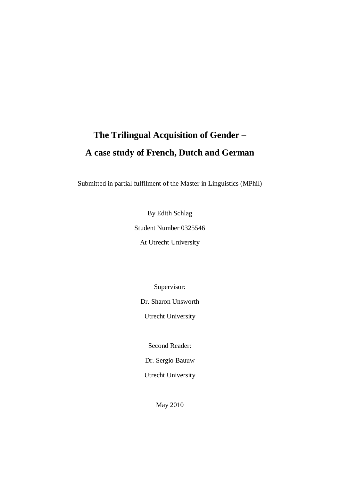# **The Trilingual Acquisition of Gender – A case study of French, Dutch and German**

Submitted in partial fulfilment of the Master in Linguistics (MPhil)

By Edith Schlag Student Number 0325546 At Utrecht University

Supervisor:

Dr. Sharon Unsworth

Utrecht University

Second Reader:

Dr. Sergio Bauuw

Utrecht University

May 2010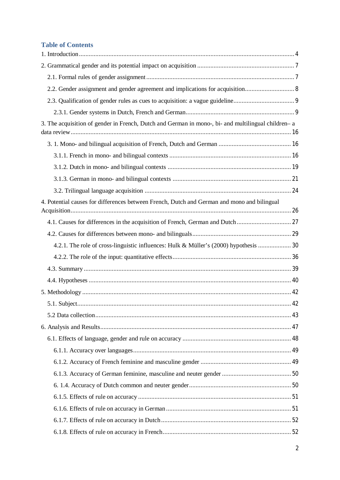# **Table of Contents**

| 2.2. Gender assignment and gender agreement and implications for acquisition 8                      |  |
|-----------------------------------------------------------------------------------------------------|--|
|                                                                                                     |  |
|                                                                                                     |  |
| 3. The acquisition of gender in French, Dutch and German in mono-, bi- and multilingual children- a |  |
|                                                                                                     |  |
|                                                                                                     |  |
|                                                                                                     |  |
|                                                                                                     |  |
|                                                                                                     |  |
| 4. Potential causes for differences between French, Dutch and German and mono and bilingual         |  |
|                                                                                                     |  |
|                                                                                                     |  |
| 4.2.1. The role of cross-linguistic influences: Hulk & Müller's (2000) hypothesis  30               |  |
|                                                                                                     |  |
|                                                                                                     |  |
|                                                                                                     |  |
|                                                                                                     |  |
|                                                                                                     |  |
|                                                                                                     |  |
|                                                                                                     |  |
|                                                                                                     |  |
|                                                                                                     |  |
|                                                                                                     |  |
|                                                                                                     |  |
|                                                                                                     |  |
|                                                                                                     |  |
|                                                                                                     |  |
|                                                                                                     |  |
|                                                                                                     |  |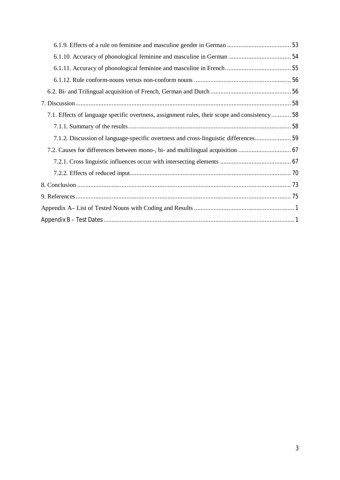| 7.1. Effects of language specific overtness, assignment rules, their scope and consistency  58 |  |
|------------------------------------------------------------------------------------------------|--|
|                                                                                                |  |
| 7.1.2. Discussion of language-specific overtness and cross-linguistic differences              |  |
|                                                                                                |  |
|                                                                                                |  |
|                                                                                                |  |
|                                                                                                |  |
|                                                                                                |  |
|                                                                                                |  |
|                                                                                                |  |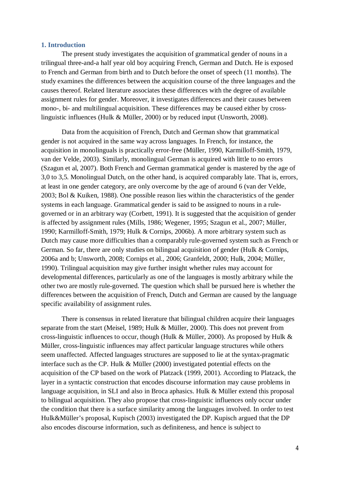# **1. Introduction**

The present study investigates the acquisition of grammatical gender of nouns in a trilingual three-and-a half year old boy acquiring French, German and Dutch. He is exposed to French and German from birth and to Dutch before the onset of speech (11 months). The study examines the differences between the acquisition course of the three languages and the causes thereof. Related literature associates these differences with the degree of available assignment rules for gender. Moreover, it investigates differences and their causes between mono-, bi- and multilingual acquisition. These differences may be caused either by crosslinguistic influences (Hulk & Müller, 2000) or by reduced input (Unsworth, 2008).

Data from the acquisition of French, Dutch and German show that grammatical gender is not acquired in the same way across languages. In French, for instance, the acquisition in monolinguals is practically error-free (Müller, 1990, Karmilloff-Smith, 1979, van der Velde, 2003). Similarly, monolingual German is acquired with little to no errors (Szagun et al, 2007). Both French and German grammatical gender is mastered by the age of 3,0 to 3,5. Monolingual Dutch, on the other hand, is acquired comparably late. That is, errors, at least in one gender category, are only overcome by the age of around 6 (van der Velde, 2003; Bol & Kuiken, 1988). One possible reason lies within the characteristics of the gender systems in each language. Grammatical gender is said to be assigned to nouns in a rulegoverned or in an arbitrary way (Corbett, 1991). It is suggested that the acquisition of gender is affected by assignment rules (Mills, 1986; Wegener, 1995; Szagun et al., 2007; Müller, 1990; Karmilloff-Smith, 1979; Hulk & Cornips, 2006b). A more arbitrary system such as Dutch may cause more difficulties than a comparably rule-governed system such as French or German. So far, there are only studies on bilingual acquisition of gender (Hulk & Cornips, 2006a and b; Unsworth, 2008; Cornips et al., 2006; Granfeldt, 2000; Hulk, 2004; Müller, 1990). Trilingual acquisition may give further insight whether rules may account for developmental differences, particularly as one of the languages is mostly arbitrary while the other two are mostly rule-governed. The question which shall be pursued here is whether the differences between the acquisition of French, Dutch and German are caused by the language specific availability of assignment rules.

There is consensus in related literature that bilingual children acquire their languages separate from the start (Meisel, 1989; Hulk & Müller, 2000). This does not prevent from cross-linguistic influences to occur, though (Hulk & Müller, 2000). As proposed by Hulk & Müller, cross-linguistic influences may affect particular language structures while others seem unaffected. Affected languages structures are supposed to lie at the syntax-pragmatic interface such as the CP. Hulk & Müller (2000) investigated potential effects on the acquisition of the CP based on the work of Platzack (1999, 2001). According to Platzack, the layer in a syntactic construction that encodes discourse information may cause problems in language acquisition, in SLI and also in Broca aphasics. Hulk & Müller extend this proposal to bilingual acquisition. They also propose that cross-linguistic influences only occur under the condition that there is a surface similarity among the languages involved. In order to test Hulk&Müller's proposal, Kupisch (2003) investigated the DP. Kupisch argued that the DP also encodes discourse information, such as definiteness, and hence is subject to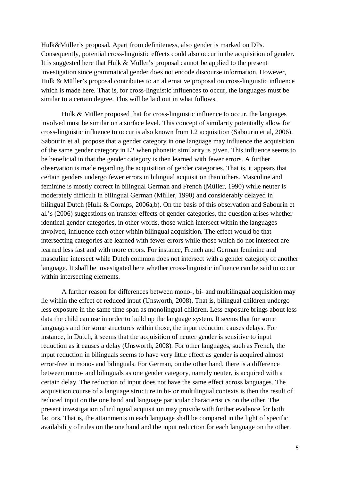Hulk&Müller's proposal. Apart from definiteness, also gender is marked on DPs. Consequently, potential cross-linguistic effects could also occur in the acquisition of gender. It is suggested here that Hulk & Müller's proposal cannot be applied to the present investigation since grammatical gender does not encode discourse information. However, Hulk & Müller's proposal contributes to an alternative proposal on cross-linguistic influence which is made here. That is, for cross-linguistic influences to occur, the languages must be similar to a certain degree. This will be laid out in what follows.

Hulk & Müller proposed that for cross-linguistic influence to occur, the languages involved must be similar on a surface level. This concept of similarity potentially allow for cross-linguistic influence to occur is also known from L2 acquisition (Sabourin et al, 2006). Sabourin et al. propose that a gender category in one language may influence the acquisition of the same gender category in L2 when phonetic similarity is given. This influence seems to be beneficial in that the gender category is then learned with fewer errors. A further observation is made regarding the acquisition of gender categories. That is, it appears that certain genders undergo fewer errors in bilingual acquisition than others. Masculine and feminine is mostly correct in bilingual German and French (Müller, 1990) while neuter is moderately difficult in bilingual German (Müller, 1990) and considerably delayed in bilingual Dutch (Hulk & Cornips, 2006a,b). On the basis of this observation and Sabourin et al.'s (2006) suggestions on transfer effects of gender categories, the question arises whether identical gender categories, in other words, those which intersect within the languages involved, influence each other within bilingual acquisition. The effect would be that intersecting categories are learned with fewer errors while those which do not intersect are learned less fast and with more errors. For instance, French and German feminine and masculine intersect while Dutch common does not intersect with a gender category of another language. It shall be investigated here whether cross-linguistic influence can be said to occur within intersecting elements.

A further reason for differences between mono-, bi- and multilingual acquisition may lie within the effect of reduced input (Unsworth, 2008). That is, bilingual children undergo less exposure in the same time span as monolingual children. Less exposure brings about less data the child can use in order to build up the language system. It seems that for some languages and for some structures within those, the input reduction causes delays. For instance, in Dutch, it seems that the acquisition of neuter gender is sensitive to input reduction as it causes a delay (Unsworth, 2008). For other languages, such as French, the input reduction in bilinguals seems to have very little effect as gender is acquired almost error-free in mono- and bilinguals. For German, on the other hand, there is a difference between mono- and bilinguals as one gender category, namely neuter, is acquired with a certain delay. The reduction of input does not have the same effect across languages. The acquisition course of a language structure in bi- or multilingual contexts is then the result of reduced input on the one hand and language particular characteristics on the other. The present investigation of trilingual acquisition may provide with further evidence for both factors. That is, the attainments in each language shall be compared in the light of specific availability of rules on the one hand and the input reduction for each language on the other.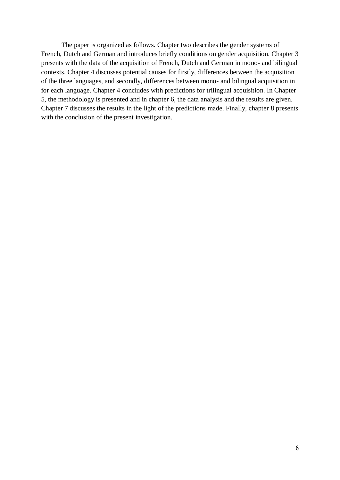The paper is organized as follows. Chapter two describes the gender systems of French, Dutch and German and introduces briefly conditions on gender acquisition. Chapter 3 presents with the data of the acquisition of French, Dutch and German in mono- and bilingual contexts. Chapter 4 discusses potential causes for firstly, differences between the acquisition of the three languages, and secondly, differences between mono- and bilingual acquisition in for each language. Chapter 4 concludes with predictions for trilingual acquisition. In Chapter 5, the methodology is presented and in chapter 6, the data analysis and the results are given. Chapter 7 discusses the results in the light of the predictions made. Finally, chapter 8 presents with the conclusion of the present investigation.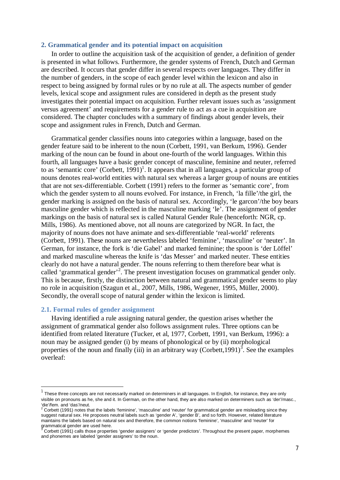# **2. Grammatical gender and its potential impact on acquisition**

In order to outline the acquisition task of the acquisition of gender, a definition of gender is presented in what follows. Furthermore, the gender systems of French, Dutch and German are described. It occurs that gender differ in several respects over languages. They differ in the number of genders, in the scope of each gender level within the lexicon and also in respect to being assigned by formal rules or by no rule at all. The aspects number of gender levels, lexical scope and assignment rules are considered in depth as the present study investigates their potential impact on acquisition. Further relevant issues such as 'assignment versus agreement' and requirements for a gender rule to act as a cue in acquisition are considered. The chapter concludes with a summary of findings about gender levels, their scope and assignment rules in French, Dutch and German.

Grammatical gender classifies nouns into categories within a language, based on the gender feature said to be inherent to the noun (Corbett, 1991, van Berkum, 1996). Gender marking of the noun can be found in about one-fourth of the world languages. Within this fourth, all languages have a basic gender concept of masculine, feminine and neuter, referred to as 'semantic core' (Corbett,  $1991$ )<sup>1</sup>. It appears that in all languages, a particular group of nouns denotes real-world entities with natural sex whereas a larger group of nouns are entities that are not sex-differentiable. Corbett (1991) refers to the former as 'semantic core', from which the gender system to all nouns evolved. For instance, in French, 'la fille'/the girl, the gender marking is assigned on the basis of natural sex. Accordingly, 'le garcon'/the boy bears masculine gender which is reflected in the masculine marking 'le'. The assignment of gender markings on the basis of natural sex is called Natural Gender Rule (henceforth: NGR, cp. Mills, 1986). As mentioned above, not all nouns are categorized by NGR. In fact, the majority of nouns does not have animate and sex-differentiable 'real-world' referents (Corbett, 1991). These nouns are nevertheless labeled 'feminine', 'masculine' or 'neuter'. In German, for instance, the fork is 'die Gabel' and marked feminine; the spoon is 'der Löffel' and marked masculine whereas the knife is 'das Messer' and marked neuter. These entities clearly do not have a natural gender. The nouns referring to them therefore bear what is called 'grammatical gender'<sup>2</sup>. The present investigation focuses on grammatical gender only. This is because, firstly, the distinction between natural and grammatical gender seems to play no role in acquisition (Szagun et al., 2007, Mills, 1986, Wegener, 1995, Müller, 2000). Secondly, the overall scope of natural gender within the lexicon is limited.

# **2.1. Formal rules of gender assignment**

Having identified a rule assigning natural gender, the question arises whether the assignment of grammatical gender also follows assignment rules. Three options can be identified from related literature (Tucker, et al, 1977, Corbett, 1991, van Berkum, 1996): a noun may be assigned gender (i) by means of phonological or by (ii) morphological properties of the noun and finally (iii) in an arbitrary way (Corbett, 1991)<sup>3</sup>. See the examples overleaf:

 $1$  These three concepts are not necessarily marked on determiners in all languages. In English, for instance, they are only visible on pronouns as he, she and it. In German, on the other hand, they are also marked on determiners such as 'der'/masc., ʻdie'/fem. and ʻdas'/neut.<br><sup>2</sup> Corbett (1991) notes that the labels 'feminine', 'masculine' and 'neuter' for grammatical gender are misleading since they

suggest natural sex. He proposes neutral labels such as 'gender A', 'gender B', and so forth. However, related literature maintains the labels based on natural sex and therefore, the common notions 'feminine', 'masculine' and 'neuter' for grammatical gender are used here.<br><sup>3</sup> Corbett (1991) calls those properties 'gender assigners' or 'gender predictors'. Throughout the present paper, morphemes

and phonemes are labeled 'gender assigners' to the noun.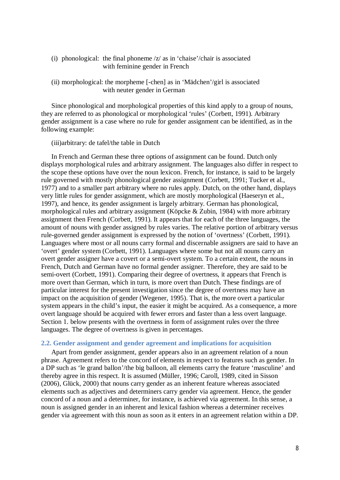# (i) phonological: the final phoneme /z/ as in 'chaise'/chair is associated with feminine gender in French

# (ii) morphological: the morpheme [-chen] as in 'Mädchen'/girl is associated with neuter gender in German

Since phonological and morphological properties of this kind apply to a group of nouns, they are referred to as phonological or morphological 'rules' (Corbett, 1991). Arbitrary gender assignment is a case where no rule for gender assignment can be identified, as in the following example:

(iii)arbitrary: de tafel/the table in Dutch

In French and German these three options of assignment can be found. Dutch only displays morphological rules and arbitrary assignment. The languages also differ in respect to the scope these options have over the noun lexicon. French, for instance, is said to be largely rule governed with mostly phonological gender assignment (Corbett, 1991; Tucker et al., 1977) and to a smaller part arbitrary where no rules apply. Dutch, on the other hand, displays very little rules for gender assignment, which are mostly morphological (Haeseryn et al., 1997), and hence, its gender assignment is largely arbitrary. German has phonological, morphological rules and arbitrary assignment (Köpcke & Zubin, 1984) with more arbitrary assignment then French (Corbett, 1991). It appears that for each of the three languages, the amount of nouns with gender assigned by rules varies. The relative portion of arbitrary versus rule-governed gender assignment is expressed by the notion of 'overtness' (Corbett, 1991). Languages where most or all nouns carry formal and discernable assigners are said to have an 'overt' gender system (Corbett, 1991). Languages where some but not all nouns carry an overt gender assigner have a covert or a semi-overt system. To a certain extent, the nouns in French, Dutch and German have no formal gender assigner. Therefore, they are said to be semi-overt (Corbett, 1991). Comparing their degree of overtness, it appears that French is more overt than German, which in turn, is more overt than Dutch. These findings are of particular interest for the present investigation since the degree of overtness may have an impact on the acquisition of gender (Wegener, 1995). That is, the more overt a particular system appears in the child's input, the easier it might be acquired. As a consequence, a more overt language should be acquired with fewer errors and faster than a less overt language. Section 1. below presents with the overtness in form of assignment rules over the three languages. The degree of overtness is given in percentages.

# **2.2. Gender assignment and gender agreement and implications for acquisition**

Apart from gender assignment, gender appears also in an agreement relation of a noun phrase. Agreement refers to the concord of elements in respect to features such as gender. In a DP such as 'le grand ballon'/the big balloon, all elements carry the feature 'masculine' and thereby agree in this respect. It is assumed (Müller, 1996; Caroll, 1989, cited in Sisson (2006), Glück, 2000) that nouns carry gender as an inherent feature whereas associated elements such as adjectives and determiners carry gender via agreement. Hence, the gender concord of a noun and a determiner, for instance, is achieved via agreement. In this sense, a noun is assigned gender in an inherent and lexical fashion whereas a determiner receives gender via agreement with this noun as soon as it enters in an agreement relation within a DP.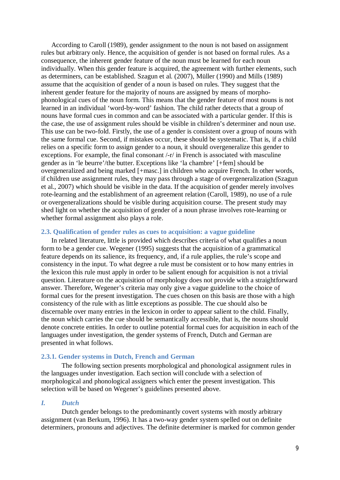According to Caroll (1989), gender assignment to the noun is not based on assignment rules but arbitrary only. Hence, the acquisition of gender is not based on formal rules. As a consequence, the inherent gender feature of the noun must be learned for each noun individually. When this gender feature is acquired, the agreement with further elements, such as determiners, can be established. Szagun et al. (2007), Müller (1990) and Mills (1989) assume that the acquisition of gender of a noun is based on rules. They suggest that the inherent gender feature for the majority of nouns are assigned by means of morphophonological cues of the noun form. This means that the gender feature of most nouns is not learned in an individual 'word-by-word' fashion. The child rather detects that a group of nouns have formal cues in common and can be associated with a particular gender. If this is the case, the use of assignment rules should be visible in children's determiner and noun use. This use can be two-fold. Firstly, the use of a gender is consistent over a group of nouns with the same formal cue. Second, if mistakes occur, these should be systematic. That is, if a child relies on a specific form to assign gender to a noun, it should overgeneralize this gender to exceptions. For example, the final consonant /-r/ in French is associated with masculine gender as in 'le beurre'/the butter. Exceptions like 'la chambre' [+fem] should be overgeneralized and being marked [+masc.] in children who acquire French. In other words, if children use assignment rules, they may pass through a stage of overgeneralization (Szagun et al., 2007) which should be visible in the data. If the acquisition of gender merely involves rote-learning and the establishment of an agreement relation (Caroll, 1989), no use of a rule or overgeneralizations should be visible during acquisition course. The present study may shed light on whether the acquisition of gender of a noun phrase involves rote-learning or whether formal assignment also plays a role.

# **2.3. Qualification of gender rules as cues to acquisition: a vague guideline**

In related literature, little is provided which describes criteria of what qualifies a noun form to be a gender cue. Wegener (1995) suggests that the acquisition of a grammatical feature depends on its salience, its frequency, and, if a rule applies, the rule's scope and consistency in the input. To what degree a rule must be consistent or to how many entries in the lexicon this rule must apply in order to be salient enough for acquisition is not a trivial question. Literature on the acquisition of morphology does not provide with a straightforward answer. Therefore, Wegener's criteria may only give a vague guideline to the choice of formal cues for the present investigation. The cues chosen on this basis are those with a high consistency of the rule with as little exceptions as possible. The cue should also be discernable over many entries in the lexicon in order to appear salient to the child. Finally, the noun which carries the cue should be semantically accessible, that is, the nouns should denote concrete entities. In order to outline potential formal cues for acquisition in each of the languages under investigation, the gender systems of French, Dutch and German are presented in what follows.

## **2.3.1. Gender systems in Dutch, French and German**

The following section presents morphological and phonological assignment rules in the languages under investigation. Each section will conclude with a selection of morphological and phonological assigners which enter the present investigation. This selection will be based on Wegener's guidelines presented above.

# *I. Dutch*

Dutch gender belongs to the predominantly covert systems with mostly arbitrary assignment (van Berkum, 1996). It has a two-way gender system spelled out on definite determiners, pronouns and adjectives. The definite determiner is marked for common gender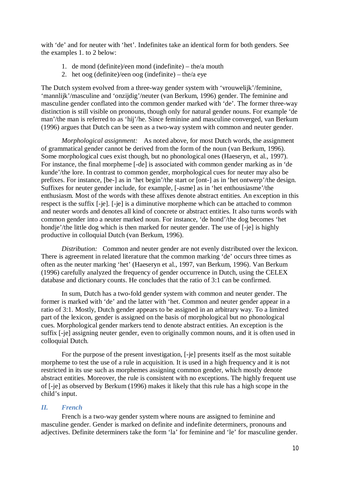with 'de' and for neuter with 'het'. Indefinites take an identical form for both genders. See the examples 1. to 2 below:

- 1. de mond (definite)/een mond (indefinite) the/a mouth
- 2. het oog (definite)/een oog (indefinite) the/a eye

The Dutch system evolved from a three-way gender system with 'vrouwelijk'/feminine, 'mannlijk'/masculine and 'onzijdig'/neuter (van Berkum, 1996) gender. The feminine and masculine gender conflated into the common gender marked with 'de'. The former three-way distinction is still visible on pronouns, though only for natural gender nouns. For example 'de man'/the man is referred to as 'hij'/he. Since feminine and masculine converged, van Berkum (1996) argues that Dutch can be seen as a two-way system with common and neuter gender.

*Morphological assignment:* As noted above, for most Dutch words, the assignment of grammatical gender cannot be derived from the form of the noun (van Berkum, 1996). Some morphological cues exist though, but no phonological ones (Haeseryn, et al., 1997). For instance, the final morpheme [-de] is associated with common gender marking as in 'de kunde'/the lore. In contrast to common gender, morphological cues for neuter may also be prefixes. For instance, [be-] as in 'het begin'/the start or [ont-] as in 'het ontwerp'/the design. Suffixes for neuter gender include, for example, [-asme] as in 'het enthousiasme'/the enthusiasm. Most of the words with these affixes denote abstract entities. An exception in this respect is the suffix [-je]. [-je] is a diminutive morpheme which can be attached to common and neuter words and denotes all kind of concrete or abstract entities. It also turns words with common gender into a neuter marked noun. For instance, 'de hond'/the dog becomes 'het hondje'/the little dog which is then marked for neuter gender. The use of [-je] is highly productive in colloquial Dutch (van Berkum, 1996).

*Distribution:* Common and neuter gender are not evenly distributed over the lexicon. There is agreement in related literature that the common marking 'de' occurs three times as often as the neuter marking 'het' (Haeseryn et al., 1997, van Berkum, 1996). Van Berkum (1996) carefully analyzed the frequency of gender occurrence in Dutch, using the CELEX database and dictionary counts. He concludes that the ratio of 3:1 can be confirmed.

In sum, Dutch has a two-fold gender system with common and neuter gender. The former is marked with 'de' and the latter with 'het. Common and neuter gender appear in a ratio of 3:1. Mostly, Dutch gender appears to be assigned in an arbitrary way. To a limited part of the lexicon, gender is assigned on the basis of morphological but no phonological cues. Morphological gender markers tend to denote abstract entities. An exception is the suffix [-je] assigning neuter gender, even to originally common nouns, and it is often used in colloquial Dutch.

For the purpose of the present investigation, [-je] presents itself as the most suitable morpheme to test the use of a rule in acquisition. It is used in a high frequency and it is not restricted in its use such as morphemes assigning common gender, which mostly denote abstract entities. Moreover, the rule is consistent with no exceptions. The highly frequent use of [-je] as observed by Berkum (1996) makes it likely that this rule has a high scope in the child's input.

# *II. French*

French is a two-way gender system where nouns are assigned to feminine and masculine gender. Gender is marked on definite and indefinite determiners, pronouns and adjectives. Definite determiners take the form 'la' for feminine and 'le' for masculine gender.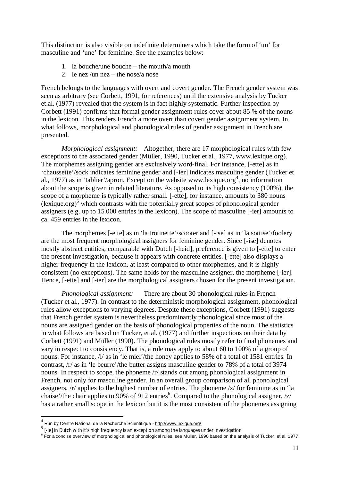This distinction is also visible on indefinite determiners which take the form of 'un' for masculine and 'une' for feminine. See the examples below:

- 1. la bouche/une bouche the mouth/a mouth
- 2. le nez /un nez the nose/a nose

French belongs to the languages with overt and covert gender. The French gender system was seen as arbitrary (see Corbett, 1991, for references) until the extensive analysis by Tucker et.al. (1977) revealed that the system is in fact highly systematic. Further inspection by Corbett (1991) confirms that formal gender assignment rules cover about 85 % of the nouns in the lexicon. This renders French a more overt than covert gender assignment system. In what follows, morphological and phonological rules of gender assignment in French are presented.

*Morphological assignment:* Altogether, there are 17 morphological rules with few exceptions to the associated gender (Müller, 1990, Tucker et al., 1977, www.lexique.org). The morphemes assigning gender are exclusively word-final. For instance, [-ette] as in 'chaussette'/sock indicates feminine gender and [-ier] indicates masculine gender (Tucker et al., 1977) as in 'tablier'/apron. Except on the website www.lexique.org<sup>4</sup>, no information about the scope is given in related literature. As opposed to its high consistency (100%), the scope of a morpheme is typically rather small. [-ette], for instance, amounts to 380 nouns  $\left($ lexique.org $\right)$ <sup>5</sup> which contrasts with the potentially great scopes of phonological gender assigners (e.g. up to 15.000 entries in the lexicon). The scope of masculine [-ier] amounts to ca. 459 entries in the lexicon.

The morphemes [-ette] as in 'la trotinette'/scooter and [-ise] as in 'la sottise'/foolery are the most frequent morphological assigners for feminine gender. Since [-ise] denotes mostly abstract entities, comparable with Dutch [-heid], preference is given to [-ette] to enter the present investigation, because it appears with concrete entities. [-ette] also displays a higher frequency in the lexicon, at least compared to other morphemes, and it is highly consistent (no exceptions). The same holds for the masculine assigner, the morpheme [-ier]. Hence, [-ette] and [-ier] are the morphological assigners chosen for the present investigation.

*Phonological assignment:* There are about 30 phonological rules in French (Tucker et al., 1977). In contrast to the deterministic morphological assignment, phonological rules allow exceptions to varying degrees. Despite these exceptions, Corbett (1991) suggests that French gender system is nevertheless predominantly phonological since most of the nouns are assigned gender on the basis of phonological properties of the noun. The statistics in what follows are based on Tucker, et al. (1977) and further inspections on their data by Corbett (1991) and Müller (1990). The phonological rules mostly refer to final phonemes and vary in respect to consistency. That is, a rule may apply to about 60 to 100% of a group of nouns. For instance,  $\frac{1}{a}$  as in 'le miel'/the honey applies to 58% of a total of 1581 entries. In contrast, /r/ as in 'le beurre'/the butter assigns masculine gender to 78% of a total of 3974 nouns. In respect to scope, the phoneme /r/ stands out among phonological assignment in French, not only for masculine gender. In an overall group comparison of all phonological assigners, /r/ applies to the highest number of entries. The phoneme /z/ for feminine as in 'la chaise'/the chair applies to 90% of 912 entries<sup>6</sup>. Compared to the phonological assigner, /z/ has a rather small scope in the lexicon but it is the most consistent of the phonemes assigning

<sup>&</sup>lt;sup>4</sup> Run by Centre National de la Recherche Scientifique - http://www.lexique.org/

 $^5$  [-je] in Dutch with it's high frequency is an exception among the languages under investigation.

<sup>&</sup>lt;sup>6</sup> For a concise overview of morphological and phonological rules, see Müller, 1990 based on the analysis of Tucker, et al. 1977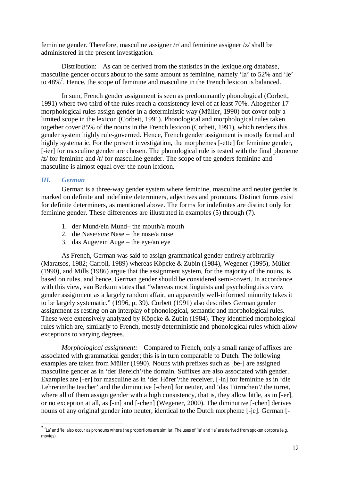feminine gender. Therefore, masculine assigner /r/ and feminine assigner /z/ shall be administered in the present investigation.

Distribution: As can be derived from the statistics in the lexique.org database, masculine gender occurs about to the same amount as feminine, namely 'la' to 52% and 'le' to  $48\%$ <sup>7</sup>. Hence, the scope of feminine and masculine in the French lexicon is balanced.

In sum, French gender assignment is seen as predominantly phonological (Corbett, 1991) where two third of the rules reach a consistency level of at least 70%. Altogether 17 morphological rules assign gender in a deterministic way (Müller, 1990) but cover only a limited scope in the lexicon (Corbett, 1991). Phonological and morphological rules taken together cover 85% of the nouns in the French lexicon (Corbett, 1991), which renders this gender system highly rule-governed. Hence, French gender assignment is mostly formal and highly systematic. For the present investigation, the morphemes [-ette] for feminine gender, [-ier] for masculine gender are chosen. The phonological rule is tested with the final phoneme /z/ for feminine and /r/ for masculine gender. The scope of the genders feminine and masculine is almost equal over the noun lexicon.

# *III. German*

German is a three-way gender system where feminine, masculine and neuter gender is marked on definite and indefinite determiners, adjectives and pronouns. Distinct forms exist for definite determiners, as mentioned above. The forms for indefinites are distinct only for feminine gender. These differences are illustrated in examples (5) through (7).

- 1. der Mund/ein Mund– the mouth/a mouth
- 2. die Nase/*eine* Nase the nose/a nose
- 3. das Auge/ein Auge the eye/an eye

As French, German was said to assign grammatical gender entirely arbitrarily (Maratsos, 1982; Carroll, 1989) whereas Köpcke & Zubin (1984), Wegener (1995), Müller (1990), and Mills (1986) argue that the assignment system, for the majority of the nouns, is based on rules, and hence, German gender should be considered semi-covert. In accordance with this view, van Berkum states that "whereas most linguists and psycholinguists view gender assignment as a largely random affair, an apparently well-informed minority takes it to be largely systematic." (1996, p. 39). Corbett (1991) also describes German gender assignment as resting on an interplay of phonological, semantic and morphological rules. These were extensively analyzed by Köpcke & Zubin (1984). They identified morphological rules which are, similarly to French, mostly deterministic and phonological rules which allow exceptions to varying degrees.

*Morphological assignment:* Compared to French, only a small range of affixes are associated with grammatical gender; this is in turn comparable to Dutch. The following examples are taken from Müller (1990). Nouns with prefixes such as [be-] are assigned masculine gender as in 'der Bereich'/the domain. Suffixes are also associated with gender. Examples are [-er] for masculine as in 'der Hörer'/the receiver, [-in] for feminine as in 'die Lehrerin/the teacher' and the diminutive [-chen] for neuter, and 'das Türmchen'/ the turret, where all of them assign gender with a high consistency, that is, they allow little, as in [-er], or no exception at all, as [-in] and [-chen] (Wegener, 2000). The diminutive [-chen] derives nouns of any original gender into neuter, identical to the Dutch morpheme [-je]. German [-

 $^7$  'La' and 'le' also occur as pronouns where the proportions are similar. The uses of 'la' and 'le' are derived from spoken corpora (e.g. movies).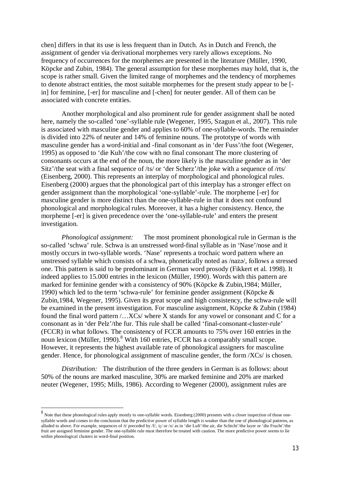chen] differs in that its use is less frequent than in Dutch. As in Dutch and French, the assignment of gender via derivational morphemes very rarely allows exceptions. No frequency of occurrences for the morphemes are presented in the literature (Müller, 1990, Köpcke and Zubin, 1984). The general assumption for these morphemes may hold, that is, the scope is rather small. Given the limited range of morphemes and the tendency of morphemes to denote abstract entities, the most suitable morphemes for the present study appear to be [ in] for feminine, [-er] for masculine and [-chen] for neuter gender. All of them can be associated with concrete entities.

Another morphological and also prominent rule for gender assignment shall be noted here, namely the so-called 'one'-syllable rule (Wegener, 1995, Szagun et al., 2007). This rule is associated with masculine gender and applies to 60% of one-syllable-words. The remainder is divided into 22% of neuter and 14% of feminine nouns. The prototype of words with masculine gender has a word-initial and -final consonant as in 'der Fuss'/the foot (Wegener, 1995) as opposed to 'die Kuh'/the cow with no final consonant The more clustering of consonants occurs at the end of the noun, the more likely is the masculine gender as in 'der Sitz'/the seat with a final sequence of /ts/ or 'der Scherz'/the joke with a sequence of /rts/ (Eisenberg, 2000). This represents an interplay of morphological and phonological rules. Eisenberg (2000) argues that the phonological part of this interplay has a stronger effect on gender assignment than the morphological 'one-syllable'-rule. The morpheme [-er] for masculine gender is more distinct than the one-syllable-rule in that it does not confound phonological and morphological rules. Moreover, it has a higher consistency. Hence, the morpheme [-er] is given precedence over the 'one-syllable-rule' and enters the present investigation.

*Phonological assignment:* The most prominent phonological rule in German is the so-called 'schwa' rule. Schwa is an unstressed word-final syllable as in 'Nase'/nose and it mostly occurs in two-syllable words. 'Nase' represents a trochaic word pattern where an unstressed syllable which consists of a schwa, phonetically noted as  $/naz2/$ , follows a stressed one. This pattern is said to be predominant in German word prosody (Fikkert et al. 1998). It indeed applies to 15.000 entries in the lexicon (Müller, 1990). Words with this pattern are marked for feminine gender with a consistency of 90% (Köpcke & Zubin,1984; Müller, 1990) which led to the term 'schwa-rule' for feminine gender assignment (Köpcke & Zubin,1984, Wegener, 1995). Given its great scope and high consistency, the schwa-rule will be examined in the present investigation. For masculine assignment, Köpcke & Zubin (1984) found the final word pattern /…XCs/ where X stands for any vowel or consonant and C for a consonant as in 'der Pelz'/the fur. This rule shall be called 'final-consonant-cluster-rule' (FCCR) in what follows. The consistency of FCCR amounts to 75% over 160 entries in the noun lexicon (Müller, 1990).<sup>8</sup> With 160 entries, FCCR has a comparably small scope. However, it represents the highest available rate of phonological assigners for masculine gender. Hence, for phonological assignment of masculine gender, the form /XCs/ is chosen.

*Distribution:* The distribution of the three genders in German is as follows: about 50% of the nouns are marked masculine, 30% are marked feminine and 20% are marked neuter (Wegener, 1995; Mills, 1986). According to Wegener (2000), assignment rules are

 $8$  Note that these phonological rules apply mostly to one-syllable words. Eisenberg (2000) presents with a closer inspection of those onesyllable words and comes to the conclusion that the predictive power of syllable length is weaker than the one of phonological patterns, as alluded to above. For example, sequences of /t/ preceded by /f/, /c/ or /x/ as in 'die Luft'/the air, die Schicht'/the layer or 'die Frucht'/the fruit are assigned feminine gender. The one-syllable rule must therefore be treated with caution. The more predictive power seems to lie within phonological clusters in word-final position.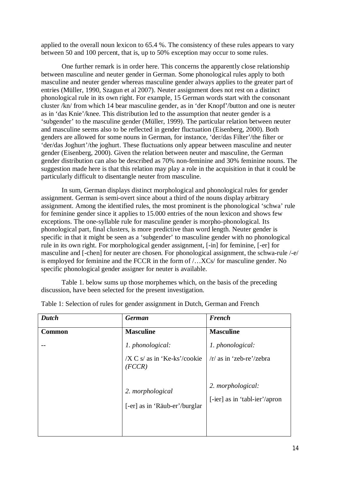applied to the overall noun lexicon to 65.4 %. The consistency of these rules appears to vary between 50 and 100 percent, that is, up to 50% exception may occur to some rules.

One further remark is in order here. This concerns the apparently close relationship between masculine and neuter gender in German. Some phonological rules apply to both masculine and neuter gender whereas masculine gender always applies to the greater part of entries (Müller, 1990, Szagun et al 2007). Neuter assignment does not rest on a distinct phonological rule in its own right. For example, 15 German words start with the consonant cluster /kn/ from which 14 bear masculine gender, as in 'der Knopf'/button and one is neuter as in 'das Knie'/knee. This distribution led to the assumption that neuter gender is a 'subgender' to the masculine gender (Müller, 1999). The particular relation between neuter and masculine seems also to be reflected in gender fluctuation (Eisenberg, 2000). Both genders are allowed for some nouns in German, for instance, 'der/das Filter'/the filter or 'der/das Joghurt'/the joghurt. These fluctuations only appear between masculine and neuter gender (Eisenberg, 2000). Given the relation between neuter and masculine, the German gender distribution can also be described as 70% non-feminine and 30% feminine nouns. The suggestion made here is that this relation may play a role in the acquisition in that it could be particularly difficult to disentangle neuter from masculine.

In sum, German displays distinct morphological and phonological rules for gender assignment. German is semi-overt since about a third of the nouns display arbitrary assignment. Among the identified rules, the most prominent is the phonological 'schwa' rule for feminine gender since it applies to 15.000 entries of the noun lexicon and shows few exceptions. The one-syllable rule for masculine gender is morpho-phonological. Its phonological part, final clusters, is more predictive than word length. Neuter gender is specific in that it might be seen as a 'subgender' to masculine gender with no phonological rule in its own right. For morphological gender assignment, [-in] for feminine, [-er] for masculine and [-chen] for neuter are chosen. For phonological assignment, the schwa-rule /-e/ is employed for feminine and the FCCR in the form of /…XCs/ for masculine gender. No specific phonological gender assigner for neuter is available.

Table 1. below sums up those morphemes which, on the basis of the preceding discussion, have been selected for the present investigation.

| <b>Dutch</b>  | <b>German</b>                                     | <b>French</b>                                      |
|---------------|---------------------------------------------------|----------------------------------------------------|
| <b>Common</b> | <b>Masculine</b>                                  | <b>Masculine</b>                                   |
|               | 1. phonological:                                  | 1. phonological:                                   |
|               | /X C s/ as in 'Ke-ks'/cookie<br>(FCCR)            | $/r/$ as in 'zeb-re'/zebra                         |
|               | 2. morphological<br>[-er] as in 'Räub-er'/burglar | 2. morphological:<br>[-ier] as in 'tabl-ier'/apron |

Table 1: Selection of rules for gender assignment in Dutch, German and French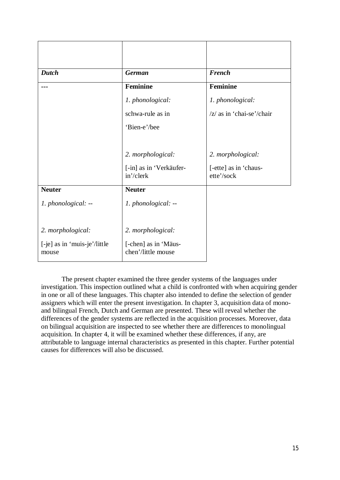| <b>Dutch</b>                          | <b>German</b>                                 | <b>French</b>                       |
|---------------------------------------|-----------------------------------------------|-------------------------------------|
|                                       | Feminine                                      | Feminine                            |
|                                       | 1. phonological:                              | 1. phonological:                    |
|                                       | schwa-rule as in                              | $ z $ as in 'chai-se'/chair         |
|                                       | 'Bien-e'/bee                                  |                                     |
|                                       |                                               |                                     |
|                                       | 2. morphological:                             | 2. morphological:                   |
|                                       | [-in] as in 'Verkäufer-<br>$in'/\text{clerk}$ | [-ette] as in 'chaus-<br>ette'/sock |
| <b>Neuter</b>                         | <b>Neuter</b>                                 |                                     |
| 1. phonological: --                   | 1. phonological: --                           |                                     |
|                                       |                                               |                                     |
| 2. morphological:                     | 2. morphological:                             |                                     |
| [-je] as in 'muis-je'/little<br>mouse | [-chen] as in 'Mäus-<br>chen'/little mouse    |                                     |

The present chapter examined the three gender systems of the languages under investigation. This inspection outlined what a child is confronted with when acquiring gender in one or all of these languages. This chapter also intended to define the selection of gender assigners which will enter the present investigation. In chapter 3, acquisition data of monoand bilingual French, Dutch and German are presented. These will reveal whether the differences of the gender systems are reflected in the acquisition processes. Moreover, data on bilingual acquisition are inspected to see whether there are differences to monolingual acquisition. In chapter 4, it will be examined whether these differences, if any, are attributable to language internal characteristics as presented in this chapter. Further potential causes for differences will also be discussed.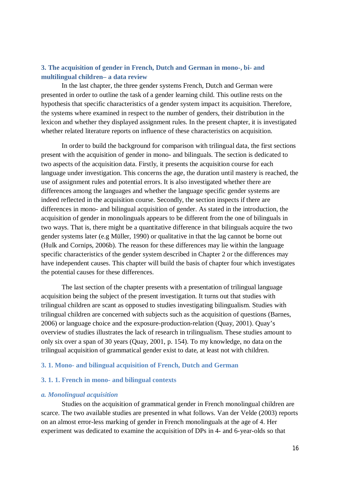# **3. The acquisition of gender in French, Dutch and German in mono-, bi- and multilingual children– a data review**

In the last chapter, the three gender systems French, Dutch and German were presented in order to outline the task of a gender learning child. This outline rests on the hypothesis that specific characteristics of a gender system impact its acquisition. Therefore, the systems where examined in respect to the number of genders, their distribution in the lexicon and whether they displayed assignment rules. In the present chapter, it is investigated whether related literature reports on influence of these characteristics on acquisition.

In order to build the background for comparison with trilingual data, the first sections present with the acquisition of gender in mono- and bilinguals. The section is dedicated to two aspects of the acquisition data. Firstly, it presents the acquisition course for each language under investigation. This concerns the age, the duration until mastery is reached, the use of assignment rules and potential errors. It is also investigated whether there are differences among the languages and whether the language specific gender systems are indeed reflected in the acquisition course. Secondly, the section inspects if there are differences in mono- and bilingual acquisition of gender. As stated in the introduction, the acquisition of gender in monolinguals appears to be different from the one of bilinguals in two ways. That is, there might be a quantitative difference in that bilinguals acquire the two gender systems later (e.g Müller, 1990) or qualitative in that the lag cannot be borne out (Hulk and Cornips, 2006b). The reason for these differences may lie within the language specific characteristics of the gender system described in Chapter 2 or the differences may have independent causes. This chapter will build the basis of chapter four which investigates the potential causes for these differences.

The last section of the chapter presents with a presentation of trilingual language acquisition being the subject of the present investigation. It turns out that studies with trilingual children are scant as opposed to studies investigating bilingualism. Studies with trilingual children are concerned with subjects such as the acquisition of questions (Barnes, 2006) or language choice and the exposure-production-relation (Quay, 2001). Quay's overview of studies illustrates the lack of research in trilingualism. These studies amount to only six over a span of 30 years (Quay, 2001, p. 154). To my knowledge, no data on the trilingual acquisition of grammatical gender exist to date, at least not with children.

# **3. 1. Mono- and bilingual acquisition of French, Dutch and German**

# **3. 1. 1. French in mono- and bilingual contexts**

#### *a. Monolingual acquisition*

Studies on the acquisition of grammatical gender in French monolingual children are scarce. The two available studies are presented in what follows. Van der Velde (2003) reports on an almost error-less marking of gender in French monolinguals at the age of 4. Her experiment was dedicated to examine the acquisition of DPs in 4- and 6-year-olds so that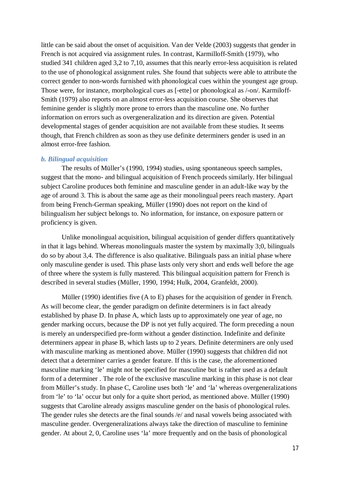little can be said about the onset of acquisition. Van der Velde (2003) suggests that gender in French is not acquired via assignment rules. In contrast, Karmilloff-Smith (1979), who studied 341 children aged 3,2 to 7,10, assumes that this nearly error-less acquisition is related to the use of phonological assignment rules. She found that subjects were able to attribute the correct gender to non-words furnished with phonological cues within the youngest age group. Those were, for instance, morphological cues as [-ette] or phonological as /-on/. Karmiloff-Smith (1979) also reports on an almost error-less acquisition course. She observes that feminine gender is slightly more prone to errors than the masculine one. No further information on errors such as overgeneralization and its direction are given. Potential developmental stages of gender acquisition are not available from these studies. It seems though, that French children as soon as they use definite determiners gender is used in an almost error-free fashion.

# *b. Bilingual acquisition*

The results of Müller's (1990, 1994) studies, using spontaneous speech samples, suggest that the mono- and bilingual acquisition of French proceeds similarly. Her bilingual subject Caroline produces both feminine and masculine gender in an adult-like way by the age of around 3. This is about the same age as their monolingual peers reach mastery. Apart from being French-German speaking, Müller (1990) does not report on the kind of bilingualism her subject belongs to. No information, for instance, on exposure pattern or proficiency is given.

Unlike monolingual acquisition, bilingual acquisition of gender differs quantitatively in that it lags behind. Whereas monolinguals master the system by maximally 3;0, bilinguals do so by about 3,4. The difference is also qualitative. Bilinguals pass an initial phase where only masculine gender is used. This phase lasts only very short and ends well before the age of three where the system is fully mastered. This bilingual acquisition pattern for French is described in several studies (Müller, 1990, 1994; Hulk, 2004, Granfeldt, 2000).

Müller (1990) identifies five (A to E) phases for the acquisition of gender in French. As will become clear, the gender paradigm on definite determiners is in fact already established by phase D. In phase A, which lasts up to approximately one year of age, no gender marking occurs, because the DP is not yet fully acquired. The form preceding a noun is merely an underspecified pre-form without a gender distinction. Indefinite and definite determiners appear in phase B, which lasts up to 2 years. Definite determiners are only used with masculine marking as mentioned above. Müller (1990) suggests that children did not detect that a determiner carries a gender feature. If this is the case, the aforementioned masculine marking 'le' might not be specified for masculine but is rather used as a default form of a determiner . The role of the exclusive masculine marking in this phase is not clear from Müller's study. In phase C, Caroline uses both 'le' and 'la' whereas overgeneralizations from 'le' to 'la' occur but only for a quite short period, as mentioned above. Müller (1990) suggests that Caroline already assigns masculine gender on the basis of phonological rules. The gender rules she detects are the final sounds /e/ and nasal vowels being associated with masculine gender. Overgeneralizations always take the direction of masculine to feminine gender. At about 2, 0, Caroline uses 'la' more frequently and on the basis of phonological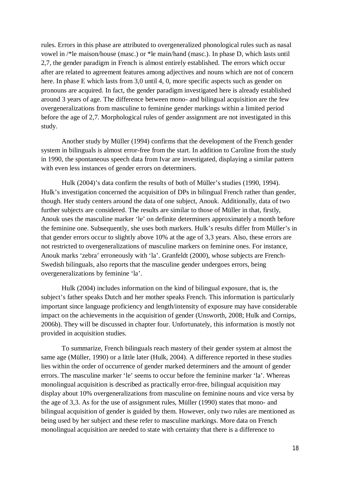rules. Errors in this phase are attributed to overgeneralized phonological rules such as nasal vowel in /\*le maison/house (masc.) or \*le main/hand (masc.). In phase D, which lasts until 2,7, the gender paradigm in French is almost entirely established. The errors which occur after are related to agreement features among adjectives and nouns which are not of concern here. In phase E which lasts from 3,0 until 4, 0, more specific aspects such as gender on pronouns are acquired. In fact, the gender paradigm investigated here is already established around 3 years of age. The difference between mono- and bilingual acquisition are the few overgeneralizations from masculine to feminine gender markings within a limited period before the age of 2,7. Morphological rules of gender assignment are not investigated in this study.

Another study by Müller (1994) confirms that the development of the French gender system in bilinguals is almost error-free from the start. In addition to Caroline from the study in 1990, the spontaneous speech data from Ivar are investigated, displaying a similar pattern with even less instances of gender errors on determiners.

Hulk (2004)'s data confirm the results of both of Müller's studies (1990, 1994). Hulk's investigation concerned the acquisition of DPs in bilingual French rather than gender, though. Her study centers around the data of one subject, Anouk. Additionally, data of two further subjects are considered. The results are similar to those of Müller in that, firstly, Anouk uses the masculine marker 'le' on definite determiners approximately a month before the feminine one. Subsequently, she uses both markers. Hulk's results differ from Müller's in that gender errors occur to slightly above 10% at the age of 3,3 years. Also, these errors are not restricted to overgeneralizations of masculine markers on feminine ones. For instance, Anouk marks 'zebra' erroneously with 'la'. Granfeldt (2000), whose subjects are French-Swedish bilinguals, also reports that the masculine gender undergoes errors, being overgeneralizations by feminine 'la'.

Hulk (2004) includes information on the kind of bilingual exposure, that is, the subject's father speaks Dutch and her mother speaks French. This information is particularly important since language proficiency and length/intensity of exposure may have considerable impact on the achievements in the acquisition of gender (Unsworth, 2008; Hulk and Cornips, 2006b). They will be discussed in chapter four. Unfortunately, this information is mostly not provided in acquisition studies.

To summarize, French bilinguals reach mastery of their gender system at almost the same age (Müller, 1990) or a little later (Hulk, 2004). A difference reported in these studies lies within the order of occurrence of gender marked determiners and the amount of gender errors. The masculine marker 'le' seems to occur before the feminine marker 'la'. Whereas monolingual acquisition is described as practically error-free, bilingual acquisition may display about 10% overgeneralizations from masculine on feminine nouns and vice versa by the age of 3,3. As for the use of assignment rules, Müller (1990) states that mono- and bilingual acquisition of gender is guided by them. However, only two rules are mentioned as being used by her subject and these refer to masculine markings. More data on French monolingual acquisition are needed to state with certainty that there is a difference to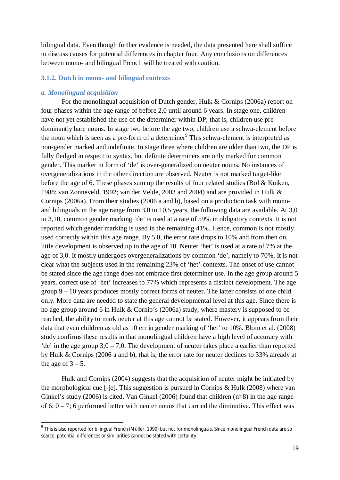bilingual data. Even though further evidence is needed, the data presented here shall suffice to discuss causes for potential differences in chapter four. Any conclusions on differences between mono- and bilingual French will be treated with caution.

# **3.1.2. Dutch in mono- and bilingual contexts**

## *a. Monolingual acquisition*

For the monolingual acquisition of Dutch gender, Hulk & Cornips (2006a) report on four phases within the age range of before 2,0 until around 6 years. In stage one, children have not yet established the use of the determiner within DP, that is, children use predominantly bare nouns. In stage two before the age two, children use a schwa-element before the noun which is seen as a pre-form of a determiner<sup>9</sup> This schwa-element is interpreted as non-gender marked and indefinite. In stage three where children are older than two, the DP is fully fledged in respect to syntax, but definite determiners are only marked for common gender. This marker in form of 'de' is over-generalized on neuter nouns. No instances of overgeneralizations in the other direction are observed. Neuter is not marked target-like before the age of 6. These phases sum up the results of four related studies (Bol & Kuiken, 1988; van Zonneveld, 1992; van der Velde, 2003 and 2004) and are provided in Hulk & Cornips (2006a). From their studies (2006 a and b), based on a production task with monoand bilinguals in the age range from 3,0 to 10,5 years, the following data are available. At 3,0 to 3,10, common gender marking 'de' is used at a rate of 59% in obligatory contexts. It is not reported which gender marking is used in the remaining 41%. Hence, common is not mostly used correctly within this age range. By 5,0, the error rate drops to 10% and from then on, little development is observed up to the age of 10. Neuter 'het' is used at a rate of 7% at the age of 3,0. It mostly undergoes overgeneralizations by common 'de', namely to 70%. It is not clear what the subjects used in the remaining 23% of 'het'-contexts. The onset of use cannot be stated since the age range does not embrace first determiner use. In the age group around 5 years, correct use of 'het' increases to 77% which represents a distinct development. The age group 9 – 10 years produces mostly correct forms of neuter. The latter consists of one child only. More data are needed to state the general developmental level at this age. Since there is no age group around 6 in Hulk & Cornip's (2006a) study, where mastery is supposed to be reached, the ability to mark neuter at this age cannot be stated. However, it appears from their data that even children as old as 10 err in gender marking of 'het' to 10%. Blom et al. (2008) study confirms these results in that monolingual children have a high level of accuracy with 'de' in the age group  $3;0 - 7;0$ . The development of neuter takes place a earlier than reported by Hulk & Cornips (2006 a and b), that is, the error rate for neuter declines to 33% already at the age of  $3 - 5$ .

Hulk and Cornips (2004) suggests that the acquisition of neuter might be initiated by the morphological cue [-je]. This suggestion is pursued in Cornips & Hulk (2008) where van Ginkel's study (2006) is cited. Van Ginkel (2006) found that children  $(n=8)$  in the age range of  $6$ ;  $0 - 7$ ; 6 performed better with neuter nouns that carried the diminutive. This effect was

 $^9$  This is also reported for bilingual French (Müller, 1990) but not for monolinguals. Since monolingual French data are so scarce, potential differences or similarities cannot be stated with certainty.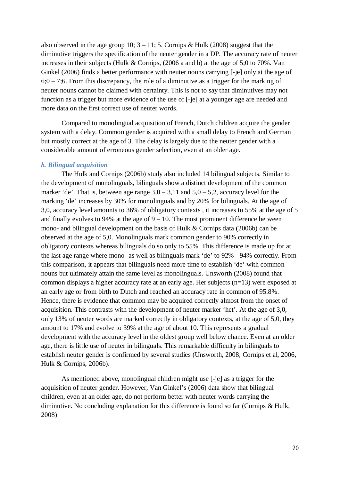also observed in the age group 10;  $3 - 11$ ; 5. Cornips & Hulk (2008) suggest that the diminutive triggers the specification of the neuter gender in a DP. The accuracy rate of neuter increases in their subjects (Hulk & Cornips, (2006 a and b) at the age of 5;0 to 70%. Van Ginkel (2006) finds a better performance with neuter nouns carrying [-je] only at the age of  $6;0 - 7;6$ . From this discrepancy, the role of a diminutive as a trigger for the marking of neuter nouns cannot be claimed with certainty. This is not to say that diminutives may not function as a trigger but more evidence of the use of [-je] at a younger age are needed and more data on the first correct use of neuter words.

Compared to monolingual acquisition of French, Dutch children acquire the gender system with a delay. Common gender is acquired with a small delay to French and German but mostly correct at the age of 3. The delay is largely due to the neuter gender with a considerable amount of erroneous gender selection, even at an older age.

# *b. Bilingual acquisition*

The Hulk and Cornips (2006b) study also included 14 bilingual subjects. Similar to the development of monolinguals, bilinguals show a distinct development of the common marker 'de'. That is, between age range  $3.0 - 3.11$  and  $5.0 - 5.2$ , accuracy level for the marking 'de' increases by 30% for monolinguals and by 20% for bilinguals. At the age of 3,0, accuracy level amounts to 36% of obligatory contexts , it increases to 55% at the age of 5 and finally evolves to 94% at the age of  $9 - 10$ . The most prominent difference between mono- and bilingual development on the basis of Hulk & Cornips data (2006b) can be observed at the age of 5,0. Monolinguals mark common gender to 90% correctly in obligatory contexts whereas bilinguals do so only to 55%. This difference is made up for at the last age range where mono- as well as bilinguals mark 'de' to 92% - 94% correctly. From this comparison, it appears that bilinguals need more time to establish 'de' with common nouns but ultimately attain the same level as monolinguals. Unsworth (2008) found that common displays a higher accuracy rate at an early age. Her subjects (n=13) were exposed at an early age or from birth to Dutch and reached an accuracy rate in common of 95.8%. Hence, there is evidence that common may be acquired correctly almost from the onset of acquisition. This contrasts with the development of neuter marker 'het'. At the age of 3,0, only 13% of neuter words are marked correctly in obligatory contexts, at the age of 5,0, they amount to 17% and evolve to 39% at the age of about 10. This represents a gradual development with the accuracy level in the oldest group well below chance. Even at an older age, there is little use of neuter in bilinguals. This remarkable difficulty in bilinguals to establish neuter gender is confirmed by several studies (Unsworth, 2008; Cornips et al, 2006, Hulk & Cornips, 2006b).

As mentioned above, monolingual children might use [-je] as a trigger for the acquisition of neuter gender. However, Van Ginkel's (2006) data show that bilingual children, even at an older age, do not perform better with neuter words carrying the diminutive. No concluding explanation for this difference is found so far (Cornips & Hulk, 2008)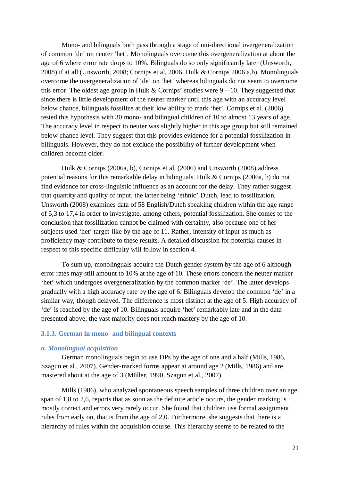Mono- and bilinguals both pass through a stage of uni-directional overgeneralization of common 'de' on neuter 'het'. Monolinguals overcome this overgeneralization at about the age of 6 where error rate drops to 10%. Bilinguals do so only significantly later (Unsworth, 2008) if at all (Unsworth, 2008; Cornips et al, 2006, Hulk & Cornips 2006 a,b). Monolinguals overcome the overgeneralization of 'de' on 'het' whereas bilinguals do not seem to overcome this error. The oldest age group in Hulk & Cornips' studies were  $9 - 10$ . They suggested that since there is little development of the neuter marker until this age with an accuracy level below chance, bilinguals fossilize at their low ability to mark 'het'. Cornips et al. (2006) tested this hypothesis with 30 mono- and bilingual children of 10 to almost 13 years of age. The accuracy level in respect to neuter was slightly higher in this age group but still remained below chance level. They suggest that this provides evidence for a potential fossilization in bilinguals. However, they do not exclude the possibility of further development when children become older.

Hulk & Cornips (2006a, b), Cornips et al. (2006) and Unsworth (2008) address potential reasons for this remarkable delay in bilinguals. Hulk & Cornips (2006a, b) do not find evidence for cross-linguistic influence as an account for the delay. They rather suggest that quantity and quality of input, the latter being 'ethnic' Dutch, lead to fossilization. Unsworth (2008) examines data of 58 English/Dutch speaking children within the age range of 5,3 to 17,4 in order to investigate, among others, potential fossilization. She comes to the conclusion that fossilization cannot be claimed with certainty, also because one of her subjects used 'het' target-like by the age of 11. Rather, intensity of input as much as proficiency may contribute to these results. A detailed discussion for potential causes in respect to this specific difficulty will follow in section 4.

To sum up, monolinguals acquire the Dutch gender system by the age of 6 although error rates may still amount to 10% at the age of 10. These errors concern the neuter marker 'het' which undergoes overgeneralization by the common marker 'de'. The latter develops gradually with a high accuracy rate by the age of 6. Bilinguals develop the common 'de' in a similar way, though delayed. The difference is most distinct at the age of 5. High accuracy of 'de' is reached by the age of 10. Bilinguals acquire 'het' remarkably late and in the data presented above, the vast majority does not reach mastery by the age of 10.

# **3.1.3. German in mono- and bilingual contexts**

# *a. Monolingual acquisition*

German monolinguals begin to use DPs by the age of one and a half (Mills, 1986, Szagun et al., 2007). Gender-marked forms appear at around age 2 (Mills, 1986) and are mastered about at the age of 3 (Müller, 1990, Szagun et al., 2007).

Mills (1986), who analyzed spontaneous speech samples of three children over an age span of 1,8 to 2,6, reports that as soon as the definite article occurs, the gender marking is mostly correct and errors very rarely occur. She found that children use formal assignment rules from early on, that is from the age of 2,0. Furthermore, she suggests that there is a hierarchy of rules within the acquisition course. This hierarchy seems to be related to the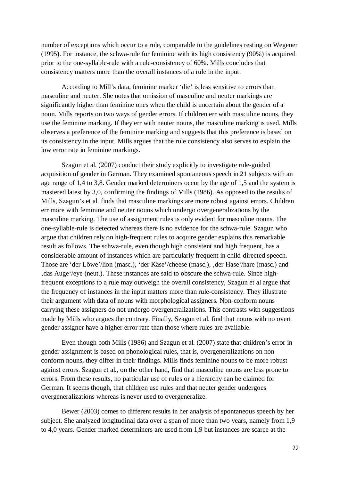number of exceptions which occur to a rule, comparable to the guidelines resting on Wegener (1995). For instance, the schwa-rule for feminine with its high consistency (90%) is acquired prior to the one-syllable-rule with a rule-consistency of 60%. Mills concludes that consistency matters more than the overall instances of a rule in the input.

According to Mill's data, feminine marker 'die' is less sensitive to errors than masculine and neuter. She notes that omission of masculine and neuter markings are significantly higher than feminine ones when the child is uncertain about the gender of a noun. Mills reports on two ways of gender errors. If children err with masculine nouns, they use the feminine marking. If they err with neuter nouns, the masculine marking is used. Mills observes a preference of the feminine marking and suggests that this preference is based on its consistency in the input. Mills argues that the rule consistency also serves to explain the low error rate in feminine markings.

Szagun et al. (2007) conduct their study explicitly to investigate rule-guided acquisition of gender in German. They examined spontaneous speech in 21 subjects with an age range of 1,4 to 3,8. Gender marked determiners occur by the age of 1,5 and the system is mastered latest by 3,0, confirming the findings of Mills (1986). As opposed to the results of Mills, Szagun's et al. finds that masculine markings are more robust against errors. Children err more with feminine and neuter nouns which undergo overgeneralizations by the masculine marking. The use of assignment rules is only evident for masculine nouns. The one-syllable-rule is detected whereas there is no evidence for the schwa-rule. Szagun who argue that children rely on high-frequent rules to acquire gender explains this remarkable result as follows. The schwa-rule, even though high consistent and high frequent, has a considerable amount of instances which are particularly frequent in child-directed speech. Those are 'der Löwe'/lion (masc.), 'der Käse'/cheese (masc.), 'der Hase'/hare (masc.) and , das Auge'/eye (neut.). These instances are said to obscure the schwa-rule. Since highfrequent exceptions to a rule may outweigh the overall consistency, Szagun et al argue that the frequency of instances in the input matters more than rule-consistency. They illustrate their argument with data of nouns with morphological assigners. Non-conform nouns carrying these assigners do not undergo overgeneralizations. This contrasts with suggestions made by Mills who argues the contrary. Finally, Szagun et al. find that nouns with no overt gender assigner have a higher error rate than those where rules are available.

Even though both Mills (1986) and Szagun et al. (2007) state that children's error in gender assignment is based on phonological rules, that is, overgeneralizations on nonconform nouns, they differ in their findings. Mills finds feminine nouns to be more robust against errors. Szagun et al., on the other hand, find that masculine nouns are less prone to errors. From these results, no particular use of rules or a hierarchy can be claimed for German. It seems though, that children use rules and that neuter gender undergoes overgeneralizations whereas is never used to overgeneralize.

Bewer (2003) comes to different results in her analysis of spontaneous speech by her subject. She analyzed longitudinal data over a span of more than two years, namely from 1,9 to 4,0 years. Gender marked determiners are used from 1,9 but instances are scarce at the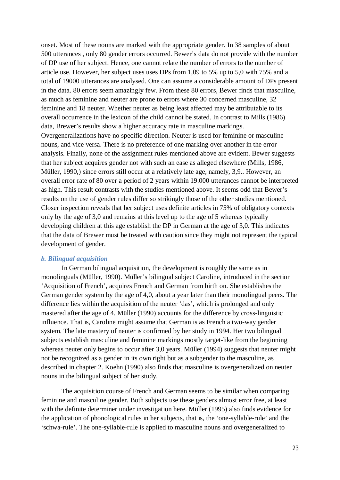onset. Most of these nouns are marked with the appropriate gender. In 38 samples of about 500 utterances , only 80 gender errors occurred. Bewer's data do not provide with the number of DP use of her subject. Hence, one cannot relate the number of errors to the number of article use. However, her subject uses uses DPs from 1,09 to 5% up to 5,0 with 75% and a total of 19000 utterances are analysed. One can assume a considerable amount of DPs present in the data. 80 errors seem amazingly few. From these 80 errors, Bewer finds that masculine, as much as feminine and neuter are prone to errors where 30 concerned masculine, 32 feminine and 18 neuter. Whether neuter as being least affected may be attributable to its overall occurrence in the lexicon of the child cannot be stated. In contrast to Mills (1986) data, Brewer's results show a higher accuracy rate in masculine markings. Overgeneralizations have no specific direction. Neuter is used for feminine or masculine nouns, and vice versa. There is no preference of one marking over another in the error analysis. Finally, none of the assignment rules mentioned above are evident. Bewer suggests that her subject acquires gender not with such an ease as alleged elsewhere (Mills, 1986, Müller, 1990,) since errors still occur at a relatively late age, namely, 3,9.. However, an overall error rate of 80 over a period of 2 years within 19.000 utterances cannot be interpreted as high. This result contrasts with the studies mentioned above. It seems odd that Bewer's results on the use of gender rules differ so strikingly those of the other studies mentioned. Closer inspection reveals that her subject uses definite articles in 75% of obligatory contexts only by the age of 3,0 and remains at this level up to the age of 5 whereas typically developing children at this age establish the DP in German at the age of 3,0. This indicates that the data of Brewer must be treated with caution since they might not represent the typical development of gender.

# *b. Bilingual acquisition*

In German bilingual acquisition, the development is roughly the same as in monolinguals (Müller, 1990). Müller's bilingual subject Caroline, introduced in the section 'Acquisition of French', acquires French and German from birth on. She establishes the German gender system by the age of 4,0, about a year later than their monolingual peers. The difference lies within the acquisition of the neuter 'das', which is prolonged and only mastered after the age of 4. Müller (1990) accounts for the difference by cross-linguistic influence. That is, Caroline might assume that German is as French a two-way gender system. The late mastery of neuter is confirmed by her study in 1994. Her two bilingual subjects establish masculine and feminine markings mostly target-like from the beginning whereas neuter only begins to occur after 3,0 years. Müller (1994) suggests that neuter might not be recognized as a gender in its own right but as a subgender to the masculine, as described in chapter 2. Koehn (1990) also finds that masculine is overgeneralized on neuter nouns in the bilingual subject of her study.

The acquisition course of French and German seems to be similar when comparing feminine and masculine gender. Both subjects use these genders almost error free, at least with the definite determiner under investigation here. Müller (1995) also finds evidence for the application of phonological rules in her subjects, that is, the 'one-syllable-rule' and the 'schwa-rule'. The one-syllable-rule is applied to masculine nouns and overgeneralized to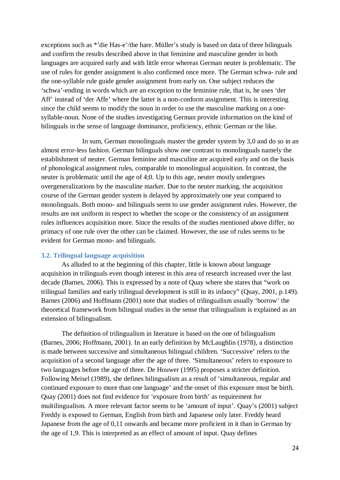exceptions such as \*'die Has-e'/the hare. Müller's study is based on data of three bilinguals and confirm the results described above in that feminine and masculine gender in both languages are acquired early and with little error whereas German neuter is problematic. The use of rules for gender assignment is also confirmed once more. The German schwa- rule and the one-syllable rule guide gender assignment from early on. One subject reduces the 'schwa'-ending in words which are an exception to the feminine rule, that is, he uses 'der Aff' instead of 'der Affe' where the latter is a non-conform assignment. This is interesting since the child seems to modify the noun in order to use the masculine marking on a onesyllable-noun. None of the studies investigating German provide information on the kind of bilinguals in the sense of language dominance, proficiency, ethnic German or the like.

In sum, German monolinguals master the gender system by 3,0 and do so in an almost error-less fashion. German bilinguals show one contrast to monolinguals namely the establishment of neuter. German feminine and masculine are acquired early and on the basis of phonological assignment rules, comparable to monolingual acquisition. In contrast, the neuter is problematic until the age of 4;0. Up to this age, neuter mostly undergoes overgeneralizations by the masculine marker. Due to the neuter marking, the acquisition course of the German gender system is delayed by approximately one year compared to monolinguals. Both mono- and bilinguals seem to use gender assignment rules. However, the results are not uniform in respect to whether the scope or the consistency of an assignment rules influences acquisition more. Since the results of the studies mentioned above differ, no primacy of one rule over the other can be claimed. However, the use of rules seems to be evident for German mono- and bilinguals.

# **3.2. Trilingual language acquisition**

As alluded to at the beginning of this chapter, little is known about language acquisition in trilinguals even though interest in this area of research increased over the last decade (Barnes, 2006). This is expressed by a note of Quay where she states that "work on trilingual families and early trilingual development is still in its infancy" (Quay, 2001, p.149). Barnes (2006) and Hoffmann (2001) note that studies of trilingualism usually 'borrow' the theoretical framework from bilingual studies in the sense that trilingualism is explained as an extension of bilingualism.

The definition of trilingualism in literature is based on the one of bilingualism (Barnes, 2006; Hoffmann, 2001). In an early definition by McLaughlin (1978), a distinction is made between successive and simultaneous bilingual children. 'Successive' refers to the acquisition of a second language after the age of three. 'Simultaneous' refers to exposure to two languages before the age of three. De Houwer (1995) proposes a stricter definition. Following Meisel (1989), she defines bilingualism as a result of 'simultaneous, regular and continued exposure to more than one language' and the onset of this exposure must be birth. Quay (2001) does not find evidence for 'exposure from birth' as requirement for multilingualism. A more relevant factor seems to be 'amount of input'. Quay's (2001) subject Freddy is exposed to German, English from birth and Japanese only later. Freddy heard Japanese from the age of 0,11 onwards and became more proficient in it than in German by the age of 1,9. This is interpreted as an effect of amount of input. Quay defines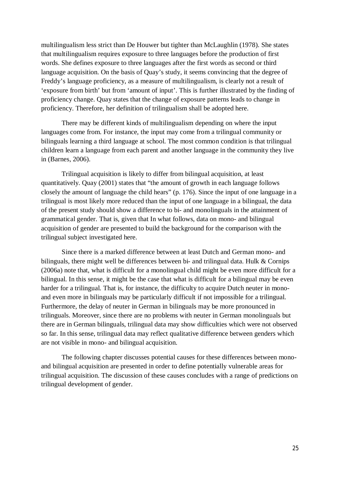multilingualism less strict than De Houwer but tighter than McLaughlin (1978). She states that multilingualism requires exposure to three languages before the production of first words. She defines exposure to three languages after the first words as second or third language acquisition. On the basis of Quay's study, it seems convincing that the degree of Freddy's language proficiency, as a measure of multilingualism, is clearly not a result of 'exposure from birth' but from 'amount of input'. This is further illustrated by the finding of proficiency change. Quay states that the change of exposure patterns leads to change in proficiency. Therefore, her definition of trilingualism shall be adopted here.

There may be different kinds of multilingualism depending on where the input languages come from. For instance, the input may come from a trilingual community or bilinguals learning a third language at school. The most common condition is that trilingual children learn a language from each parent and another language in the community they live in (Barnes, 2006).

Trilingual acquisition is likely to differ from bilingual acquisition, at least quantitatively. Quay (2001) states that "the amount of growth in each language follows closely the amount of language the child hears" (p. 176). Since the input of one language in a trilingual is most likely more reduced than the input of one language in a bilingual, the data of the present study should show a difference to bi- and monolinguals in the attainment of grammatical gender. That is, given that In what follows, data on mono- and bilingual acquisition of gender are presented to build the background for the comparison with the trilingual subject investigated here.

Since there is a marked difference between at least Dutch and German mono- and bilinguals, there might well be differences between bi- and trilingual data. Hulk & Cornips (2006a) note that, what is difficult for a monolingual child might be even more difficult for a bilingual. In this sense, it might be the case that what is difficult for a bilingual may be even harder for a trilingual. That is, for instance, the difficulty to acquire Dutch neuter in monoand even more in bilinguals may be particularly difficult if not impossible for a trilingual. Furthermore, the delay of neuter in German in bilinguals may be more pronounced in trilinguals. Moreover, since there are no problems with neuter in German monolinguals but there are in German bilinguals, trilingual data may show difficulties which were not observed so far. In this sense, trilingual data may reflect qualitative difference between genders which are not visible in mono- and bilingual acquisition.

The following chapter discusses potential causes for these differences between monoand bilingual acquisition are presented in order to define potentially vulnerable areas for trilingual acquisition. The discussion of these causes concludes with a range of predictions on trilingual development of gender.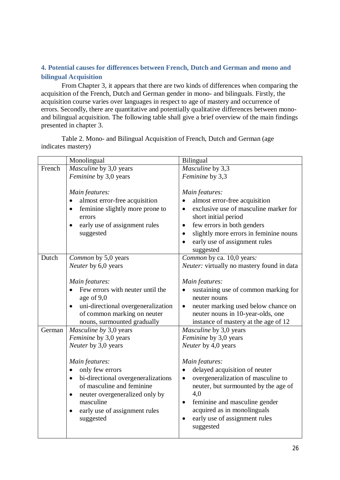# **4. Potential causes for differences between French, Dutch and German and mono and bilingual Acquisition**

From Chapter 3, it appears that there are two kinds of differences when comparing the acquisition of the French, Dutch and German gender in mono- and bilinguals. Firstly, the acquisition course varies over languages in respect to age of mastery and occurrence of errors. Secondly, there are quantitative and potentially qualitative differences between monoand bilingual acquisition. The following table shall give a brief overview of the main findings presented in chapter 3.

Table 2. Mono- and Bilingual Acquisition of French, Dutch and German (age indicates mastery)

|        | Monolingual                                            | Bilingual                                                     |  |  |
|--------|--------------------------------------------------------|---------------------------------------------------------------|--|--|
| French | Masculine by 3,0 years                                 | Masculine by 3,3                                              |  |  |
|        | Feminine by 3,0 years                                  | Feminine by 3,3                                               |  |  |
|        |                                                        |                                                               |  |  |
|        | Main features:                                         | Main features:                                                |  |  |
|        | almost error-free acquisition<br>$\bullet$             | almost error-free acquisition                                 |  |  |
|        | feminine slightly more prone to<br>$\bullet$<br>errors | exclusive use of masculine marker for<br>short initial period |  |  |
|        | early use of assignment rules<br>٠                     | few errors in both genders<br>$\bullet$                       |  |  |
|        | suggested                                              | slightly more errors in feminine nouns<br>$\bullet$           |  |  |
|        |                                                        | early use of assignment rules                                 |  |  |
|        |                                                        | suggested                                                     |  |  |
| Dutch  | Common by 5,0 years                                    | Common by ca. 10,0 years:                                     |  |  |
|        | Neuter by 6,0 years                                    | Neuter: virtually no mastery found in data                    |  |  |
|        |                                                        |                                                               |  |  |
|        | Main features:                                         | Main features:                                                |  |  |
|        | Few errors with neuter until the                       | sustaining use of common marking for                          |  |  |
|        | age of 9,0                                             | neuter nouns                                                  |  |  |
|        | uni-directional overgeneralization<br>$\bullet$        | neuter marking used below chance on<br>$\bullet$              |  |  |
|        | of common marking on neuter                            | neuter nouns in 10-year-olds, one                             |  |  |
|        | nouns, surmounted gradually                            | instance of mastery at the age of 12                          |  |  |
| German | Masculine by 3,0 years                                 | Masculine by 3,0 years                                        |  |  |
|        | Feminine by 3,0 years                                  | Feminine by 3,0 years                                         |  |  |
|        | Neuter by 3,0 years                                    | Neuter by 4,0 years                                           |  |  |
|        | Main features:                                         | Main features:                                                |  |  |
|        | only few errors                                        | delayed acquisition of neuter                                 |  |  |
|        | bi-directional overgeneralizations<br>$\bullet$        | overgeneralization of masculine to<br>$\bullet$               |  |  |
|        | of masculine and feminine                              | neuter, but surmounted by the age of                          |  |  |
|        | neuter overgeneralized only by<br>$\bullet$            | 4,0                                                           |  |  |
|        | masculine                                              | feminine and masculine gender<br>$\bullet$                    |  |  |
|        | early use of assignment rules                          | acquired as in monolinguals                                   |  |  |
|        | suggested                                              | early use of assignment rules                                 |  |  |
|        |                                                        | suggested                                                     |  |  |
|        |                                                        |                                                               |  |  |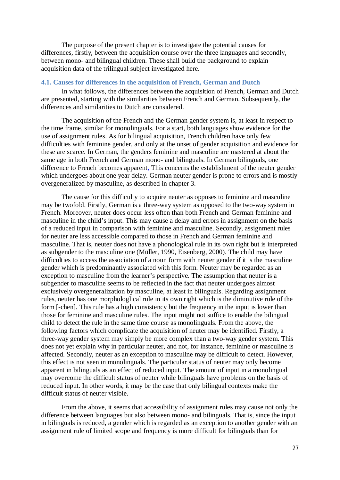The purpose of the present chapter is to investigate the potential causes for differences, firstly, between the acquisition course over the three languages and secondly, between mono- and bilingual children. These shall build the background to explain acquisition data of the trilingual subject investigated here.

# **4.1. Causes for differences in the acquisition of French, German and Dutch**

In what follows, the differences between the acquisition of French, German and Dutch are presented, starting with the similarities between French and German. Subsequently, the differences and similarities to Dutch are considered.

The acquisition of the French and the German gender system is, at least in respect to the time frame, similar for monolinguals. For a start, both languages show evidence for the use of assignment rules. As for bilingual acquisition, French children have only few difficulties with feminine gender, and only at the onset of gender acquisition and evidence for these are scarce. In German, the genders feminine and masculine are mastered at about the same age in both French and German mono- and bilinguals. In German bilinguals, one difference to French becomes apparent. This concerns the establishment of the neuter gender which undergoes about one year delay. German neuter gender is prone to errors and is mostly overgeneralized by masculine, as described in chapter 3.

The cause for this difficulty to acquire neuter as opposes to feminine and masculine may be twofold. Firstly, German is a three-way system as opposed to the two-way system in French. Moreover, neuter does occur less often than both French and German feminine and masculine in the child's input. This may cause a delay and errors in assignment on the basis of a reduced input in comparison with feminine and masculine. Secondly, assignment rules for neuter are less accessible compared to those in French and German feminine and masculine. That is, neuter does not have a phonological rule in its own right but is interpreted as subgender to the masculine one (Müller, 1990, Eisenberg, 2000). The child may have difficulties to access the association of a noun form with neuter gender if it is the masculine gender which is predominantly associated with this form. Neuter may be regarded as an exception to masculine from the learner's perspective. The assumption that neuter is a subgender to masculine seems to be reflected in the fact that neuter undergoes almost exclusively overgeneralization by masculine, at least in bilinguals. Regarding assignment rules, neuter has one morphologlical rule in its own right which is the diminutive rule of the form [-chen]. This rule has a high consistency but the frequency in the input is lower than those for feminine and masculine rules. The input might not suffice to enable the bilingual child to detect the rule in the same time course as monolinguals. From the above, the following factors which complicate the acquisition of neuter may be identified. Firstly, a three-way gender system may simply be more complex than a two-way gender system. This does not yet explain why in particular neuter, and not, for instance, feminine or masculine is affected. Secondly, neuter as an exception to masculine may be difficult to detect. However, this effect is not seen in monolinguals. The particular status of neuter may only become apparent in bilinguals as an effect of reduced input. The amount of input in a monolingual may overcome the difficult status of neuter while bilinguals have problems on the basis of reduced input. In other words, it may be the case that only bilingual contexts make the difficult status of neuter visible.

From the above, it seems that accessibility of assignment rules may cause not only the difference between languages but also between mono- and bilinguals. That is, since the input in bilinguals is reduced, a gender which is regarded as an exception to another gender with an assignment rule of limited scope and frequency is more difficult for bilinguals than for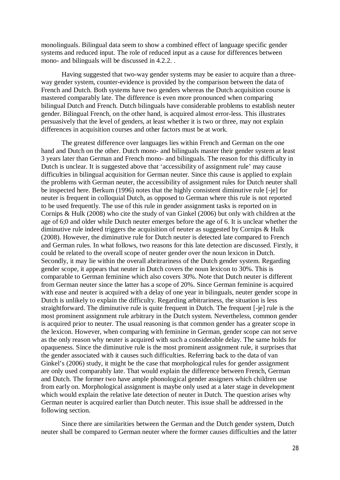monolinguals. Bilingual data seem to show a combined effect of language specific gender systems and reduced input. The role of reduced input as a cause for differences between mono- and bilinguals will be discussed in 4.2.2.

Having suggested that two-way gender systems may be easier to acquire than a threeway gender system, counter-evidence is provided by the comparison between the data of French and Dutch. Both systems have two genders whereas the Dutch acquisition course is mastered comparably late. The difference is even more pronounced when comparing bilingual Dutch and French. Dutch bilinguals have considerable problems to establish neuter gender. Bilingual French, on the other hand, is acquired almost error-less. This illustrates persuasively that the level of genders, at least whether it is two or three, may not explain differences in acquisition courses and other factors must be at work.

The greatest difference over languages lies within French and German on the one hand and Dutch on the other. Dutch mono- and bilinguals master their gender system at least 3 years later than German and French mono- and bilinguals. The reason for this difficulty in Dutch is unclear. It is suggested above that 'accessibility of assignment rule' may cause difficulties in bilingual acquisition for German neuter. Since this cause is applied to explain the problems with German neuter, the accessibility of assignment rules for Dutch neuter shall be inspected here. Berkum (1996) notes that the highly consistent diminutive rule [-je] for neuter is frequent in colloquial Dutch, as opposed to German where this rule is not reported to be used frequently. The use of this rule in gender assignment tasks is reported on in Cornips & Hulk (2008) who cite the study of van Ginkel (2006) but only with children at the age of 6;0 and older while Dutch neuter emerges before the age of 6. It is unclear whether the diminutive rule indeed triggers the acquisition of neuter as suggested by Cornips & Hulk (2008). However, the diminutive rule for Dutch neuter is detected late compared to French and German rules. In what follows, two reasons for this late detection are discussed. Firstly, it could be related to the overall scope of neuter gender over the noun lexicon in Dutch. Secondly, it may lie within the overall abritrariness of the Dutch gender system. Regarding gender scope, it appears that neuter in Dutch covers the noun lexicon to 30%. This is comparable to German feminine which also covers 30%. Note that Dutch neuter is different from German neuter since the latter has a scope of 20%. Since German feminine is acquired with ease and neuter is acquired with a delay of one year in bilinguals, neuter gender scope in Dutch is unlikely to explain the difficulty. Regarding arbitrariness, the situation is less straightforward. The diminutive rule is quite frequent in Dutch. The frequent [-je] rule is the most prominent assignment rule arbitrary in the Dutch system. Nevertheless, common gender is acquired prior to neuter. The usual reasoning is that common gender has a greater scope in the lexicon. However, when comparing with feminine in German, gender scope can not serve as the only reason why neuter is acquired with such a considerable delay. The same holds for opaqueness. Since the diminutive rule is the most prominent assignment rule, it surprises that the gender associated with it causes such difficulties. Referring back to the data of van Ginkel's (2006) study, it might be the case that morphological rules for gender assignment are only used comparably late. That would explain the difference between French, German and Dutch. The former two have ample phonological gender assigners which children use from early on. Morphological assignment is maybe only used at a later stage in development which would explain the relative late detection of neuter in Dutch. The question arises why German neuter is acquired earlier than Dutch neuter. This issue shall be addressed in the following section.

Since there are similarities between the German and the Dutch gender system, Dutch neuter shall be compared to German neuter where the former causes difficulties and the latter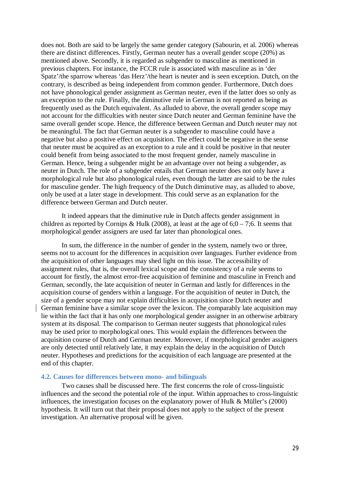does not. Both are said to be largely the same gender category (Sabourin, et al. 2006) whereas there are distinct differences. Firstly, German neuter has a overall gender scope (20%) as mentioned above. Secondly, it is regarded as subgender to masculine as mentioned in previous chapters. For instance, the FCCR rule is associated with masculine as in 'der Spatz'/the sparrow whereas 'das Herz'/the heart is neuter and is seen exception. Dutch, on the contrary, is described as being independent from common gender. Furthermore, Dutch does not have phonological gender assignment as German neuter, even if the latter does so only as an exception to the rule. Finally, the diminutive rule in German is not reported as being as frequently used as the Dutch equivalent. As alluded to above, the overall gender scope may not account for the difficulties with neuter since Dutch neuter and German feminine have the same overall gender scope. Hence, the difference between German and Dutch neuter may not be meaningful. The fact that German neuter is a subgender to masculine could have a negative but also a positive effect on acquisition. The effect could be negative in the sense that neuter must be acquired as an exception to a rule and it could be positive in that neuter could benefit from being associated to the most frequent gender, namely masculine in German. Hence, being a subgender might be an advantage over not being a subgender, as neuter in Dutch. The role of a subgender entails that German neuter does not only have a morphological rule but also phonological rules, even though the latter are said to be the rules for masculine gender. The high frequency of the Dutch diminutive may, as alluded to above, only be used at a later stage in development. This could serve as an explanation for the difference between German and Dutch neuter.

It indeed appears that the diminutive rule in Dutch affects gender assignment in children as reported by Cornips & Hulk (2008), at least at the age of  $6;0 - 7;6$ . It seems that morphological gender assigners are used far later than phonological ones.

In sum, the difference in the number of gender in the system, namely two or three, seems not to account for the differences in acquisition over languages. Further evidence from the acquisition of other languages may shed light on this issue. The accessibility of assignment rules, that is, the overall lexical scope and the consistency of a rule seems to account for firstly, the almost error-free acquisition of feminine and masculine in French and German, secondly, the late acquisition of neuter in German and lastly for differences in the acquisition course of genders within a language. For the acquisition of neuter in Dutch, the size of a gender scope may not explain difficulties in acquisition since Dutch neuter and German feminine have a similar scope over the lexicon. The comparably late acquisition may lie within the fact that it has only one morphological gender assigner in an otherwise arbitrary system at its disposal. The comparison to German neuter suggests that phonological rules may be used prior to morphological ones. This would explain the differences between the acquisition course of Dutch and German neuter. Moreover, if morphological gender assigners are only detected until relatively late, it may explain the delay in the acquisition of Dutch neuter. Hypotheses and predictions for the acquisition of each language are presented at the end of this chapter.

# **4.2. Causes for differences between mono- and bilinguals**

Two causes shall be discussed here. The first concerns the role of cross-linguistic influences and the second the potential role of the input. Within approaches to cross-linguistic influences, the investigation focuses on the explanatory power of Hulk & Müller's (2000) hypothesis. It will turn out that their proposal does not apply to the subject of the present investigation. An alternative proposal will be given.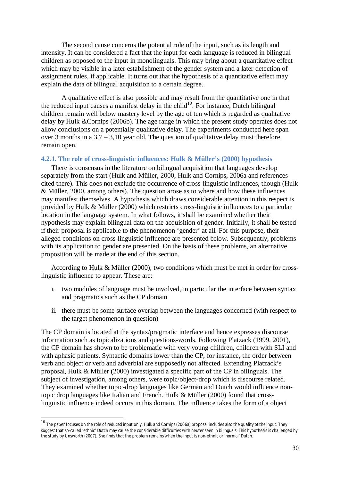The second cause concerns the potential role of the input, such as its length and intensity. It can be considered a fact that the input for each language is reduced in bilingual children as opposed to the input in monolinguals. This may bring about a quantitative effect which may be visible in a later establishment of the gender system and a later detection of assignment rules, if applicable. It turns out that the hypothesis of a quantitative effect may explain the data of bilingual acquisition to a certain degree.

A qualitative effect is also possible and may result from the quantitative one in that the reduced input causes a manifest delay in the child<sup>10</sup>. For instance, Dutch bilingual children remain well below mastery level by the age of ten which is regarded as qualitative delay by Hulk &Cornips (2006b). The age range in which the present study operates does not allow conclusions on a potentially qualitative delay. The experiments conducted here span over 3 months in a  $3.7 - 3.10$  year old. The question of qualitative delay must therefore remain open.

# **4.2.1. The role of cross-linguistic influences: Hulk & Müller's (2000) hypothesis**

There is consensus in the literature on bilingual acquisition that languages develop separately from the start (Hulk and Müller, 2000, Hulk and Cornips, 2006a and references cited there). This does not exclude the occurrence of cross-linguistic influences, though (Hulk & Müller, 2000, among others). The question arose as to where and how these influences may manifest themselves. A hypothesis which draws considerable attention in this respect is provided by Hulk & Müller (2000) which restricts cross-linguistic influences to a particular location in the language system. In what follows, it shall be examined whether their hypothesis may explain bilingual data on the acquisition of gender. Initially, it shall be tested if their proposal is applicable to the phenomenon 'gender' at all. For this purpose, their alleged conditions on cross-linguistic influence are presented below. Subsequently, problems with its application to gender are presented. On the basis of these problems, an alternative proposition will be made at the end of this section.

According to Hulk & Müller (2000), two conditions which must be met in order for crosslinguistic influence to appear. These are:

- i. two modules of language must be involved, in particular the interface between syntax and pragmatics such as the CP domain
- ii. there must be some surface overlap between the languages concerned (with respect to the target phenomenon in question)

The CP domain is located at the syntax/pragmatic interface and hence expresses discourse information such as topicalizations and questions-words. Following Platzack (1999, 2001), the CP domain has shown to be problematic with very young children, children with SLI and with aphasic patients. Syntactic domains lower than the CP, for instance, the order between verb and object or verb and adverbial are supposedly not affected. Extending Platzack's proposal, Hulk & Müller (2000) investigated a specific part of the CP in bilinguals. The subject of investigation, among others, were topic/object-drop which is discourse related. They examined whether topic-drop languages like German and Dutch would influence nontopic drop languages like Italian and French. Hulk & Müller (2000) found that crosslinguistic influence indeed occurs in this domain. The influence takes the form of a object

<sup>10</sup> The paper focuses on the role of *reduced input* only. Hulk and Cornips (2006a) proposal includes also the *quality of the input*. They suggest that so-called 'ethnic' Dutch may cause the considerable difficulties with neuter seen in bilinguals. This hypothesis is challenged by the study by Unsworth (2007). She finds that the problem remains when the input is non-ethnic or 'normal' Dutch.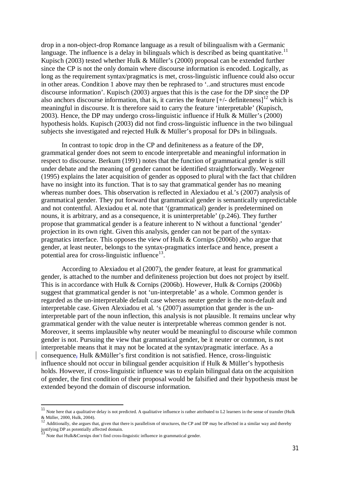drop in a non-object-drop Romance language as a result of bilingualism with a Germanic language. The influence is a delay in bilinguals which is described as being quantitative.<sup>11</sup> Kupisch (2003) tested whether Hulk & Müller's (2000) proposal can be extended further since the CP is not the only domain where discourse information is encoded. Logically, as long as the requirement syntax/pragmatics is met, cross-linguistic influence could also occur in other areas. Condition 1 above may then be rephrased to '..and structures must encode discourse information'. Kupisch (2003) argues that this is the case for the DP since the DP also anchors discourse information, that is, it carries the feature  $[+/$ - definiteness $]^{12}$  which is meaningful in discourse. It is therefore said to carry the feature 'interpretable' (Kupisch, 2003). Hence, the DP may undergo cross-linguistic influence if Hulk & Müller's (2000) hypothesis holds. Kupisch (2003) did not find cross-linguistic influence in the two bilingual subjects she investigated and rejected Hulk & Müller's proposal for DPs in bilinguals.

In contrast to topic drop in the CP and definiteness as a feature of the DP, grammatical gender does not seem to encode interpretable and meaningful information in respect to discourse. Berkum (1991) notes that the function of grammatical gender is still under debate and the meaning of gender cannot be identified straightforwardly. Wegener (1995) explains the later acquisition of gender as opposed to plural with the fact that children have no insight into its function. That is to say that grammatical gender has no meaning whereas number does. This observation is reflected in Alexiadou et al.'s (2007) analysis of grammatical gender. They put forward that grammatical gender is semantically unpredictable and not contentful. Alexiadou et al. note that '(grammatical) gender is predetermined on nouns, it is arbitrary, and as a consequence, it is uninterpretable' (p.246). They further propose that grammatical gender is a feature inherent to N without a functional 'gender' projection in its own right. Given this analysis, gender can not be part of the syntaxpragmatics interface. This opposes the view of Hulk & Cornips (2006b) ,who argue that gender, at least neuter, belongs to the syntax-pragmatics interface and hence, present a potential area for cross-linguistic influence $^{13}$ .

According to Alexiadou et al (2007), the gender feature, at least for grammatical gender, is attached to the number and definiteness projection but does not project by itself. This is in accordance with Hulk & Cornips (2006b). However, Hulk & Cornips (2006b) suggest that grammatical gender is not 'un-interpretable' as a whole. Common gender is regarded as the un-interpretable default case whereas neuter gender is the non-default and interpretable case. Given Alexiadou et al. 's (2007) assumption that gender is the uninterpretable part of the noun inflection, this analysis is not plausible. It remains unclear why grammatical gender with the value neuter is interpretable whereas common gender is not. Moreover, it seems implausible why neuter would be meaningful to discourse while common gender is not. Pursuing the view that grammatical gender, be it neuter or common, is not interpretable means that it may not be located at the syntax/pragmatic interface. As a consequence, Hulk &Müller's first condition is not satisfied. Hence, cross-linguistic influence should not occur in bilingual gender acquisition if Hulk & Müller's hypothesis holds. However, if cross-linguistic influence was to explain bilingual data on the acquisition of gender, the first condition of their proposal would be falsified and their hypothesis must be extended beyond the domain of discourse information.

 $11$  Note here that a qualitative delay is not predicted. A qualitative influence is rather attributed to L2 learners in the sense of transfer (Hulk & Müller, 2000, Hulk, 2004).

 $12$  Additionally, she argues that, given that there is parallelism of structures, the CP and DP may be affected in a similar way and thereby justifying DP as potentially affected domain.

Note that Hulk&Cornips don't find cross-linguistic influence in grammatical gender.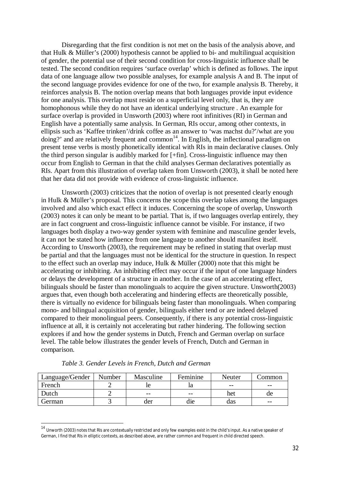Disregarding that the first condition is not met on the basis of the analysis above, and that Hulk & Müller's (2000) hypothesis cannot be applied to bi- and multilingual acquisition of gender, the potential use of their second condition for cross-linguistic influence shall be tested. The second condition requires 'surface overlap' which is defined as follows. The input data of one language allow two possible analyses, for example analysis A and B. The input of the second language provides evidence for one of the two, for example analysis B. Thereby, it reinforces analysis B. The notion overlap means that both languages provide input evidence for one analysis. This overlap must reside on a superficial level only, that is, they are homophonous while they do not have an identical underlying structure . An example for surface overlap is provided in Unsworth (2003) where root infinitives (RI) in German and English have a potentially same analysis. In German, RIs occur, among other contexts, in ellipsis such as 'Kaffee trinken'/drink coffee as an answer to 'was machst du?'/what are you doing?' and are relatively frequent and common<sup>14</sup>. In English, the inflectional paradigm on present tense verbs is mostly phonetically identical with RIs in main declarative clauses. Only the third person singular is audibly marked for [+fin]. Cross-linguistic influence may then occur from English to German in that the child analyses German declaratives potentially as RIs. Apart from this illustration of overlap taken from Unsworth (2003), it shall be noted here that her data did not provide with evidence of cross-linguistic influence.

Unsworth (2003) criticizes that the notion of overlap is not presented clearly enough in Hulk & Müller's proposal. This concerns the scope this overlap takes among the languages involved and also which exact effect it induces. Concerning the scope of overlap, Unsworth (2003) notes it can only be meant to be partial. That is, if two languages overlap entirely, they are in fact congruent and cross-linguistic influence cannot be visible. For instance, if two languages both display a two-way gender system with feminine and masculine gender levels, it can not be stated how influence from one language to another should manifest itself. According to Unsworth (2003), the requirement may be refined in stating that overlap must be partial and that the languages must not be identical for the structure in question. In respect to the effect such an overlap may induce, Hulk & Müller (2000) note that this might be accelerating or inhibiting. An inhibiting effect may occur if the input of one language hinders or delays the development of a structure in another. In the case of an accelerating effect, bilinguals should be faster than monolinguals to acquire the given structure. Unsworth(2003) argues that, even though both accelerating and hindering effects are theoretically possible, there is virtually no evidence for bilinguals being faster than monolinguals. When comparing mono- and bilingual acquisition of gender, bilinguals either tend or are indeed delayed compared to their monolingual peers. Consequently, if there is any potential cross-linguistic influence at all, it is certainly not accelerating but rather hindering. The following section explores if and how the gender systems in Dutch, French and German overlap on surface level. The table below illustrates the gender levels of French, Dutch and German in comparison.

| Language/Gender | Number | Masculine | Feminine | Neuter | ommon/ |
|-----------------|--------|-----------|----------|--------|--------|
| French          |        |           | ıa       | $ -$   | $- -$  |
| Dutch           |        | $- -$     | $- -$    | het    | ae     |
| German          |        | der       | die      | das    | $- -$  |

*Table 3. Gender Levels in French, Dutch and German*

 $14$  Unworth (2003) notes that RIs are contextually restricted and only few examples exist in the child's input. As a native speaker of German, I find that RIs in elliptic contexts, as described above, are rather common and frequent in child directed speech.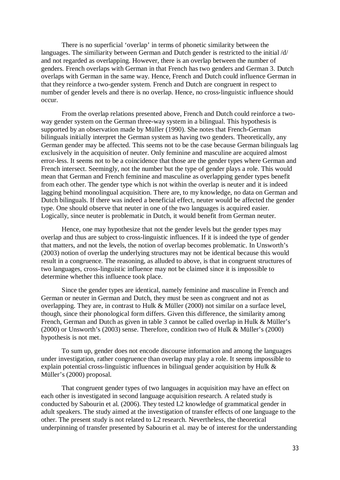There is no superficial 'overlap' in terms of phonetic similarity between the languages. The similiarity between German and Dutch gender is restricted to the initial /d/ and not regarded as overlapping. However, there is an overlap between the number of genders. French overlaps with German in that French has two genders and German 3. Dutch overlaps with German in the same way. Hence, French and Dutch could influence German in that they reinforce a two-gender system. French and Dutch are congruent in respect to number of gender levels and there is no overlap. Hence, no cross-linguistic influence should occur.

From the overlap relations presented above, French and Dutch could reinforce a twoway gender system on the German three-way system in a bilingual. This hypothesis is supported by an observation made by Müller (1990). She notes that French-German bilinguals initially interpret the German system as having two genders. Theoretically, any German gender may be affected. This seems not to be the case because German bilinguals lag exclusively in the acquisition of neuter. Only feminine and masculine are acquired almost error-less. It seems not to be a coincidence that those are the gender types where German and French intersect. Seemingly, not the number but the type of gender plays a role. This would mean that German and French feminine and masculine as overlapping gender types benefit from each other. The gender type which is not within the overlap is neuter and it is indeed lagging behind monolingual acquisition. There are, to my knowledge, no data on German and Dutch bilinguals. If there was indeed a beneficial effect, neuter would be affected the gender type. One should observe that neuter in one of the two languages is acquired easier. Logically, since neuter is problematic in Dutch, it would benefit from German neuter.

Hence, one may hypothesize that not the gender levels but the gender types may overlap and thus are subject to cross-linguistic influences. If it is indeed the type of gender that matters, and not the levels, the notion of overlap becomes problematic. In Unsworth's (2003) notion of overlap the underlying structures may not be identical because this would result in a congruence. The reasoning, as alluded to above, is that in congruent structures of two languages, cross-linguistic influence may not be claimed since it is impossible to determine whether this influence took place.

Since the gender types are identical, namely feminine and masculine in French and German or neuter in German and Dutch, they must be seen as congruent and not as overlapping. They are, in contrast to Hulk & Müller (2000) not similar on a surface level, though, since their phonological form differs. Given this difference, the similarity among French, German and Dutch as given in table 3 cannot be called overlap in Hulk & Müller's (2000) or Unsworth's (2003) sense. Therefore, condition two of Hulk & Müller's (2000) hypothesis is not met.

To sum up, gender does not encode discourse information and among the languages under investigation, rather congruence than overlap may play a role. It seems impossible to explain potential cross-linguistic influences in bilingual gender acquisition by Hulk & Müller's (2000) proposal.

That congruent gender types of two languages in acquisition may have an effect on each other is investigated in second language acquisition research. A related study is conducted by Sabourin et al. (2006). They tested L2 knowledge of grammatical gender in adult speakers. The study aimed at the investigation of transfer effects of one language to the other. The present study is not related to L2 research. Nevertheless, the theoretical underpinning of transfer presented by Sabourin et al. may be of interest for the understanding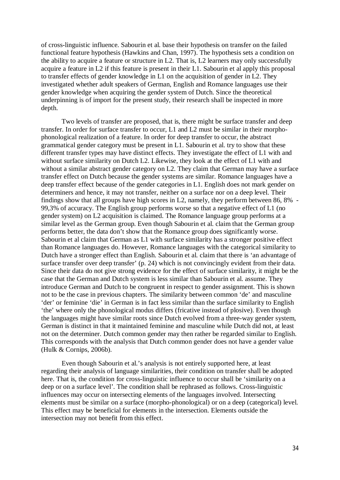of cross-linguistic influence. Sabourin et al. base their hypothesis on transfer on the failed functional feature hypothesis (Hawkins and Chan, 1997). The hypothesis sets a condition on the ability to acquire a feature or structure in L2. That is, L2 learners may only successfully acquire a feature in L2 if this feature is present in their L1. Sabourin et al apply this proposal to transfer effects of gender knowledge in L1 on the acquisition of gender in L2. They investigated whether adult speakers of German, English and Romance languages use their gender knowledge when acquiring the gender system of Dutch. Since the theoretical underpinning is of import for the present study, their research shall be inspected in more depth.

Two levels of transfer are proposed, that is, there might be surface transfer and deep transfer. In order for surface transfer to occur, L1 and L2 must be similar in their morphophonological realization of a feature. In order for deep transfer to occur, the abstract grammatical gender category must be present in L1. Sabourin et al. try to show that these different transfer types may have distinct effects. They investigate the effect of L1 with and without surface similarity on Dutch L2. Likewise, they look at the effect of L1 with and without a similar abstract gender category on L2. They claim that German may have a surface transfer effect on Dutch because the gender systems are similar. Romance languages have a deep transfer effect because of the gender categories in L1. English does not mark gender on determiners and hence, it may not transfer, neither on a surface nor on a deep level. Their findings show that all groups have high scores in L2, namely, they perform between 86, 8% - 99,3% of accuracy. The English group performs worse so that a negative effect of L1 (no gender system) on L2 acquisition is claimed. The Romance language group performs at a similar level as the German group. Even though Sabourin et al. claim that the German group performs better, the data don't show that the Romance group does significantly worse. Sabourin et al claim that German as L1 with surface similarity has a stronger positive effect than Romance languages do. However, Romance languages with the categorical similarity to Dutch have a stronger effect than English. Sabourin et al. claim that there is 'an advantage of surface transfer over deep transfer' (p. 24) which is not convincingly evident from their data. Since their data do not give strong evidence for the effect of surface similarity, it might be the case that the German and Dutch system is less similar than Sabourin et al. assume. They introduce German and Dutch to be congruent in respect to gender assignment. This is shown not to be the case in previous chapters. The similarity between common 'de' and masculine 'der' or feminine 'die' in German is in fact less similar than the surface similarity to English 'the' where only the phonological modus differs (fricative instead of plosive). Even though the languages might have similar roots since Dutch evolved from a three-way gender system, German is distinct in that it maintained feminine and masculine while Dutch did not, at least not on the determiner. Dutch common gender may then rather be regarded similar to English. This corresponds with the analysis that Dutch common gender does not have a gender value (Hulk & Cornips, 2006b).

Even though Sabourin et al.'s analysis is not entirely supported here, at least regarding their analysis of language similarities, their condition on transfer shall be adopted here. That is, the condition for cross-linguistic influence to occur shall be 'similarity on a deep or on a surface level'. The condition shall be rephrased as follows. Cross-linguistic influences may occur on intersecting elements of the languages involved. Intersecting elements must be similar on a surface (morpho-phonological) or on a deep (categorical) level. This effect may be beneficial for elements in the intersection. Elements outside the intersection may not benefit from this effect.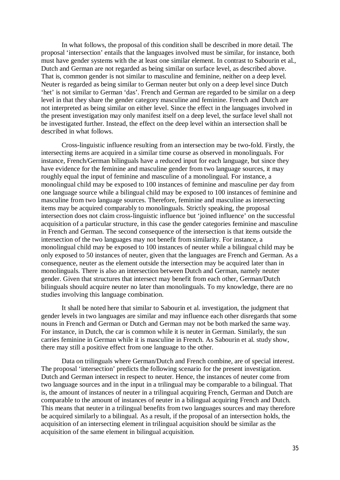In what follows, the proposal of this condition shall be described in more detail. The proposal 'intersection' entails that the languages involved must be similar, for instance, both must have gender systems with the at least one similar element. In contrast to Sabourin et al., Dutch and German are not regarded as being similar on surface level, as described above. That is, common gender is not similar to masculine and feminine, neither on a deep level. Neuter is regarded as being similar to German neuter but only on a deep level since Dutch 'het' is not similar to German 'das'. French and German are regarded to be similar on a deep level in that they share the gender category masculine and feminine. French and Dutch are not interpreted as being similar on either level. Since the effect in the languages involved in the present investigation may only manifest itself on a deep level, the surface level shall not be investigated further. Instead, the effect on the deep level within an intersection shall be described in what follows.

Cross-linguistic influence resulting from an intersection may be two-fold. Firstly, the intersecting items are acquired in a similar time course as observed in monolinguals. For instance, French/German bilinguals have a reduced input for each language, but since they have evidence for the feminine and masculine gender from two language sources, it may roughly equal the input of feminine and masculine of a monolingual. For instance, a monolingual child may be exposed to 100 instances of feminine and masculine per day from one language source while a bilingual child may be exposed to 100 instances of feminine and masculine from two language sources. Therefore, feminine and masculine as intersecting items may be acquired comparably to monolinguals. Strictly speaking, the proposal intersection does not claim cross-linguistic influence but 'joined influence' on the successful acquisition of a particular structure, in this case the gender categories feminine and masculine in French and German. The second consequence of the intersection is that items outside the intersection of the two languages may not benefit from similarity. For instance, a monolingual child may be exposed to 100 instances of neuter while a bilingual child may be only exposed to 50 instances of neuter, given that the languages are French and German. As a consequence, neuter as the element outside the intersection may be acquired later than in monolinguals. There is also an intersection between Dutch and German, namely neuter gender. Given that structures that intersect may benefit from each other, German/Dutch bilinguals should acquire neuter no later than monolinguals. To my knowledge, there are no studies involving this language combination.

It shall be noted here that similar to Sabourin et al. investigation, the judgment that gender levels in two languages are similar and may influence each other disregards that some nouns in French and German or Dutch and German may not be both marked the same way. For instance, in Dutch, the car is common while it is neuter in German. Similarly, the sun carries feminine in German while it is masculine in French. As Sabourin et al. study show, there may still a positive effect from one language to the other.

Data on trilinguals where German/Dutch and French combine, are of special interest. The proposal 'intersection' predicts the following scenario for the present investigation. Dutch and German intersect in respect to neuter. Hence, the instances of neuter come from two language sources and in the input in a trilingual may be comparable to a bilingual. That is, the amount of instances of neuter in a trilingual acquiring French, German and Dutch are comparable to the amount of instances of neuter in a bilingual acquiring French and Dutch. This means that neuter in a trilingual benefits from two languages sources and may therefore be acquired similarly to a bilingual. As a result, if the proposal of an intersection holds, the acquisition of an intersecting element in trilingual acquisition should be similar as the acquisition of the same element in bilingual acquisition.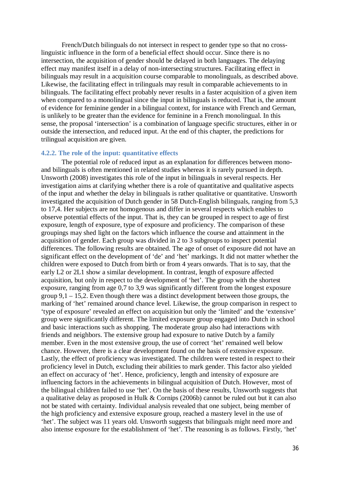French/Dutch bilinguals do not intersect in respect to gender type so that no crosslinguistic influence in the form of a beneficial effect should occur. Since there is no intersection, the acquisition of gender should be delayed in both languages. The delaying effect may manifest itself in a delay of non-intersecting structures. Facilitating effect in bilinguals may result in a acquisition course comparable to monolinguals, as described above. Likewise, the facilitating effect in trilinguals may result in comparable achievements to in bilinguals. The facilitating effect probably never results in a faster acquisition of a given item when compared to a monolingual since the input in bilinguals is reduced. That is, the amount of evidence for feminine gender in a bilingual context, for instance with French and German, is unlikely to be greater than the evidence for feminine in a French monolingual. In this sense, the proposal 'intersection' is a combination of language specific structures, either in or outside the intersection, and reduced input. At the end of this chapter, the predictions for trilingual acquisition are given.

# **4.2.2. The role of the input: quantitative effects**

The potential role of reduced input as an explanation for differences between monoand bilinguals is often mentioned in related studies whereas it is rarely pursued in depth. Unsworth (2008) investigates this role of the input in bilinguals in several respects. Her investigation aims at clarifying whether there is a role of quantitative and qualitative aspects of the input and whether the delay in bilinguals is rather qualitative or quantitative. Unsworth investigated the acquisition of Dutch gender in 58 Dutch-English bilinguals, ranging from 5,3 to 17,4. Her subjects are not homogenous and differ in several respects which enables to observe potential effects of the input. That is, they can be grouped in respect to age of first exposure, length of exposure, type of exposure and proficiency. The comparison of these groupings may shed light on the factors which influence the course and attainment in the acquisition of gender. Each group was divided in 2 to 3 subgroups to inspect potential differences. The following results are obtained. The age of onset of exposure did not have an significant effect on the development of 'de' and 'het' markings. It did not matter whether the children were exposed to Dutch from birth or from 4 years onwards. That is to say, that the early L2 or 2L1 show a similar development. In contrast, length of exposure affected acquisition, but only in respect to the development of 'het'. The group with the shortest exposure, ranging from age 0,7 to 3,9 was significantly different from the longest exposure group  $9,1 - 15,2$ . Even though there was a distinct development between those groups, the marking of 'het' remained around chance level. Likewise, the group comparison in respect to 'type of exposure' revealed an effect on acquisition but only the 'limited' and the 'extensive' group were significantly different. The limited exposure group engaged into Dutch in school and basic interactions such as shopping. The moderate group also had interactions with friends and neighbors. The extensive group had exposure to native Dutch by a family member. Even in the most extensive group, the use of correct 'het' remained well below chance. However, there is a clear development found on the basis of extensive exposure. Lastly, the effect of proficiency was investigated. The children were tested in respect to their proficiency level in Dutch, excluding their abilities to mark gender. This factor also yielded an effect on accuracy of 'het'. Hence, proficiency, length and intensity of exposure are influencing factors in the achievements in bilingual acquisition of Dutch. However, most of the bilingual children failed to use 'het'. On the basis of these results, Unsworth suggests that a qualitative delay as proposed in Hulk & Cornips (2006b) cannot be ruled out but it can also not be stated with certainty. Individual analysis revealed that one subject, being member of the high proficiency and extensive exposure group, reached a mastery level in the use of 'het'. The subject was 11 years old. Unsworth suggests that bilinguals might need more and also intense exposure for the establishment of 'het'. The reasoning is as follows. Firstly, 'het'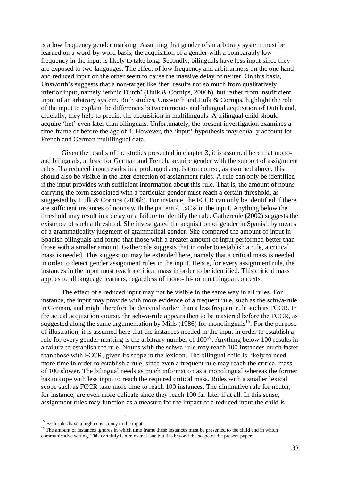is a low frequency gender marking. Assuming that gender of an arbitrary system must be learned on a word-by-word basis, the acquisition of a gender with a comparably low frequency in the input is likely to take long. Secondly, bilinguals have less input since they are exposed to two languages. The effect of low frequency and arbitrariness on the one hand and reduced input on the other seem to cause the massive delay of neuter. On this basis, Unsworth's suggests that a non-target like 'het' results not so much from qualitatively inferior input, namely 'ethnic Dutch' (Hulk & Cornips, 2006b), but rather from insufficient input of an arbitrary system. Both studies, Unsworth and Hulk & Cornips, highlight the role of the input to explain the differences between mono- and bilingual acquisition of Dutch and, crucially, they help to predict the acquisition in multilinguals. A trilingual child should acquire 'het' even later than bilinguals. Unfortunately, the present investigation examines a time-frame of before the age of 4. However, the 'input'-hypothesis may equally account for French and German multilingual data.

Given the results of the studies presented in chapter 3, it is assumed here that monoand bilinguals, at least for German and French, acquire gender with the support of assignment rules. If a reduced input results in a prolonged acquisition course, as assumed above, this should also be visible in the later detection of assignment rules. A rule can only be identified if the input provides with sufficient information about this rule. That is, the amount of nouns carrying the form associated with a particular gender must reach a certain threshold, as suggested by Hulk & Cornips (2006b). For instance, the FCCR can only be identified if there are sufficient instances of nouns with the pattern /…xCs/ in the input. Anything below the threshold may result in a delay or a failure to identify the rule. Gathercole (2002) suggests the existence of such a threshold. She investigated the acquisition of gender in Spanish by means of a grammaticality judgment of grammatical gender. She compared the amount of input in Spanish bilinguals and found that those with a greater amount of input performed better than those with a smaller amount. Gathercole suggests that in order to establish a rule, a critical mass is needed. This suggestion may be extended here, namely that a critical mass is needed in order to detect gender assignment rules in the input. Hence, for every assignment rule, the instances in the input must reach a critical mass in order to be identified. This critical mass applies to all language learners, regardless of mono- bi- or multilingual contexts.

The effect of a reduced input may not be visible in the same way in all rules. For instance, the input may provide with more evidence of a frequent rule, such as the schwa-rule in German, and might therefore be detected earlier than a less frequent rule such as FCCR. In the actual acquisition course, the schwa-rule appears then to be mastered before the FCCR, as suggested along the same argumentation by Mills (1986) for monolinguals<sup>15</sup>. For the purpose of illustration, it is assumed here that the instances needed in the input in order to establish a rule for every gender marking is the arbitrary number of  $100^{16}$ . Anything below 100 results in a failure to establish the rule. Nouns with the schwa-rule may reach 100 instances much faster than those with FCCR, given its scope in the lexicon. The bilingual child is likely to need more time in order to establish a rule, since even a frequent rule may reach the critical mass of 100 slower. The bilingual needs as much information as a monolingual whereas the former has to cope with less input to reach the required critical mass. Rules with a smaller lexical scope such as FCCR take more time to reach 100 instances. The diminutive rule for neuter, for instance, are even more delicate since they reach 100 far later if at all. In this sense, assignment rules may function as a measure for the impact of a reduced input the child is

<sup>&</sup>lt;sup>15</sup> Both rules have a high consistency in the input.

<sup>&</sup>lt;sup>16</sup> The amount of instances ignores in which time frame these instances must be presented to the child and in which communicative setting. This certainly is a relevant issue but lies beyond the scope of the present paper.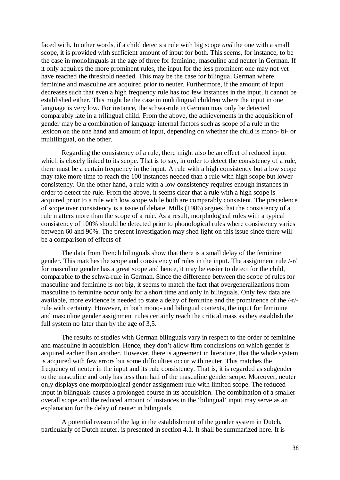faced with. In other words, if a child detects a rule with big scope *and* the one with a small scope, it is provided with sufficient amount of input for both. This seems, for instance, to be the case in monolinguals at the age of three for feminine, masculine and neuter in German. If it only acquires the more prominent rules, the input for the less prominent one may not yet have reached the threshold needed. This may be the case for bilingual German where feminine and masculine are acquired prior to neuter. Furthermore, if the amount of input decreases such that even a high frequency rule has too few instances in the input, it cannot be established either. This might be the case in multilingual children where the input in one language is very low. For instance, the schwa-rule in German may only be detected comparably late in a trilingual child. From the above, the achievements in the acquisition of gender may be a combination of language internal factors such as scope of a rule in the lexicon on the one hand and amount of input, depending on whether the child is mono- bi- or multilingual, on the other.

Regarding the consistency of a rule, there might also be an effect of reduced input which is closely linked to its scope. That is to say, in order to detect the consistency of a rule, there must be a certain frequency in the input. A rule with a high consistency but a low scope may take more time to reach the 100 instances needed than a rule with high scope but lower consistency. On the other hand, a rule with a low consistency requires enough instances in order to detect the rule. From the above, it seems clear that a rule with a high scope is acquired prior to a rule with low scope while both are comparably consistent. The precedence of scope over consistency is a issue of debate. Mills (1986) argues that the consistency of a rule matters more than the scope of a rule. As a result, morphological rules with a typical consistency of 100% should be detected prior to phonological rules where consistency varies between 60 and 90%. The present investigation may shed light on this issue since there will be a comparison of effects of

The data from French bilinguals show that there is a small delay of the feminine gender. This matches the scope and consistency of rules in the input. The assignment rule /-r/ for masculine gender has a great scope and hence, it may be easier to detect for the child, comparable to the schwa-rule in German. Since the difference between the scope of rules for masculine and feminine is not big, it seems to match the fact that overgeneralizations from masculine to feminine occur only for a short time and only in bilinguals. Only few data are available, more evidence is needed to state a delay of feminine and the prominence of the /-r/ rule with certainty. However, in both mono- and bilingual contexts, the input for feminine and masculine gender assignment rules certainly reach the critical mass as they establish the full system no later than by the age of 3,5.

The results of studies with German bilinguals vary in respect to the order of feminine and masculine in acquisition. Hence, they don't allow firm conclusions on which gender is acquired earlier than another. However, there is agreement in literature, that the whole system is acquired with few errors but some difficulties occur with neuter. This matches the frequency of neuter in the input and its rule consistency. That is, it is regarded as subgender to the masculine and only has less than half of the masculine gender scope. Moreover, neuter only displays one morphological gender assignment rule with limited scope. The reduced input in bilinguals causes a prolonged course in its acquisition. The combination of a smaller overall scope and the reduced amount of instances in the 'bilingual' input may serve as an explanation for the delay of neuter in bilinguals.

A potential reason of the lag in the establishment of the gender system in Dutch, particularly of Dutch neuter, is presented in section 4.1. It shall be summarized here. It is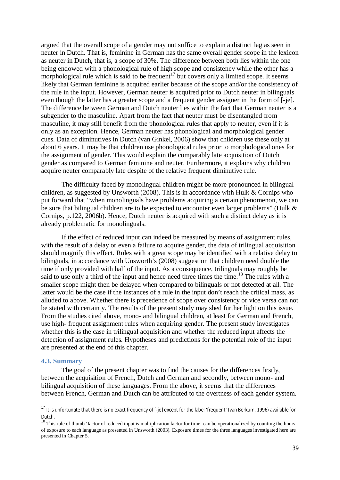argued that the overall scope of a gender may not suffice to explain a distinct lag as seen in neuter in Dutch. That is, feminine in German has the same overall gender scope in the lexicon as neuter in Dutch, that is, a scope of 30%. The difference between both lies within the one being endowed with a phonological rule of high scope and consistency while the other has a morphological rule which is said to be frequent<sup>17</sup> but covers only a limited scope. It seems likely that German feminine is acquired earlier because of the scope and/or the consistency of the rule in the input. However, German neuter is acquired prior to Dutch neuter in bilinguals even though the latter has a greater scope and a frequent gender assigner in the form of [-je]. The difference between German and Dutch neuter lies within the fact that German neuter is a subgender to the masculine. Apart from the fact that neuter must be disentangled from masculine, it may still benefit from the phonological rules that apply to neuter, even if it is only as an exception. Hence, German neuter has phonological and morphological gender cues. Data of diminutives in Dutch (van Ginkel, 2006) show that children use these only at about 6 years. It may be that children use phonological rules prior to morphological ones for the assignment of gender. This would explain the comparably late acquisition of Dutch gender as compared to German feminine and neuter. Furthermore, it explains why children acquire neuter comparably late despite of the relative frequent diminutive rule.

The difficulty faced by monolingual children might be more pronounced in bilingual children, as suggested by Unsworth (2008). This is in accordance with Hulk & Cornips who put forward that "when monolinguals have problems acquiring a certain phenomenon, we can be sure that bilingual children are to be expected to encounter even larger problems" (Hulk & Cornips, p.122, 2006b). Hence, Dutch neuter is acquired with such a distinct delay as it is already problematic for monolinguals.

If the effect of reduced input can indeed be measured by means of assignment rules, with the result of a delay or even a failure to acquire gender, the data of trilingual acquisition should magnify this effect. Rules with a great scope may be identified with a relative delay to bilinguals, in accordance with Unsworth's (2008) suggestion that children need double the time if only provided with half of the input. As a consequence, trilinguals may roughly be said to use only a third of the input and hence need three times the time.<sup>18</sup> The rules with a smaller scope might then be delayed when compared to bilinguals or not detected at all. The latter would be the case if the instances of a rule in the input don't reach the critical mass, as alluded to above. Whether there is precedence of scope over consistency or vice versa can not be stated with certainty. The results of the present study may shed further light on this issue. From the studies cited above, mono- and bilingual children, at least for German and French, use high- frequent assignment rules when acquiring gender. The present study investigates whether this is the case in trilingual acquisition and whether the reduced input affects the detection of assignment rules. Hypotheses and predictions for the potential role of the input are presented at the end of this chapter.

#### **4.3. Summary**

The goal of the present chapter was to find the causes for the differences firstly, between the acquisition of French, Dutch and German and secondly, between mono- and bilingual acquisition of these languages. From the above, it seems that the differences between French, German and Dutch can be attributed to the overtness of each gender system.

<sup>&</sup>lt;sup>17</sup> It is unfortunate that there is no exact frequency of [-je] except for the label 'frequent' (van Berkum, 1996) available for Dutch.

 $18$  This rule of thumb 'factor of reduced input is multiplication factor for time' can be operationalized by counting the hours of exposure to each language as presented in Unsworth (2003). Exposure times for the three languages investigated here are presented in Chapter 5.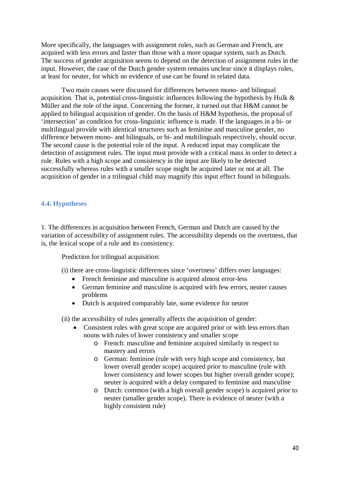More specifically, the languages with assignment rules, such as German and French, are acquired with less errors and faster than those with a more opaque system, such as Dutch. The success of gender acquisition seems to depend on the detection of assignment rules in the input. However, the case of the Dutch gender system remains unclear since it displays rules, at least for neuter, for which no evidence of use can be found in related data.

Two main causes were discussed for differences between mono- and bilingual acquisition. That is, potential cross-linguistic influences following the hypothesis by Hulk & Müller and the role of the input. Concerning the former, it turned out that H&M cannot be applied to bilingual acquisition of gender. On the basis of H&M hypothesis, the proposal of 'intersection' as condition for cross-linguistic influence is made. If the languages in a bi- or multilingual provide with identical structures such as feminine and masculine gender, no difference between mono- and bilinguals, or bi- and multilinguals respectively, should occur. The second cause is the potential role of the input. A reduced input may complicate the detection of assignment rules. The input must provide with a critical mass in order to detect a rule. Rules with a high scope and consistency in the input are likely to be detected successfully whereas rules with a smaller scope might be acquired later or not at all. The acquisition of gender in a trilingual child may magnify this input effect found in bilinguals.

## **4.4. Hypotheses**

1. The differences in acquisition between French, German and Dutch are caused by the variation of accessibility of assignment rules. The accessibility depends on the overtness, that is, the lexical scope of a rule and its consistency.

Prediction for trilingual acquisition:

- (i) there are cross-linguistic differences since 'overtness' differs over languages:
	- French feminine and masculine is acquired almost error-less
	- German feminine and masculine is acquired with few errors, neuter causes problems
	- Dutch is acquired comparably late, some evidence for neuter

(ii) the accessibility of rules generally affects the acquisition of gender:

- Consistent rules with great scope are acquired prior or with less errors than nouns with rules of lower consistency and smaller scope
	- o French: masculine and feminine acquired similarly in respect to mastery and errors
	- o German: feminine (rule with very high scope and consistency, but lower overall gender scope) acquired prior to masculine (rule with lower consistency and lower scopes but higher overall gender scope); neuter is acquired with a delay compared to feminine and masculine
	- o Dutch: common (with a high overall gender scope) is acquired prior to neuter (smaller gender scope). There is evidence of neuter (with a highly consistent rule)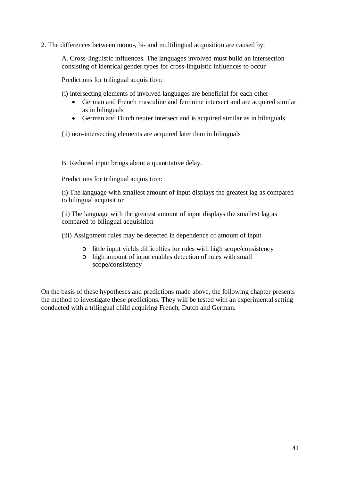2. The differences between mono-, bi- and multilingual acquisition are caused by:

A. Cross-linguistic influences. The languages involved must build an intersection consisting of identical gender types for cross-linguistic influences to occur

Predictions for trilingual acquisition:

(i) intersecting elements of involved languages are beneficial for each other

- German and French masculine and feminine intersect and are acquired similar as in bilinguals
- German and Dutch neuter intersect and is acquired similar as in bilinguals

(ii) non-intersecting elements are acquired later than in bilinguals

B. Reduced input brings about a quantitative delay.

Predictions for trilingual acquisition:

(i) The language with smallest amount of input displays the greatest lag as compared to bilingual acquisition

(ii) The language with the greatest amount of input displays the smallest lag as compared to bilingual acquisition

(iii) Assignment rules may be detected in dependence of amount of input

- o little input yields difficulties for rules with high scope/consistency
- o high amount of input enables detection of rules with small scope/consistency

On the basis of these hypotheses and predictions made above, the following chapter presents the method to investigate these predictions. They will be tested with an experimental setting conducted with a trilingual child acquiring French, Dutch and German.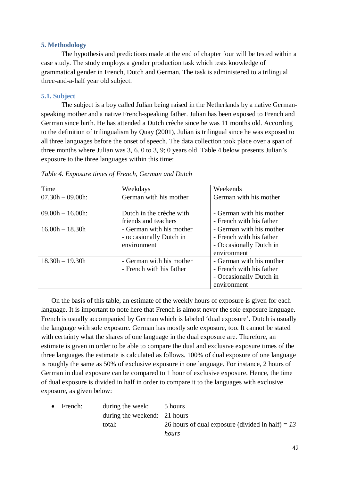## **5. Methodology**

The hypothesis and predictions made at the end of chapter four will be tested within a case study. The study employs a gender production task which tests knowledge of grammatical gender in French, Dutch and German. The task is administered to a trilingual three-and-a-half year old subject.

## **5.1. Subject**

The subject is a boy called Julian being raised in the Netherlands by a native Germanspeaking mother and a native French-speaking father. Julian has been exposed to French and German since birth. He has attended a Dutch crèche since he was 11 months old. According to the definition of trilingualism by Quay (2001), Julian is trilingual since he was exposed to all three languages before the onset of speech. The data collection took place over a span of three months where Julian was 3, 6. 0 to 3, 9; 0 years old. Table 4 below presents Julian's exposure to the three languages within this time:

| Time                | Weekdays                                                           | Weekends                                                                                       |
|---------------------|--------------------------------------------------------------------|------------------------------------------------------------------------------------------------|
| $07.30h - 09.00h$ : | German with his mother                                             | German with his mother                                                                         |
|                     |                                                                    |                                                                                                |
| $09.00h - 16.00h$ : | Dutch in the crèche with                                           | - German with his mother                                                                       |
|                     | friends and teachers                                               | - French with his father                                                                       |
| $16.00h - 18.30h$   | - German with his mother<br>- occasionally Dutch in<br>environment | - German with his mother<br>- French with his father<br>- Occasionally Dutch in<br>environment |
| $18.30h - 19.30h$   | - German with his mother<br>- French with his father               | - German with his mother<br>- French with his father<br>- Occasionally Dutch in<br>environment |

|  | Table 4. Exposure times of French, German and Dutch |  |  |
|--|-----------------------------------------------------|--|--|
|  |                                                     |  |  |

On the basis of this table, an estimate of the weekly hours of exposure is given for each language. It is important to note here that French is almost never the sole exposure language. French is usually accompanied by German which is labeled 'dual exposure'. Dutch is usually the language with sole exposure. German has mostly sole exposure, too. It cannot be stated with certainty what the shares of one language in the dual exposure are. Therefore, an estimate is given in order to be able to compare the dual and exclusive exposure times of the three languages the estimate is calculated as follows. 100% of dual exposure of one language is roughly the same as 50% of exclusive exposure in one language. For instance, 2 hours of German in dual exposure can be compared to 1 hour of exclusive exposure. Hence, the time of dual exposure is divided in half in order to compare it to the languages with exclusive exposure, as given below:

| $\bullet$ French: | during the week: 5 hours     |                                                    |
|-------------------|------------------------------|----------------------------------------------------|
|                   | during the weekend: 21 hours |                                                    |
|                   | total:                       | 26 hours of dual exposure (divided in half) = $13$ |
|                   |                              | hours                                              |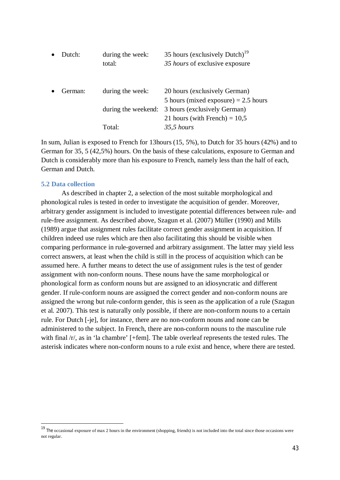| Dutch:  | during the week:    | 35 hours (exclusively Dutch) <sup>19</sup> |
|---------|---------------------|--------------------------------------------|
|         | total:              | 35 hours of exclusive exposure             |
|         |                     |                                            |
| German: | during the week:    | 20 hours (exclusively German)              |
|         |                     | 5 hours (mixed exposure) $= 2.5$ hours     |
|         | during the weekend: | 3 hours (exclusively German)               |
|         |                     | 21 hours (with French) = $10,5$            |
|         | Total:              | $35.5$ hours                               |
|         |                     |                                            |

In sum, Julian is exposed to French for 13hours (15, 5%), to Dutch for 35 hours (42%) and to German for 35, 5 (42,5%) hours. On the basis of these calculations, exposure to German and Dutch is considerably more than his exposure to French, namely less than the half of each, German and Dutch.

### **5.2 Data collection**

As described in chapter 2, a selection of the most suitable morphological and phonological rules is tested in order to investigate the acquisition of gender. Moreover, arbitrary gender assignment is included to investigate potential differences between rule- and rule-free assignment. As described above, Szagun et al. (2007) Müller (1990) and Mills (1989) argue that assignment rules facilitate correct gender assignment in acquisition. If children indeed use rules which are then also facilitating this should be visible when comparing performance in rule-governed and arbitrary assignment. The latter may yield less correct answers, at least when the child is still in the process of acquisition which can be assumed here. A further means to detect the use of assignment rules is the test of gender assignment with non-conform nouns. These nouns have the same morphological or phonological form as conform nouns but are assigned to an idiosyncratic and different gender. If rule-conform nouns are assigned the correct gender and non-conform nouns are assigned the wrong but rule-conform gender, this is seen as the application of a rule (Szagun et al. 2007). This test is naturally only possible, if there are non-conform nouns to a certain rule. For Dutch [-je], for instance, there are no non-conform nouns and none can be administered to the subject. In French, there are non-conform nouns to the masculine rule with final /r/, as in 'la chambre' [+fem]. The table overleaf represents the tested rules. The asterisk indicates where non-conform nouns to a rule exist and hence, where there are tested.

<sup>&</sup>lt;sup>19</sup> The occasional exposure of max 2 hours in the environment (shopping, friends) is not included into the total since those occasions were not regular.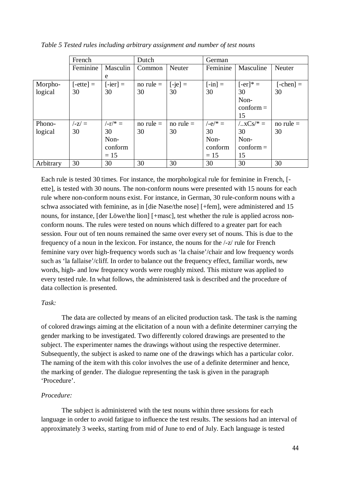|           | French                  |            | Dutch       |             | German    |                        |                    |
|-----------|-------------------------|------------|-------------|-------------|-----------|------------------------|--------------------|
|           | Feminine                | Masculin   | Common      | Neuter      | Feminine  | Masculine              | Neuter             |
|           |                         | e          |             |             |           |                        |                    |
| Morpho-   | $[-$ ette $] =$         | $[-ier] =$ | no rule $=$ | $[-je] =$   | $[-in] =$ | $[-er]$ <sup>*</sup> = | $[-\text{chen}] =$ |
| logical   | 30                      | 30         | 30          | 30          | 30        | 30                     | 30                 |
|           |                         |            |             |             |           | Non-                   |                    |
|           |                         |            |             |             |           | $\text{conform} =$     |                    |
|           |                         |            |             |             |           | 15                     |                    |
| Phono-    | $\mathbf{z}/\mathbf{z}$ | $(-r)^* =$ | no rule $=$ | no rule $=$ | $/-e/*=$  | $/-.xCs/* =$           | no rule $=$        |
| logical   | 30                      | 30         | 30          | 30          | 30        | 30                     | 30                 |
|           |                         | Non-       |             |             | Non-      | Non-                   |                    |
|           |                         | conform    |             |             | conform   | $\text{conform} =$     |                    |
|           |                         | $= 15$     |             |             | $= 15$    | 15                     |                    |
| Arbitrary | 30                      | 30         | 30          | 30          | 30        | 30                     | 30                 |

*Table 5 Tested rules including arbitrary assignment and number of test nouns*

Each rule is tested 30 times. For instance, the morphological rule for feminine in French, [ ette], is tested with 30 nouns. The non-conform nouns were presented with 15 nouns for each rule where non-conform nouns exist. For instance, in German, 30 rule-conform nouns with a schwa associated with feminine, as in [die Nase/the nose] [+fem], were administered and 15 nouns, for instance, [der Löwe/the lion] [+masc], test whether the rule is applied across nonconform nouns. The rules were tested on nouns which differed to a greater part for each session. Four out of ten nouns remained the same over every set of nouns. This is due to the frequency of a noun in the lexicon. For instance, the nouns for the /-z/ rule for French feminine vary over high-frequency words such as 'la chaise'/chair and low frequency words such as 'la fallaise'/cliff. In order to balance out the frequency effect, familiar words, new words, high- and low frequency words were roughly mixed. This mixture was applied to every tested rule. In what follows, the administered task is described and the procedure of data collection is presented.

## *Task:*

The data are collected by means of an elicited production task. The task is the naming of colored drawings aiming at the elicitation of a noun with a definite determiner carrying the gender marking to be investigated. Two differently colored drawings are presented to the subject. The experimenter names the drawings without using the respective determiner. Subsequently, the subject is asked to name one of the drawings which has a particular color. The naming of the item with this color involves the use of a definite determiner and hence, the marking of gender. The dialogue representing the task is given in the paragraph 'Procedure'.

## *Procedure:*

The subject is administered with the test nouns within three sessions for each language in order to avoid fatigue to influence the test results. The sessions had an interval of approximately 3 weeks, starting from mid of June to end of July. Each language is tested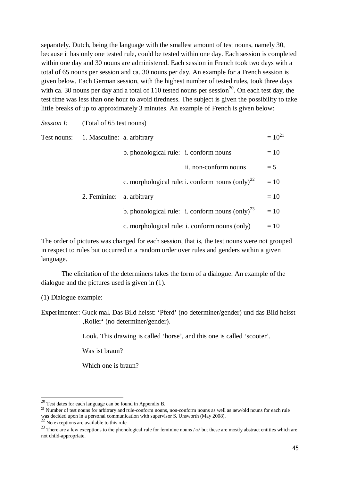separately. Dutch, being the language with the smallest amount of test nouns, namely 30, because it has only one tested rule, could be tested within one day. Each session is completed within one day and 30 nouns are administered. Each session in French took two days with a total of 65 nouns per session and ca. 30 nouns per day. An example for a French session is given below. Each German session, with the highest number of tested rules, took three days with ca. 30 nouns per day and a total of 110 tested nouns per session<sup>20</sup>. On each test day, the test time was less than one hour to avoid tiredness. The subject is given the possibility to take little breaks of up to approximately 3 minutes. An example of French is given below:

| <i>Session I:</i> | (Total of 65 test nouns)               |                                        |                                                       |             |
|-------------------|----------------------------------------|----------------------------------------|-------------------------------------------------------|-------------|
|                   | Test nouns: 1. Masculine: a. arbitrary |                                        |                                                       | $= 10^{21}$ |
|                   |                                        | b. phonological rule: i. conform nouns |                                                       | $=10$       |
|                   |                                        |                                        | ii. non-conform nouns                                 | $= 5$       |
|                   |                                        |                                        | c. morphological rule: i. conform nouns $(only)^{22}$ | $=10$       |
|                   | 2. Feminine:                           | a. arbitrary                           |                                                       | $=10$       |
|                   |                                        |                                        | b. phonological rule: i. conform nouns $(only)^{23}$  | $=10$       |
|                   |                                        |                                        | c. morphological rule: i. conform nouns (only)        | $=10$       |

The order of pictures was changed for each session, that is, the test nouns were not grouped in respect to rules but occurred in a random order over rules and genders within a given language.

The elicitation of the determiners takes the form of a dialogue. An example of the dialogue and the pictures used is given in (1).

(1) Dialogue example:

Experimenter: Guck mal. Das Bild heisst: 'Pferd' (no determiner/gender) und das Bild heisst 'Roller' (no determiner/gender).

Look. This drawing is called 'horse', and this one is called 'scooter'.

Was ist braun?

Which one is braun?

<sup>20</sup> Test dates for each language can be found in Appendix B.

<sup>&</sup>lt;sup>21</sup> Number of test nouns for arbitrary and rule-conform nouns, non-conform nouns as well as new/old nouns for each rule was decided upon in a personal communication with supervisor S. Unsworth (May 2008).

<sup>&</sup>lt;sup>22</sup> No exceptions are available to this rule.

<sup>&</sup>lt;sup>23</sup> There are a few exceptions to the phonological rule for feminine nouns /-z/ but these are mostly abstract entities which are not child-appropriate.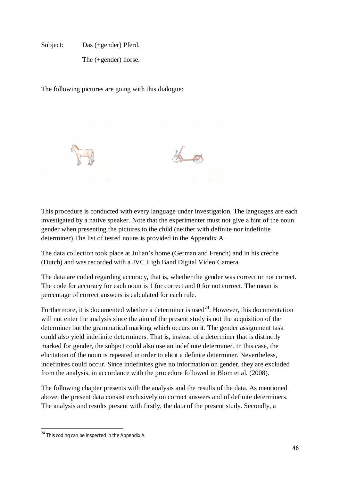Subject: Das (+gender) Pferd.

The (+gender) horse.

The following pictures are going with this dialogue:



This procedure is conducted with every language under investigation. The languages are each investigated by a native speaker. Note that the experimenter must not give a hint of the noun gender when presenting the pictures to the child (neither with definite nor indefinite determiner).The list of tested nouns is provided in the Appendix A.

The data collection took place at Julian's home (German and French) and in his crèche (Dutch) and was recorded with a JVC High Band Digital Video Camera.

The data are coded regarding accuracy, that is, whether the gender was correct or not correct. The code for accuracy for each noun is 1 for correct and 0 for not correct. The mean is percentage of correct answers is calculated for each rule.

Furthermore, it is documented whether a determiner is used<sup>24</sup>. However, this documentation will not enter the analysis since the aim of the present study is not the acquisition of the determiner but the grammatical marking which occurs on it. The gender assignment task could also yield indefinite determiners. That is, instead of a determiner that is distinctly marked for gender, the subject could also use an indefinite determiner. In this case, the elicitation of the noun is repeated in order to elicit a definite determiner. Nevertheless, indefinites could occur. Since indefinites give no information on gender, they are excluded from the analysis, in accordance with the procedure followed in Blom et al. (2008).

The following chapter presents with the analysis and the results of the data. As mentioned above, the present data consist exclusively on correct answers and of definite determiners. The analysis and results present with firstly, the data of the present study. Secondly, a

 $24$  This coding can be inspected in the Appendix A.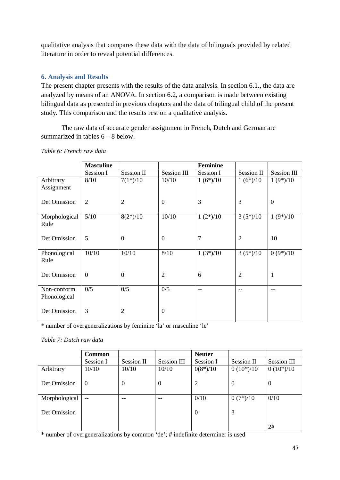qualitative analysis that compares these data with the data of bilinguals provided by related literature in order to reveal potential differences.

# **6. Analysis and Results**

The present chapter presents with the results of the data analysis. In section 6.1., the data are analyzed by means of an ANOVA. In section 6.2, a comparison is made between existing bilingual data as presented in previous chapters and the data of trilingual child of the present study. This comparison and the results rest on a qualitative analysis.

The raw data of accurate gender assignment in French, Dutch and German are summarized in tables  $6 - 8$  below.

|               | <b>Masculine</b> |                   |                | <b>Feminine</b> |                |                    |
|---------------|------------------|-------------------|----------------|-----------------|----------------|--------------------|
|               | Session I        | <b>Session II</b> | Session III    | Session I       | Session II     | <b>Session III</b> |
| Arbitrary     | 8/10             | $7(1*)/10$        | 10/10          | $1(6*)/10$      | $1(6*)/10$     | $1(9*)/10$         |
| Assignment    |                  |                   |                |                 |                |                    |
| Det Omission  | $\overline{2}$   | $\overline{2}$    | $\theta$       | 3               | 3              | $\boldsymbol{0}$   |
|               |                  |                   |                |                 |                |                    |
| Morphological | 5/10             | $8(2*)/10$        | 10/10          | $1(2*)/10$      | $3(5*)/10$     | $1(9*)/10$         |
| Rule          |                  |                   |                |                 |                |                    |
| Det Omission  | 5                | $\overline{0}$    | $\overline{0}$ | 7               | $\overline{2}$ | 10                 |
|               |                  |                   |                |                 |                |                    |
| Phonological  | 10/10            | 10/10             | 8/10           | $1(3*)/10$      | $3(5*)/10$     | $0(9*)/10$         |
| Rule          |                  |                   |                |                 |                |                    |
| Det Omission  | $\Omega$         | $\overline{0}$    | $\overline{2}$ | 6               | $\overline{2}$ | $\mathbf{1}$       |
|               |                  |                   |                |                 |                |                    |
| Non-conform   | 0/5              | 0/5               | 0/5            |                 |                | --                 |
| Phonological  |                  |                   |                |                 |                |                    |
| Det Omission  | 3                | $\overline{2}$    | $\mathbf{0}$   |                 |                |                    |
|               |                  |                   |                |                 |                |                    |

*Table 6: French raw data*

\* number of overgeneralizations by feminine 'la' or masculine 'le'

*Table 7: Dutch raw data*

|               | <b>Common</b> |                |                  | <b>Neuter</b>  |                |                |
|---------------|---------------|----------------|------------------|----------------|----------------|----------------|
|               | Session I     | Session II     | Session III      | Session I      | Session II     | Session III    |
| Arbitrary     | 10/10         | 10/10          | 10/10            | $0(8*)/10$     | $0(10^*)/10$   | $0(10^*)/10$   |
| Det Omission  | $\theta$      | $\overline{0}$ | $\boldsymbol{0}$ | $\overline{2}$ | $\overline{0}$ | $\overline{0}$ |
| Morphological | $-$           | --             | $-$              | 0/10           | $0(7*)/10$     | 0/10           |
| Det Omission  |               |                |                  | $\theta$       | 3              |                |
|               |               |                |                  |                |                | 2#             |

**\*** number of overgeneralizations by common 'de'; **#** indefinite determiner is used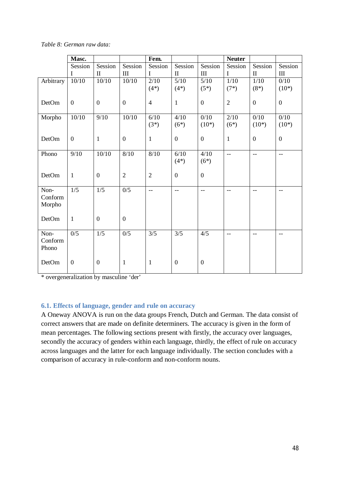|  |  | Table 8: German raw data: |  |
|--|--|---------------------------|--|
|--|--|---------------------------|--|

|                  | Masc.            |                  |                                  | Fem.           |                  |                                  | <b>Neuter</b>            |                          |                          |
|------------------|------------------|------------------|----------------------------------|----------------|------------------|----------------------------------|--------------------------|--------------------------|--------------------------|
|                  | Session          | Session          | Session                          | Session        | Session          | Session                          | Session                  | Session                  | Session                  |
|                  | I                | $\mathbf{I}$     | $\mathop{\mathrm{III}}\nolimits$ | I              | $\mathbf{I}$     | $\mathop{\mathrm{III}}\nolimits$ | I                        | $\mathbf{I}$             | $\rm III$                |
| Arbitrary        | 10/10            | 10/10            | 10/10                            | 2/10           | $5/10$           | $5/10$                           | $\overline{1}/10$        | 1/10                     | 0/10                     |
|                  |                  |                  |                                  | $(4*)$         | $(4*)$           | $(5^*)$                          | $(7*)$                   | $(8*)$                   | $(10^*)$                 |
| DetOm            | $\boldsymbol{0}$ | $\boldsymbol{0}$ | $\boldsymbol{0}$                 | $\overline{4}$ | $\mathbf{1}$     | $\boldsymbol{0}$                 | $\sqrt{2}$               | $\boldsymbol{0}$         | $\boldsymbol{0}$         |
| Morpho           | 10/10            | 9/10             | 10/10                            | 6/10           | 4/10             | 0/10                             | 2/10                     | 0/10                     | 0/10                     |
|                  |                  |                  |                                  | $(3^*)$        | $(6*)$           | $(10^*)$                         | $(6*)$                   | $(10^*)$                 | $(10^{*})$               |
| DetOm            | $\boldsymbol{0}$ | $\mathbf{1}$     | $\boldsymbol{0}$                 | $\mathbf{1}$   | $\boldsymbol{0}$ | $\boldsymbol{0}$                 | $\mathbf{1}$             | $\boldsymbol{0}$         | $\boldsymbol{0}$         |
| Phono            | 9/10             | 10/10            | $8/10$                           | 8/10           | 6/10             | 4/10                             | $\overline{\phantom{a}}$ | $\overline{\phantom{m}}$ | $\overline{\phantom{m}}$ |
|                  |                  |                  |                                  |                | $(4*)$           | $(6*)$                           |                          |                          |                          |
| DetOm            | $\mathbf{1}$     | $\boldsymbol{0}$ | $\overline{2}$                   | $\overline{2}$ | $\boldsymbol{0}$ | $\boldsymbol{0}$                 |                          |                          |                          |
| Non-             | 1/5              | 1/5              | 0/5                              | $-$            | $-$              | $-$                              | $-$                      | $-$                      | $\overline{\phantom{a}}$ |
| Conform          |                  |                  |                                  |                |                  |                                  |                          |                          |                          |
| Morpho           |                  |                  |                                  |                |                  |                                  |                          |                          |                          |
| DetOm            | $\mathbf{1}$     | $\boldsymbol{0}$ | $\boldsymbol{0}$                 |                |                  |                                  |                          |                          |                          |
| Non-             | 0/5              | 1/5              | 0/5                              | 3/5            | 3/5              | 4/5                              | $-$                      | $-$                      | $\overline{\phantom{m}}$ |
| Conform<br>Phono |                  |                  |                                  |                |                  |                                  |                          |                          |                          |
| DetOm            | $\boldsymbol{0}$ | $\boldsymbol{0}$ | $\mathbf{1}$                     | $\mathbf{1}$   | $\boldsymbol{0}$ | $\boldsymbol{0}$                 |                          |                          |                          |
|                  |                  |                  |                                  |                |                  |                                  |                          |                          |                          |

\* overgeneralization by masculine 'der'

### **6.1. Effects of language, gender and rule on accuracy**

A Oneway ANOVA is run on the data groups French, Dutch and German. The data consist of correct answers that are made on definite determiners. The accuracy is given in the form of mean percentages. The following sections present with firstly, the accuracy over languages, secondly the accuracy of genders within each language, thirdly, the effect of rule on accuracy across languages and the latter for each language individually. The section concludes with a comparison of accuracy in rule-conform and non-conform nouns.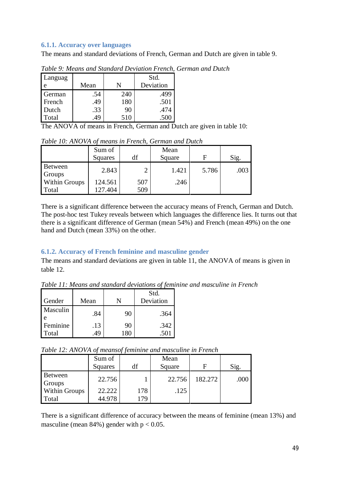## **6.1.1. Accuracy over languages**

The means and standard deviations of French, German and Dutch are given in table 9.

| Languag |      |     | Std.      |  |
|---------|------|-----|-----------|--|
|         | Mean |     | Deviation |  |
| German  | .54  | 240 | .499      |  |
| French  | .49  | 180 | .501      |  |
| Dutch   | .33  | 90  | .474      |  |
| Total   | 49   | 510 |           |  |

*Table 9: Means and Standard Deviation French, German and Dutch*

The ANOVA of means in French, German and Dutch are given in table 10:

|                      | Sum of<br>Squares | df            | Mean<br>Square | F     | Sig. |
|----------------------|-------------------|---------------|----------------|-------|------|
| Between<br>Groups    | 2.843             | $\mathcal{D}$ | 1.421          | 5.786 | .003 |
| <b>Within Groups</b> | 124.561           | 507           | .246           |       |      |
| Total                | 127.404           | 509           |                |       |      |

*Table 10: ANOVA of means in French, German and Dutch*

There is a significant difference between the accuracy means of French, German and Dutch. The post-hoc test Tukey reveals between which languages the difference lies. It turns out that there is a significant difference of German (mean 54%) and French (mean 49%) on the one hand and Dutch (mean 33%) on the other.

# **6.1.2. Accuracy of French feminine and masculine gender**

The means and standard deviations are given in table 11, the ANOVA of means is given in table 12.

*Table 11: Means and standard deviations of feminine and masculine in French*

| Gender   | Mean |    | Std.<br>Deviation |
|----------|------|----|-------------------|
|          |      |    |                   |
| Masculin | .84  | 90 | .364              |
| Feminine | .13  | 90 | .342              |
| Total    |      |    |                   |

*Table 12: ANOVA of meansof feminine and masculine in French*

|                               | Sum of<br>Squares | df         | Mean<br>Square | Е       | Sig. |
|-------------------------------|-------------------|------------|----------------|---------|------|
| Between<br>Groups             | 22.756            |            | 22.756         | 182.272 | .000 |
| <b>Within Groups</b><br>Total | 22.222<br>44.978  | 178<br>179 | .125           |         |      |

There is a significant difference of accuracy between the means of feminine (mean 13%) and masculine (mean  $84\%$ ) gender with  $p < 0.05$ .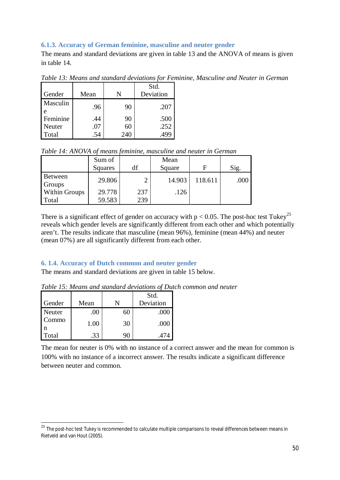# **6.1.3. Accuracy of German feminine, masculine and neuter gender**

The means and standard deviations are given in table 13 and the ANOVA of means is given in table 14.

| Gender   | Mean |     | Std.<br>Deviation |
|----------|------|-----|-------------------|
| Masculin | .96  | 90  | .207              |
| Feminine | .44  | 90  | .500              |
| Neuter   | .U7  | 60  | .252              |
| Total    |      | 240 |                   |

*Table 13: Means and standard deviations for Feminine, Masculine and Neuter in German*

*Table 14: ANOVA of means feminine, masculine and neuter in German*

|                      | Sum of  |     | Mean   |         |      |
|----------------------|---------|-----|--------|---------|------|
|                      | Squares | df  | Square | F       | Sig. |
| Between<br>Groups    | 29.806  |     | 14.903 | 118.611 | .000 |
| <b>Within Groups</b> | 29.778  | 237 | .126   |         |      |
| Total                | 59.583  | 239 |        |         |      |

There is a significant effect of gender on accuracy with  $p < 0.05$ . The post-hoc test Tukey<sup>25</sup> reveals which gender levels are significantly different from each other and which potentially aren't. The results indicate that masculine (mean 96%), feminine (mean 44%) and neuter (mean 07%) are all significantly different from each other.

# **6. 1.4. Accuracy of Dutch common and neuter gender**

The means and standard deviations are given in table 15 below.

|        |      |    | Std.      |
|--------|------|----|-----------|
| Gender | Mean |    | Deviation |
| Neuter | .00  | 60 | .000      |
| Commo  | 1.00 | 30 | .000      |
| Total  | .33  | 90 | .474      |

*Table 15: Means and standard deviations of Dutch common and neuter*

The mean for neuter is 0% with no instance of a correct answer and the mean for common is 100% with no instance of a incorrect answer. The results indicate a significant difference between neuter and common.

<sup>&</sup>lt;sup>25</sup> The post-hoc test Tukev is recommended to calculate multiple comparisons to reveal differences between means in Rietveld and van Hout (2005).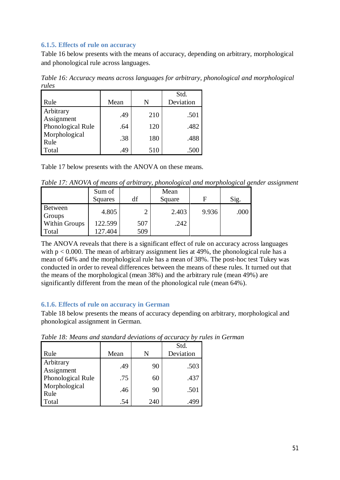## **6.1.5. Effects of rule on accuracy**

Table 16 below presents with the means of accuracy, depending on arbitrary, morphological and phonological rule across languages.

*Table 16: Accuracy means across languages for arbitrary, phonological and morphological rules*

| Rule                    | Mean | N   | Std.<br>Deviation |
|-------------------------|------|-----|-------------------|
| Arbitrary<br>Assignment | .49  | 210 | .501              |
| Phonological Rule       | .64  | 120 | .482              |
| Morphological<br>Rule   | .38  | 180 | .488              |
| Total                   | .49  | 510 | .500              |

Table 17 below presents with the ANOVA on these means.

*Table 17: ANOVA of means of arbitrary, phonological and morphological gender assignment*

|                      | Sum of<br>Squares | df  | Mean<br>Square | F     | Sig. |
|----------------------|-------------------|-----|----------------|-------|------|
| Between<br>Groups    | 4.805             |     | 2.403          | 9.936 | .000 |
| <b>Within Groups</b> | 122.599           | 507 | .242           |       |      |
| Total                | 127.404           | 509 |                |       |      |

The ANOVA reveals that there is a significant effect of rule on accuracy across languages with  $p < 0.000$ . The mean of arbitrary assignment lies at 49%, the phonological rule has a mean of 64% and the morphological rule has a mean of 38%. The post-hoc test Tukey was conducted in order to reveal differences between the means of these rules. It turned out that the means of the morphological (mean 38%) and the arbitrary rule (mean 49%) are significantly different from the mean of the phonological rule (mean 64%).

# **6.1.6. Effects of rule on accuracy in German**

Table 18 below presents the means of accuracy depending on arbitrary, morphological and phonological assignment in German.

| Rule                    | Mean | N   | Std.<br>Deviation |
|-------------------------|------|-----|-------------------|
| Arbitrary<br>Assignment | .49  | 90  | .503              |
| Phonological Rule       | .75  | 60  | .437              |
| Morphological<br>Rule   | .46  | 90  | .501              |
| Total                   | .54  | 240 | .499              |

*Table 18: Means and standard deviations of accuracy by rules in German*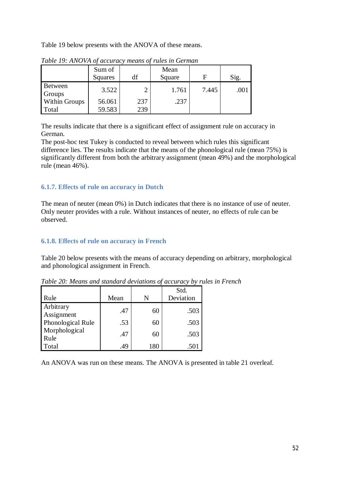Table 19 below presents with the ANOVA of these means.

|                      | Sum of<br>Squares | df            | Mean<br>Square | F     | Sig. |
|----------------------|-------------------|---------------|----------------|-------|------|
| Between<br>Groups    | 3.522             | $\mathcal{D}$ | 1.761          | 7.445 | .001 |
| <b>Within Groups</b> | 56.061            | 237           | .237           |       |      |
| Total                | 59.583            | 239           |                |       |      |

*Table 19: ANOVA of accuracy means of rules in German*

The results indicate that there is a significant effect of assignment rule on accuracy in German.

The post-hoc test Tukey is conducted to reveal between which rules this significant difference lies. The results indicate that the means of the phonological rule (mean 75%) is significantly different from both the arbitrary assignment (mean 49%) and the morphological rule (mean 46%).

# **6.1.7. Effects of rule on accuracy in Dutch**

The mean of neuter (mean 0%) in Dutch indicates that there is no instance of use of neuter. Only neuter provides with a rule. Without instances of neuter, no effects of rule can be observed.

## **6.1.8. Effects of rule on accuracy in French**

Table 20 below presents with the means of accuracy depending on arbitrary, morphological and phonological assignment in French.

| Rule                    | Mean | N   | Std.<br>Deviation |
|-------------------------|------|-----|-------------------|
| Arbitrary<br>Assignment | .47  | 60  | .503              |
| Phonological Rule       | .53  | 60  | .503              |
| Morphological<br>Rule   | .47  | 60  | .503              |
| Total                   | .49  | 180 | .501              |

*Table 20: Means and standard deviations of accuracy by rules in French*

An ANOVA was run on these means. The ANOVA is presented in table 21 overleaf.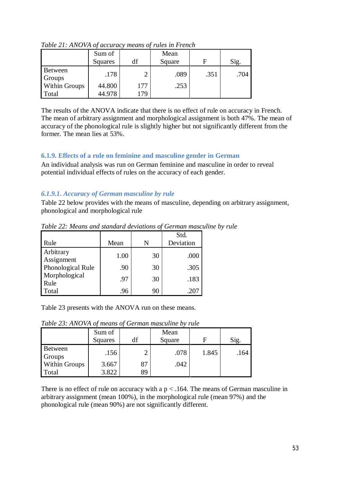|                      | Sum of<br>Squares |     | Mean<br>Square |      | Sig. |
|----------------------|-------------------|-----|----------------|------|------|
| Between<br>Groups    | .178              |     | .089           | .351 | .704 |
| <b>Within Groups</b> | 44.800            | 177 | .253           |      |      |
| Total                | 44.978            | 179 |                |      |      |

*Table 21: ANOVA of accuracy means of rules in French*

The results of the ANOVA indicate that there is no effect of rule on accuracy in French. The mean of arbitrary assignment and morphological assignment is both 47%. The mean of accuracy of the phonological rule is slightly higher but not significantly different from the former. The mean lies at 53%.

# **6.1.9. Effects of a rule on feminine and masculine gender in German**

An individual analysis was run on German feminine and masculine in order to reveal potential individual effects of rules on the accuracy of each gender.

# *6.1.9.1. Accuracy of German masculine by rule*

Table 22 below provides with the means of masculine, depending on arbitrary assignment, phonological and morphological rule

|                         |      |    | Std.      |
|-------------------------|------|----|-----------|
| Rule                    | Mean | N  | Deviation |
| Arbitrary<br>Assignment | 1.00 | 30 | .000      |
| Phonological Rule       | .90  | 30 | .305      |
| Morphological<br>Rule   | .97  | 30 | .183      |
| Total                   | .96  | 90 | $-20$     |

*Table 22: Means and standard deviations of German masculine by rule*

Table 23 presents with the ANOVA run on these means.

*Table 23: ANOVA of means of German masculine by rule*

|                   | Sum of<br>Squares |    | Mean<br>Square | F     | Sig. |
|-------------------|-------------------|----|----------------|-------|------|
| Between<br>Groups | .156              |    | .078           | 1.845 | .164 |
| Within Groups     | 3.667             | 87 | .042           |       |      |
| Total             | 3.822             | 89 |                |       |      |

There is no effect of rule on accuracy with a  $p < 0.164$ . The means of German masculine in arbitrary assignment (mean 100%), in the morphological rule (mean 97%) and the phonological rule (mean 90%) are not significantly different.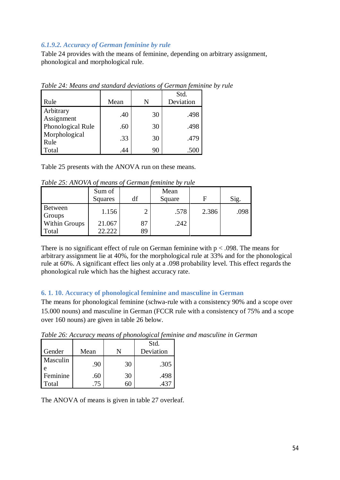## *6.1.9.2. Accuracy of German feminine by rule*

Table 24 provides with the means of feminine, depending on arbitrary assignment, phonological and morphological rule.

|                         |      |    | Std.      |
|-------------------------|------|----|-----------|
| Rule                    | Mean | N  | Deviation |
| Arbitrary<br>Assignment | .40  | 30 | .498      |
| Phonological Rule       | .60  | 30 | .498      |
| Morphological<br>Rule   | .33  | 30 | .479      |
| Total                   | .44  | 90 | .500      |

*Table 24: Means and standard deviations of German feminine by rule*

Table 25 presents with the ANOVA run on these means.

| Table 25: ANOVA of means of German feminine by rule |  |  |
|-----------------------------------------------------|--|--|
|                                                     |  |  |

|                               | Sum of  |          | Mean   |       |      |
|-------------------------------|---------|----------|--------|-------|------|
|                               | Squares | df       | Square | F     | Sig. |
| Between<br>Groups             | 1.156   |          | .578   | 2.386 | .098 |
| <b>Within Groups</b><br>Total | 21.067  | 87<br>89 | .242   |       |      |

There is no significant effect of rule on German feminine with  $p < .098$ . The means for arbitrary assignment lie at 40%, for the morphological rule at 33% and for the phonological rule at 60%. A significant effect lies only at a .098 probability level. This effect regards the phonological rule which has the highest accuracy rate.

# **6. 1. 10. Accuracy of phonological feminine and masculine in German**

The means for phonological feminine (schwa-rule with a consistency 90% and a scope over 15.000 nouns) and masculine in German (FCCR rule with a consistency of 75% and a scope over 160 nouns) are given in table 26 below.

| Gender            | Mean      |    | Std.<br>Deviation |
|-------------------|-----------|----|-------------------|
| Masculin          | .90       | 30 | .305              |
| Feminine<br>Total | .60<br>75 | 30 | .498<br>.437      |

*Table 26: Accuracy means of phonological feminine and masculine in German*

The ANOVA of means is given in table 27 overleaf.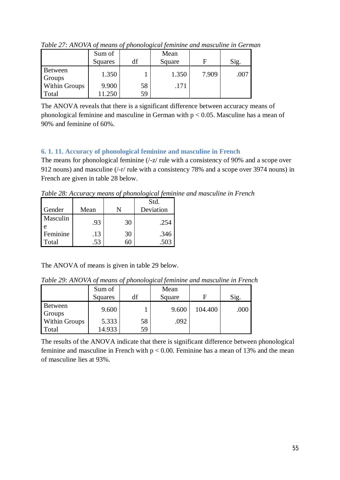|                      | Sum of<br>Squares | df | Mean<br>Square | F     | Sig. |
|----------------------|-------------------|----|----------------|-------|------|
| Between<br>Groups    | 1.350             |    | 1.350          | 7.909 | .007 |
| <b>Within Groups</b> | 9.900             | 58 | .171           |       |      |
| Total                | .250              | 59 |                |       |      |

*Table 27: ANOVA of means of phonological feminine and masculine in German*

The ANOVA reveals that there is a significant difference between accuracy means of phonological feminine and masculine in German with  $p < 0.05$ . Masculine has a mean of 90% and feminine of 60%.

# **6. 1. 11. Accuracy of phonological feminine and masculine in French**

The means for phonological feminine ( $\frac{1}{z}$  rule with a consistency of 90% and a scope over 912 nouns) and masculine (/-r/ rule with a consistency 78% and a scope over 3974 nouns) in French are given in table 28 below.

*Table 28: Accuracy means of phonological feminine and masculine in French*

|                   |            |    | Std.         |
|-------------------|------------|----|--------------|
| Gender            | Mean       |    | Deviation    |
| Masculin          | .93        | 30 | .254         |
| Feminine<br>Total | .13<br>.53 | 30 | .346<br>.503 |

The ANOVA of means is given in table 29 below.

*Table 29: ANOVA of means of phonological feminine and masculine in French*

|                      | Sum of  |    | Mean   |         |      |
|----------------------|---------|----|--------|---------|------|
|                      | Squares | df | Square | F       | Sig. |
| Between<br>Groups    | 9.600   |    | 9.600  | 104.400 | .000 |
| <b>Within Groups</b> | 5.333   | 58 | .092   |         |      |
| Total                | 14.933  | 59 |        |         |      |

The results of the ANOVA indicate that there is significant difference between phonological feminine and masculine in French with  $p < 0.00$ . Feminine has a mean of 13% and the mean of masculine lies at 93%.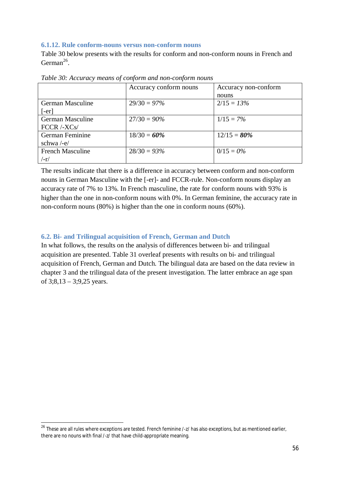### **6.1.12. Rule conform-nouns versus non-conform nouns**

Table 30 below presents with the results for conform and non-conform nouns in French and German<sup>26</sup>.

|                                   | Accuracy conform nouns | Accuracy non-conform |
|-----------------------------------|------------------------|----------------------|
|                                   |                        | nouns                |
| German Masculine                  | $29/30 = 97\%$         | $2/15 = 13\%$        |
| $[-er]$                           |                        |                      |
| German Masculine                  | $27/30 = 90\%$         | $1/15 = 7\%$         |
| $\text{FCCR}$ /-XCs/              |                        |                      |
| German Feminine                   | $18/30 = 60\%$         | $12/15 = 80\%$       |
| schwa $-e$ /                      |                        |                      |
| <b>French Masculine</b>           | $28/30 = 93\%$         | $0/15 = 0\%$         |
| $\mathsf{I}\mathsf{-r}\mathsf{I}$ |                        |                      |

*Table 30: Accuracy means of conform and non-conform nouns*

The results indicate that there is a difference in accuracy between conform and non-conform nouns in German Masculine with the [-er]- and FCCR-rule. Non-conform nouns display an accuracy rate of 7% to 13%. In French masculine, the rate for conform nouns with 93% is higher than the one in non-conform nouns with 0%. In German feminine, the accuracy rate in non-conform nouns (80%) is higher than the one in conform nouns (60%).

## **6.2. Bi- and Trilingual acquisition of French, German and Dutch**

In what follows, the results on the analysis of differences between bi- and trilingual acquisition are presented. Table 31 overleaf presents with results on bi- and trilingual acquisition of French, German and Dutch. The bilingual data are based on the data review in chapter 3 and the trilingual data of the present investigation. The latter embrace an age span of  $3;8,13-3;9,25$  years.

<sup>&</sup>lt;sup>26</sup> These are all rules where exceptions are tested. French feminine /-z/ has also exceptions, but as mentioned earlier, there are no nouns with final /-z/ that have child-appropriate meaning.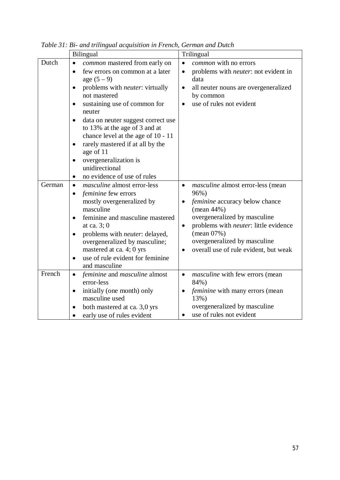|        | Bilingual                                                   | Trilingual                                                                          |
|--------|-------------------------------------------------------------|-------------------------------------------------------------------------------------|
| Dutch  | common mastered from early on<br>$\bullet$                  | common with no errors<br>$\bullet$                                                  |
|        | few errors on common at a later<br>$\bullet$                | problems with <i>neuter</i> : not evident in<br>$\bullet$                           |
|        | age $(5 - 9)$                                               | data                                                                                |
|        | problems with <i>neuter</i> : virtually<br>$\bullet$        | all neuter nouns are overgeneralized<br>$\bullet$                                   |
|        | not mastered                                                | by common                                                                           |
|        | sustaining use of common for<br>$\bullet$                   | use of rules not evident<br>$\bullet$                                               |
|        | neuter                                                      |                                                                                     |
|        | data on neuter suggest correct use<br>$\bullet$             |                                                                                     |
|        | to 13% at the age of 3 and at                               |                                                                                     |
|        | chance level at the age of 10 - 11                          |                                                                                     |
|        | rarely mastered if at all by the<br>$\bullet$               |                                                                                     |
|        | age of 11                                                   |                                                                                     |
|        | overgeneralization is<br>$\bullet$                          |                                                                                     |
|        | unidirectional                                              |                                                                                     |
|        | no evidence of use of rules<br>$\bullet$                    |                                                                                     |
| German | <i>masculine</i> almost error-less<br>$\bullet$             | <i>masculine</i> almost error-less (mean<br>$\bullet$                               |
|        | feminine few errors<br>$\bullet$                            | 96%)                                                                                |
|        | mostly overgeneralized by<br>masculine                      | feminine accuracy below chance                                                      |
|        |                                                             | (mean $44\%$ )                                                                      |
|        | feminine and masculine mastered<br>$\bullet$<br>at ca. 3; 0 | overgeneralized by masculine                                                        |
|        | problems with <i>neuter</i> : delayed,                      | problems with <i>neuter</i> : little evidence<br>$\bullet$<br>$(\text{mean } 07\%)$ |
|        | $\bullet$<br>overgeneralized by masculine;                  | overgeneralized by masculine                                                        |
|        | mastered at ca. 4; 0 yrs                                    | overall use of rule evident, but weak<br>$\bullet$                                  |
|        | use of rule evident for feminine<br>٠                       |                                                                                     |
|        | and masculine                                               |                                                                                     |
| French | <i>feminine</i> and <i>masculine</i> almost<br>$\bullet$    | <i>masculine</i> with few errors (mean<br>$\bullet$                                 |
|        | error-less                                                  | 84%)                                                                                |
|        | initially (one month) only<br>$\bullet$                     | feminine with many errors (mean                                                     |
|        | masculine used                                              | 13%)                                                                                |
|        | both mastered at ca. 3,0 yrs<br>$\bullet$                   | overgeneralized by masculine                                                        |
|        | early use of rules evident<br>$\bullet$                     | use of rules not evident<br>$\bullet$                                               |

*Table 31: Bi- and trilingual acquisition in French, German and Dutch*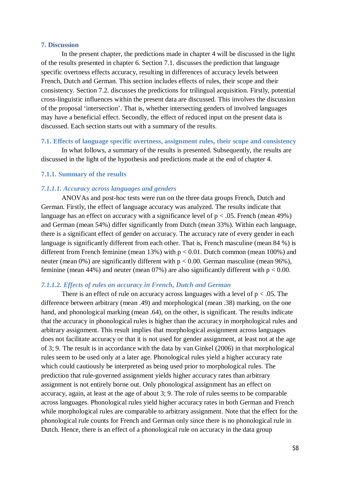### **7. Discussion**

In the present chapter, the predictions made in chapter 4 will be discussed in the light of the results presented in chapter 6. Section 7.1. discusses the prediction that language specific overtness effects accuracy, resulting in differences of accuracy levels between French, Dutch and German. This section includes effects of rules, their scope and their consistency. Section 7.2. discusses the predictions for trilingual acquisition. Firstly, potential cross-linguistic influences within the present data are discussed. This involves the discussion of the proposal 'intersection'. That is, whether intersecting genders of involved languages may have a beneficial effect. Secondly, the effect of reduced input on the present data is discussed. Each section starts out with a summary of the results.

### **7.1. Effects of language specific overtness, assignment rules, their scope and consistency**

In what follows, a summary of the results is presented. Subsequently, the results are discussed in the light of the hypothesis and predictions made at the end of chapter 4.

### **7.1.1. Summary of the results**

### *7.1.1.1. Accuracy across languages and genders*

ANOVAs and post-hoc tests were run on the three data groups French, Dutch and German. Firstly, the effect of language accuracy was analyzed. The results indicate that language has an effect on accuracy with a significance level of  $p < .05$ . French (mean 49%) and German (mean 54%) differ significantly from Dutch (mean 33%). Within each language, there is a significant effect of gender on accuracy. The accuracy rate of every gender in each language is significantly different from each other. That is, French masculine (mean 84 %) is different from French feminine (mean 13%) with  $p < 0.01$ . Dutch common (mean 100%) and neuter (mean 0%) are significantly different with  $p < 0.00$ . German masculine (mean 96%), feminine (mean 44%) and neuter (mean  $07\%$ ) are also significantly different with  $p < 0.00$ .

### *7.1.1.2. Effects of rules on accuracy in French, Dutch and German*

There is an effect of rule on accuracy across languages with a level of  $p < .05$ . The difference between arbitrary (mean .49) and morphological (mean .38) marking, on the one hand, and phonological marking (mean .64), on the other, is significant. The results indicate that the accuracy in phonological rules is higher than the accuracy in morphological rules and arbitrary assignment. This result implies that morphological assignment across languages does not facilitate accuracy or that it is not used for gender assignment, at least not at the age of 3; 9. The result is in accordance with the data by van Ginkel (2006) in that morphological rules seem to be used only at a later age. Phonological rules yield a higher accuracy rate which could cautiously be interpreted as being used prior to morphological rules. The prediction that rule-governed assignment yields higher accuracy rates than arbitrary assignment is not entirely borne out. Only phonological assignment has an effect on accuracy, again, at least at the age of about 3; 9. The role of rules seems to be comparable across languages. Phonological rules yield higher accuracy rates in both German and French while morphological rules are comparable to arbitrary assignment. Note that the effect for the phonological rule counts for French and German only since there is no phonological rule in Dutch. Hence, there is an effect of a phonological rule on accuracy in the data group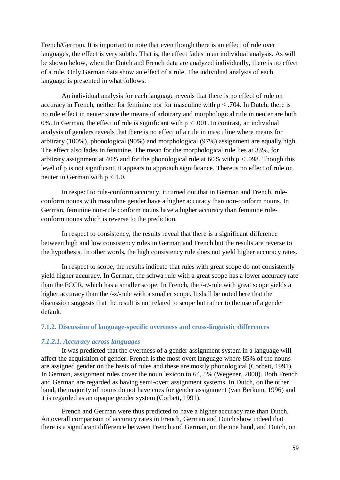French/German. It is important to note that even though there is an effect of rule over languages, the effect is very subtle. That is, the effect fades in an individual analysis. As will be shown below, when the Dutch and French data are analyzed individually, there is no effect of a rule. Only German data show an effect of a rule. The individual analysis of each language is presented in what follows.

An individual analysis for each language reveals that there is no effect of rule on accuracy in French, neither for feminine nor for masculine with  $p < .704$ . In Dutch, there is no rule effect in neuter since the means of arbitrary and morphological rule in neuter are both 0%. In German, the effect of rule is significant with  $p < .001$ . In contrast, an individual analysis of genders reveals that there is no effect of a rule in masculine where means for arbitrary (100%), phonological (90%) and morphological (97%) assignment are equally high. The effect also fades in feminine. The mean for the morphological rule lies at 33%, for arbitrary assignment at 40% and for the phonological rule at 60% with  $p < .098$ . Though this level of p is not significant, it appears to approach significance. There is no effect of rule on neuter in German with  $p < 1.0$ .

In respect to rule-conform accuracy, it turned out that in German and French, ruleconform nouns with masculine gender have a higher accuracy than non-conform nouns. In German, feminine non-rule conform nouns have a higher accuracy than feminine ruleconform nouns which is reverse to the prediction.

In respect to consistency, the results reveal that there is a significant difference between high and low consistency rules in German and French but the results are reverse to the hypothesis. In other words, the high consistency rule does not yield higher accuracy rates.

In respect to scope, the results indicate that rules with great scope do not consistently yield higher accuracy. In German, the schwa rule with a great scope has a lower accuracy rate than the FCCR, which has a smaller scope. In French, the /-r/-rule with great scope yields a higher accuracy than the /-z/-rule with a smaller scope. It shall be noted here that the discussion suggests that the result is not related to scope but rather to the use of a gender default.

### **7.1.2. Discussion of language-specific overtness and cross-linguistic differences**

## *7.1.2.1. Accuracy across languages*

It was predicted that the overtness of a gender assignment system in a language will affect the acquisition of gender. French is the most overt language where 85% of the nouns are assigned gender on the basis of rules and these are mostly phonological (Corbett, 1991). In German, assignment rules cover the noun lexicon to 64, 5% (Wegener, 2000). Both French and German are regarded as having semi-overt assignment systems. In Dutch, on the other hand, the majority of nouns do not have cues for gender assignment (van Berkum, 1996) and it is regarded as an opaque gender system (Corbett, 1991).

French and German were thus predicted to have a higher accuracy rate than Dutch. An overall comparison of accuracy rates in French, German and Dutch show indeed that there is a significant difference between French and German, on the one hand, and Dutch, on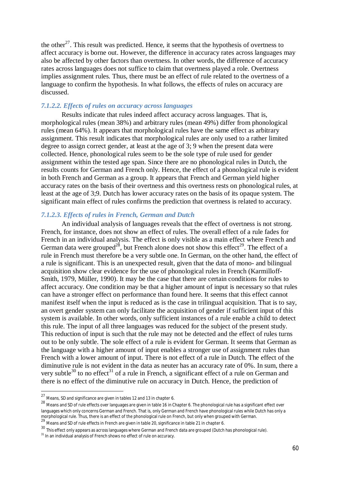the other<sup>27</sup>. This result was predicted. Hence, it seems that the hypothesis of overtness to affect accuracy is borne out. However, the difference in accuracy rates across languages may also be affected by other factors than overtness. In other words, the difference of accuracy rates across languages does not suffice to claim that overtness played a role. Overtness implies assignment rules. Thus, there must be an effect of rule related to the overtness of a language to confirm the hypothesis. In what follows, the effects of rules on accuracy are discussed.

### *7.1.2.2. Effects of rules on accuracy across languages*

Results indicate that rules indeed affect accuracy across languages. That is, morphological rules (mean 38%) and arbitrary rules (mean 49%) differ from phonological rules (mean 64%). It appears that morphological rules have the same effect as arbitrary assignment. This result indicates that morphological rules are only used to a rather limited degree to assign correct gender, at least at the age of 3; 9 when the present data were collected. Hence, phonological rules seem to be the sole type of rule used for gender assignment within the tested age span. Since there are no phonological rules in Dutch, the results counts for German and French only. Hence, the effect of a phonological rule is evident in both French and German as a group. It appears that French and German yield higher accuracy rates on the basis of their overtness and this overtness rests on phonological rules, at least at the age of 3;9. Dutch has lower accuracy rates on the basis of its opaque system. The significant main effect of rules confirms the prediction that overtness is related to accuracy.

## *7.1.2.3. Effects of rules in French, German and Dutch*

An individual analysis of languages reveals that the effect of overtness is not strong. French, for instance, does not show an effect of rules. The overall effect of a rule fades for French in an individual analysis. The effect is only visible as a main effect where French and German data were grouped<sup>28</sup>, but French alone does not show this effect<sup>29</sup>. The effect of a rule in French must therefore be a very subtle one. In German, on the other hand, the effect of a rule is significant. This is an unexpected result, given that the data of mono- and bilingual acquisition show clear evidence for the use of phonological rules in French (Karmilloff-Smith, 1979, Müller, 1990). It may be the case that there are certain conditions for rules to affect accuracy. One condition may be that a higher amount of input is necessary so that rules can have a stronger effect on performance than found here. It seems that this effect cannot manifest itself when the input is reduced as is the case in trilingual acquisition. That is to say, an overt gender system can only facilitate the acquisition of gender if sufficient input of this system is available. In other words, only sufficient instances of a rule enable a child to detect this rule. The input of all three languages was reduced for the subject of the present study. This reduction of input is such that the rule may not be detected and the effect of rules turns out to be only subtle. The sole effect of a rule is evident for German. It seems that German as the language with a higher amount of input enables a stronger use of assignment rules than French with a lower amount of input. There is not effect of a rule in Dutch. The effect of the diminutive rule is not evident in the data as neuter has an accuracy rate of 0%. In sum, there a very subtle $30$  to no effect $31$  of a rule in French, a significant effect of a rule on German and there is no effect of the diminutive rule on accuracy in Dutch. Hence, the prediction of

 $^{27}$  Means, SD and significance are given in tables 12 and 13 in chapter 6.

<sup>28</sup> Means and SD of rule effects over languages are given in table 16 in Chapter 6. The phonological rule has a significant effect over languages which only concerns German and French. That is, only German and French have phonological rules while Dutch has only a morphological rule. Thus, there is an effect of the phonological rule on French, but only when grouped with German.

<sup>29</sup> Means and SD of rule effects in French are given in table 20, significance in table 21 in chapter 6.

<sup>30</sup> This effect only appears as across languages where German and French data are grouped (Dutch has phonological rule).

<sup>&</sup>lt;sup>31</sup> In an individual analysis of French shows no effect of rule on accuracy.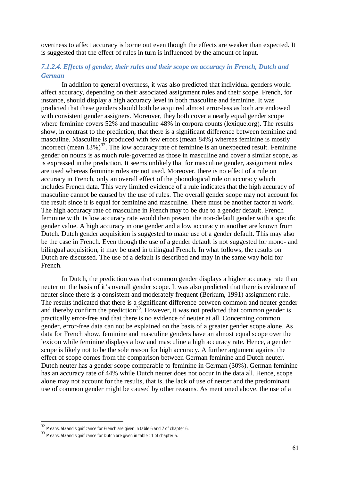overtness to affect accuracy is borne out even though the effects are weaker than expected. It is suggested that the effect of rules in turn is influenced by the amount of input.

# *7.1.2.4. Effects of gender, their rules and their scope on accuracy in French, Dutch and German*

In addition to general overtness, it was also predicted that individual genders would affect accuracy, depending on their associated assignment rules and their scope. French, for instance, should display a high accuracy level in both masculine and feminine. It was predicted that these genders should both be acquired almost error-less as both are endowed with consistent gender assigners. Moreover, they both cover a nearly equal gender scope where feminine covers 52% and masculine 48% in corpora counts (lexique.org). The results show, in contrast to the prediction, that there is a significant difference between feminine and masculine. Masculine is produced with few errors (mean 84%) whereas feminine is mostly incorrect (mean  $13\%$ )<sup>32</sup>. The low accuracy rate of feminine is an unexpected result. Feminine gender on nouns is as much rule-governed as those in masculine and cover a similar scope, as is expressed in the prediction. It seems unlikely that for masculine gender, assignment rules are used whereas feminine rules are not used. Moreover, there is no effect of a rule on accuracy in French, only an overall effect of the phonological rule on accuracy which includes French data. This very limited evidence of a rule indicates that the high accuracy of masculine cannot be caused by the use of rules. The overall gender scope may not account for the result since it is equal for feminine and masculine. There must be another factor at work. The high accuracy rate of masculine in French may to be due to a gender default. French feminine with its low accuracy rate would then present the non-default gender with a specific gender value. A high accuracy in one gender and a low accuracy in another are known from Dutch. Dutch gender acquisition is suggested to make use of a gender default. This may also be the case in French. Even though the use of a gender default is not suggested for mono- and bilingual acquisition, it may be used in trilingual French. In what follows, the results on Dutch are discussed. The use of a default is described and may in the same way hold for French.

In Dutch, the prediction was that common gender displays a higher accuracy rate than neuter on the basis of it's overall gender scope. It was also predicted that there is evidence of neuter since there is a consistent and moderately frequent (Berkum, 1991) assignment rule. The results indicated that there is a significant difference between common and neuter gender and thereby confirm the prediction<sup>33</sup>. However, it was not predicted that common gender is practically error-free and that there is no evidence of neuter at all. Concerning common gender, error-free data can not be explained on the basis of a greater gender scope alone. As data for French show, feminine and masculine genders have an almost equal scope over the lexicon while feminine displays a low and masculine a high accuracy rate. Hence, a gender scope is likely not to be the sole reason for high accuracy. A further argument against the effect of scope comes from the comparison between German feminine and Dutch neuter. Dutch neuter has a gender scope comparable to feminine in German (30%). German feminine has an accuracy rate of 44% while Dutch neuter does not occur in the data all. Hence, scope alone may not account for the results, that is, the lack of use of neuter and the predominant use of common gender might be caused by other reasons. As mentioned above, the use of a

<sup>32</sup> Means, SD and significance for French are given in table 6 and 7 of chapter 6.

<sup>33</sup> Means, SD and significance for Dutch are given in table 11 of chapter 6.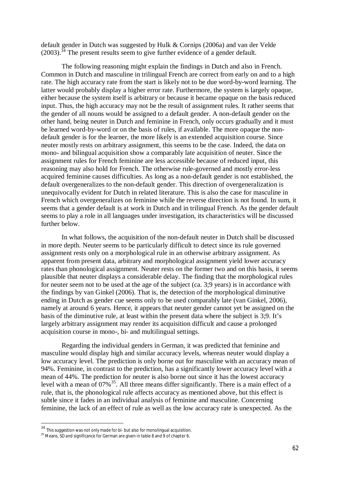default gender in Dutch was suggested by Hulk & Cornips (2006a) and van der Velde  $(2003).$ <sup>34</sup> The present results seem to give further evidence of a gender default.

The following reasoning might explain the findings in Dutch and also in French. Common in Dutch and masculine in trilingual French are correct from early on and to a high rate. The high accuracy rate from the start is likely not to be due word-by-word learning. The latter would probably display a higher error rate. Furthermore, the system is largely opaque, either because the system itself is arbitrary or because it became opaque on the basis reduced input. Thus, the high accuracy may not be the result of assignment rules. It rather seems that the gender of all nouns would be assigned to a default gender. A non-default gender on the other hand, being neuter in Dutch and feminine in French, only occurs gradually and it must be learned word-by-word or on the basis of rules, if available. The more opaque the nondefault gender is for the learner, the more likely is an extended acquisition course. Since neuter mostly rests on arbitrary assignment, this seems to be the case. Indeed, the data on mono- and bilingual acquisition show a comparably late acquisition of neuter. Since the assignment rules for French feminine are less accessible because of reduced input, this reasoning may also hold for French. The otherwise rule-governed and mostly error-less acquired feminine causes difficulties. As long as a non-default gender is not established, the default overgeneralizes to the non-default gender. This direction of overgeneralization is unequivocally evident for Dutch in related literature. This is also the case for masculine in French which overgeneralizes on feminine while the reverse direction is not found. In sum, it seems that a gender default is at work in Dutch and in trilingual French. As the gender default seems to play a role in all languages under investigation, its characteristics will be discussed further below.

In what follows, the acquisition of the non-default neuter in Dutch shall be discussed in more depth. Neuter seems to be particularly difficult to detect since its rule governed assignment rests only on a morphological rule in an otherwise arbitrary assignment. As apparent from present data, arbitrary and morphological assignment yield lower accuracy rates than phonological assignment. Neuter rests on the former two and on this basis, it seems plausible that neuter displays a considerable delay. The finding that the morphological rules for neuter seem not to be used at the age of the subject (ca. 3:9 years) is in accordance with the findings by van Ginkel (2006). That is, the detection of the morphological diminutive ending in Dutch as gender cue seems only to be used comparably late (van Ginkel, 2006), namely at around 6 years. Hence, it appears that neuter gender cannot yet be assigned on the basis of the diminutive rule, at least within the present data where the subject is 3;9. It's largely arbitrary assignment may render its acquisition difficult and cause a prolonged acquisition course in mono-, bi- and multilingual settings.

Regarding the individual genders in German, it was predicted that feminine and masculine would display high and similar accuracy levels, whereas neuter would display a low accuracy level. The prediction is only borne out for masculine with an accuracy mean of 94%. Feminine, in contrast to the prediction, has a significantly lower accuracy level with a mean of 44%. The prediction for neuter is also borne out since it has the lowest accuracy level with a mean of 07%<sup>35</sup>. All three means differ significantly. There is a main effect of a rule, that is, the phonological rule affects accuracy as mentioned above, but this effect is subtle since it fades in an individual analysis of feminine and masculine. Concerning feminine, the lack of an effect of rule as well as the low accuracy rate is unexpected. As the

 $^{34}$  This suggestion was not only made for bi- but also for monolingual acquisition.

<sup>&</sup>lt;sup>35</sup> Means, SD and significance for German are given in table 8 and 9 of chapter 6.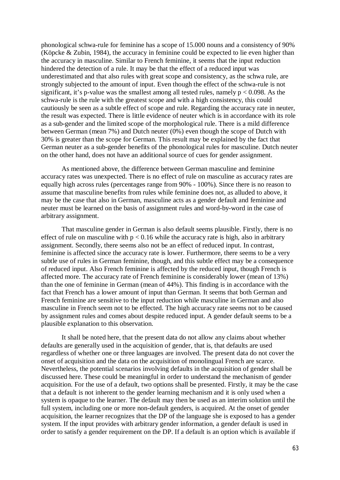phonological schwa-rule for feminine has a scope of 15.000 nouns and a consistency of 90% (Köpcke & Zubin, 1984), the accuracy in feminine could be expected to lie even higher than the accuracy in masculine. Similar to French feminine, it seems that the input reduction hindered the detection of a rule. It may be that the effect of a reduced input was underestimated and that also rules with great scope and consistency, as the schwa rule, are strongly subjected to the amount of input. Even though the effect of the schwa-rule is not significant, it's p-value was the smallest among all tested rules, namely  $p < 0.098$ . As the schwa-rule is the rule with the greatest scope and with a high consistency, this could cautiously be seen as a subtle effect of scope and rule. Regarding the accuracy rate in neuter, the result was expected. There is little evidence of neuter which is in accordance with its role as a sub-gender and the limited scope of the morphological rule. There is a mild difference between German (mean 7%) and Dutch neuter  $(0\%)$  even though the scope of Dutch with 30% is greater than the scope for German. This result may be explained by the fact that German neuter as a sub-gender benefits of the phonological rules for masculine. Dutch neuter on the other hand, does not have an additional source of cues for gender assignment.

As mentioned above, the difference between German masculine and feminine accuracy rates was unexpected. There is no effect of rule on masculine as accuracy rates are equally high across rules (percentages range from 90% - 100%). Since there is no reason to assume that masculine benefits from rules while feminine does not, as alluded to above, it may be the case that also in German, masculine acts as a gender default and feminine and neuter must be learned on the basis of assignment rules and word-by-word in the case of arbitrary assignment.

That masculine gender in German is also default seems plausible. Firstly, there is no effect of rule on masculine with  $p < 0.16$  while the accuracy rate is high, also in arbitrary assignment. Secondly, there seems also not be an effect of reduced input. In contrast, feminine is affected since the accuracy rate is lower. Furthermore, there seems to be a very subtle use of rules in German feminine, though, and this subtle effect may be a consequence of reduced input. Also French feminine is affected by the reduced input, though French is affected more. The accuracy rate of French feminine is considerably lower (mean of 13%) than the one of feminine in German (mean of 44%). This finding is in accordance with the fact that French has a lower amount of input than German. It seems that both German and French feminine are sensitive to the input reduction while masculine in German and also masculine in French seem not to be effected. The high accuracy rate seems not to be caused by assignment rules and comes about despite reduced input. A gender default seems to be a plausible explanation to this observation.

It shall be noted here, that the present data do not allow any claims about whether defaults are generally used in the acquisition of gender, that is, that defaults are used regardless of whether one or three languages are involved. The present data do not cover the onset of acquisition and the data on the acquisition of monolingual French are scarce. Nevertheless, the potential scenarios involving defaults in the acquisition of gender shall be discussed here. These could be meaningful in order to understand the mechanism of gender acquisition. For the use of a default, two options shall be presented. Firstly, it may be the case that a default is not inherent to the gender learning mechanism and it is only used when a system is opaque to the learner. The default may then be used as an interim solution until the full system, including one or more non-default genders, is acquired. At the onset of gender acquisition, the learner recognizes that the DP of the language she is exposed to has a gender system. If the input provides with arbitrary gender information, a gender default is used in order to satisfy a gender requirement on the DP. If a default is an option which is available if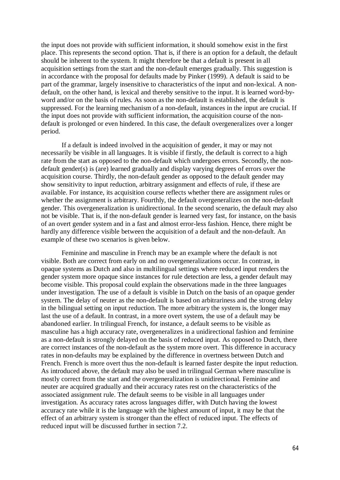the input does not provide with sufficient information, it should somehow exist in the first place. This represents the second option. That is, if there is an option for a default, the default should be inherent to the system. It might therefore be that a default is present in all acquisition settings from the start and the non-default emerges gradually. This suggestion is in accordance with the proposal for defaults made by Pinker (1999). A default is said to be part of the grammar, largely insensitive to characteristics of the input and non-lexical. A nondefault, on the other hand, is lexical and thereby sensitive to the input. It is learned word-byword and/or on the basis of rules. As soon as the non-default is established, the default is suppressed. For the learning mechanism of a non-default, instances in the input are crucial. If the input does not provide with sufficient information, the acquisition course of the nondefault is prolonged or even hindered. In this case, the default overgeneralizes over a longer period.

If a default is indeed involved in the acquisition of gender, it may or may not necessarily be visible in all languages. It is visible if firstly, the default is correct to a high rate from the start as opposed to the non-default which undergoes errors. Secondly, the nondefault gender(s) is (are) learned gradually and display varying degrees of errors over the acquisition course. Thirdly, the non-default gender as opposed to the default gender may show sensitivity to input reduction, arbitrary assignment and effects of rule, if these are available. For instance, its acquisition course reflects whether there are assignment rules or whether the assignment is arbitrary. Fourthly, the default overgeneralizes on the non-default gender. This overgeneralization is unidirectional. In the second scenario, the default may also not be visible. That is, if the non-default gender is learned very fast, for instance, on the basis of an overt gender system and in a fast and almost error-less fashion. Hence, there might be hardly any difference visible between the acquisition of a default and the non-default. An example of these two scenarios is given below.

Feminine and masculine in French may be an example where the default is not visible. Both are correct from early on and no overgeneralizations occur. In contrast, in opaque systems as Dutch and also in multilingual settings where reduced input renders the gender system more opaque since instances for rule detection are less, a gender default may become visible. This proposal could explain the observations made in the three languages under investigation. The use of a default is visible in Dutch on the basis of an opaque gender system. The delay of neuter as the non-default is based on arbitrariness and the strong delay in the bilingual setting on input reduction. The more arbitrary the system is, the longer may last the use of a default. In contrast, in a more overt system, the use of a default may be abandoned earlier. In trilingual French, for instance, a default seems to be visible as masculine has a high accuracy rate, overgeneralizes in a unidirectional fashion and feminine as a non-default is strongly delayed on the basis of reduced input. As opposed to Dutch, there are correct instances of the non-default as the system more overt. This difference in accuracy rates in non-defaults may be explained by the difference in overtness between Dutch and French. French is more overt thus the non-default is learned faster despite the input reduction. As introduced above, the default may also be used in trilingual German where masculine is mostly correct from the start and the overgeneralization is unidirectional. Feminine and neuter are acquired gradually and their accuracy rates rest on the characteristics of the associated assignment rule. The default seems to be visible in all languages under investigation. As accuracy rates across languages differ, with Dutch having the lowest accuracy rate while it is the language with the highest amount of input, it may be that the effect of an arbitrary system is stronger than the effect of reduced input. The effects of reduced input will be discussed further in section 7.2.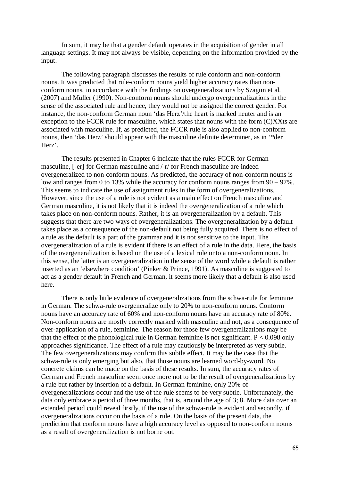In sum, it may be that a gender default operates in the acquisition of gender in all language settings. It may not always be visible, depending on the information provided by the input.

The following paragraph discusses the results of rule conform and non-conform nouns. It was predicted that rule-conform nouns yield higher accuracy rates than nonconform nouns, in accordance with the findings on overgeneralizations by Szagun et al. (2007) and Müller (1990). Non-conform nouns should undergo overgeneralizations in the sense of the associated rule and hence, they would not be assigned the correct gender. For instance, the non-conform German noun 'das Herz'/the heart is marked neuter and is an exception to the FCCR rule for masculine, which states that nouns with the form (C)XXts are associated with masculine. If, as predicted, the FCCR rule is also applied to non-conform nouns, then 'das Herz' should appear with the masculine definite determiner, as in '\*der Herz'.

The results presented in Chapter 6 indicate that the rules FCCR for German masculine, [-er] for German masculine and /-r/ for French masculine are indeed overgeneralized to non-conform nouns. As predicted, the accuracy of non-conform nouns is low and ranges from 0 to 13% while the accuracy for conform nouns ranges from 90 – 97%. This seems to indicate the use of assignment rules in the form of overgeneralizations. However, since the use of a rule is not evident as a main effect on French masculine and German masculine, it is not likely that it is indeed the overgeneralization of a rule which takes place on non-conform nouns. Rather, it is an overgeneralization by a default. This suggests that there are two ways of overgeneralizations. The overgeneralization by a default takes place as a consequence of the non-default not being fully acquired. There is no effect of a rule as the default is a part of the grammar and it is not sensitive to the input. The overgeneralization of a rule is evident if there is an effect of a rule in the data. Here, the basis of the overgeneralization is based on the use of a lexical rule onto a non-conform noun. In this sense, the latter is an overgeneralization in the sense of the word while a default is rather inserted as an 'elsewhere condition' (Pinker & Prince, 1991). As masculine is suggested to act as a gender default in French and German, it seems more likely that a default is also used here.

There is only little evidence of overgeneralizations from the schwa-rule for feminine in German. The schwa-rule overgeneralize only to 20% to non-conform nouns. Conform nouns have an accuracy rate of 60% and non-conform nouns have an accuracy rate of 80%. Non-conform nouns are mostly correctly marked with masculine and not, as a consequence of over-application of a rule, feminine. The reason for those few overgeneralizations may be that the effect of the phonological rule in German feminine is not significant.  $P < 0.098$  only approaches significance. The effect of a rule may cautiously be interpreted as very subtle. The few overgeneralizations may confirm this subtle effect. It may be the case that the schwa-rule is only emerging but also, that those nouns are learned word-by-word. No concrete claims can be made on the basis of these results. In sum, the accuracy rates of German and French masculine seem once more not to be the result of overgeneralizations by a rule but rather by insertion of a default. In German feminine, only 20% of overgeneralizations occur and the use of the rule seems to be very subtle. Unfortunately, the data only embrace a period of three months, that is, around the age of 3; 8. More data over an extended period could reveal firstly, if the use of the schwa-rule is evident and secondly, if overgeneralizations occur on the basis of a rule. On the basis of the present data, the prediction that conform nouns have a high accuracy level as opposed to non-conform nouns as a result of overgeneralization is not borne out.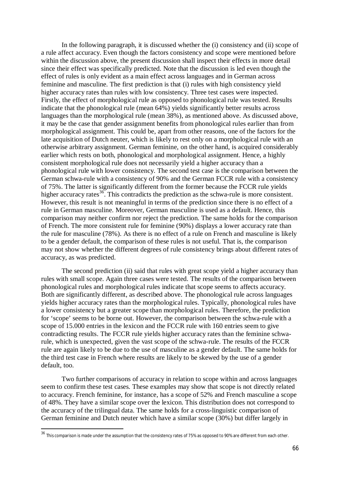In the following paragraph, it is discussed whether the (i) consistency and (ii) scope of a rule affect accuracy. Even though the factors consistency and scope were mentioned before within the discussion above, the present discussion shall inspect their effects in more detail since their effect was specifically predicted. Note that the discussion is led even though the effect of rules is only evident as a main effect across languages and in German across feminine and masculine. The first prediction is that (i) rules with high consistency yield higher accuracy rates than rules with low consistency. Three test cases were inspected. Firstly, the effect of morphological rule as opposed to phonological rule was tested. Results indicate that the phonological rule (mean 64%) yields significantly better results across languages than the morphological rule (mean 38%), as mentioned above. As discussed above, it may be the case that gender assignment benefits from phonological rules earlier than from morphological assignment. This could be, apart from other reasons, one of the factors for the late acquisition of Dutch neuter, which is likely to rest only on a morphological rule with an otherwise arbitrary assignment. German feminine, on the other hand, is acquired considerably earlier which rests on both, phonological and morphological assignment. Hence, a highly consistent morphological rule does not necessarily yield a higher accuracy than a phonological rule with lower consistency. The second test case is the comparison between the German schwa-rule with a consistency of 90% and the German FCCR rule with a consistency of 75%. The latter is significantly different from the former because the FCCR rule yields higher accuracy rates<sup>36</sup>. This contradicts the prediction as the schwa-rule is more consistent. However, this result is not meaningful in terms of the prediction since there is no effect of a rule in German masculine. Moreover, German masculine is used as a default. Hence, this comparison may neither confirm nor reject the prediction. The same holds for the comparison of French. The more consistent rule for feminine (90%) displays a lower accuracy rate than the rule for masculine (78%). As there is no effect of a rule on French and masculine is likely to be a gender default, the comparison of these rules is not useful. That is, the comparison may not show whether the different degrees of rule consistency brings about different rates of accuracy, as was predicted.

The second prediction (ii) said that rules with great scope yield a higher accuracy than rules with small scope. Again three cases were tested. The results of the comparison between phonological rules and morphological rules indicate that scope seems to affects accuracy. Both are significantly different, as described above. The phonological rule across languages yields higher accuracy rates than the morphological rules. Typically, phonological rules have a lower consistency but a greater scope than morphological rules. Therefore, the prediction for 'scope' seems to be borne out. However, the comparison between the schwa-rule with a scope of 15.000 entries in the lexicon and the FCCR rule with 160 entries seem to give contradicting results. The FCCR rule yields higher accuracy rates than the feminine schwarule, which is unexpected, given the vast scope of the schwa-rule. The results of the FCCR rule are again likely to be due to the use of masculine as a gender default. The same holds for the third test case in French where results are likely to be skewed by the use of a gender default, too.

Two further comparisons of accuracy in relation to scope within and across languages seem to confirm these test cases. These examples may show that scope is not directly related to accuracy. French feminine, for instance, has a scope of 52% and French masculine a scope of 48%. They have a similar scope over the lexicon. This distribution does not correspond to the accuracy of the trilingual data. The same holds for a cross-linguistic comparison of German feminine and Dutch neuter which have a similar scope (30%) but differ largely in

<sup>&</sup>lt;sup>36</sup> This comparison is made under the assumption that the consistency rates of 75% as opposed to 90% are different from each other.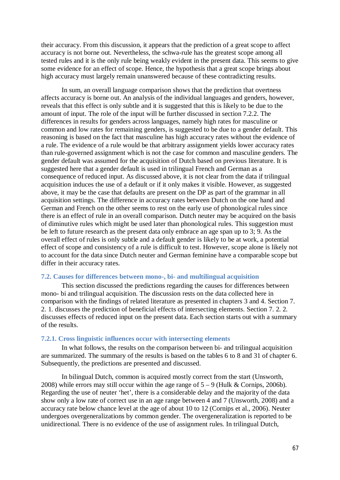their accuracy. From this discussion, it appears that the prediction of a great scope to affect accuracy is not borne out. Nevertheless, the schwa-rule has the greatest scope among all tested rules and it is the only rule being weakly evident in the present data. This seems to give some evidence for an effect of scope. Hence, the hypothesis that a great scope brings about high accuracy must largely remain unanswered because of these contradicting results.

In sum, an overall language comparison shows that the prediction that overtness affects accuracy is borne out. An analysis of the individual languages and genders, however, reveals that this effect is only subtle and it is suggested that this is likely to be due to the amount of input. The role of the input will be further discussed in section 7.2.2. The differences in results for genders across languages, namely high rates for masculine or common and low rates for remaining genders, is suggested to be due to a gender default. This reasoning is based on the fact that masculine has high accuracy rates without the evidence of a rule. The evidence of a rule would be that arbitrary assignment yields lower accuracy rates than rule-governed assignment which is not the case for common and masculine genders. The gender default was assumed for the acquisition of Dutch based on previous literature. It is suggested here that a gender default is used in trilingual French and German as a consequence of reduced input. As discussed above, it is not clear from the data if trilingual acquisition induces the use of a default or if it only makes it visible. However, as suggested above, it may be the case that defaults are present on the DP as part of the grammar in all acquisition settings. The difference in accuracy rates between Dutch on the one hand and German and French on the other seems to rest on the early use of phonological rules since there is an effect of rule in an overall comparison. Dutch neuter may be acquired on the basis of diminutive rules which might be used later than phonological rules. This suggestion must be left to future research as the present data only embrace an age span up to 3; 9. As the overall effect of rules is only subtle and a default gender is likely to be at work, a potential effect of scope and consistency of a rule is difficult to test. However, scope alone is likely not to account for the data since Dutch neuter and German feminine have a comparable scope but differ in their accuracy rates.

### **7.2. Causes for differences between mono-, bi- and multilingual acquisition**

This section discussed the predictions regarding the causes for differences between mono- bi and trilingual acquisition. The discussion rests on the data collected here in comparison with the findings of related literature as presented in chapters 3 and 4. Section 7. 2. 1. discusses the prediction of beneficial effects of intersecting elements. Section 7. 2. 2. discusses effects of reduced input on the present data. Each section starts out with a summary of the results.

### **7.2.1. Cross linguistic influences occur with intersecting elements**

In what follows, the results on the comparison between bi- and trilingual acquisition are summarized. The summary of the results is based on the tables 6 to 8 and 31 of chapter 6. Subsequently, the predictions are presented and discussed.

In bilingual Dutch, common is acquired mostly correct from the start (Unsworth, 2008) while errors may still occur within the age range of  $5 - 9$  (Hulk & Cornips, 2006b). Regarding the use of neuter 'het', there is a considerable delay and the majority of the data show only a low rate of correct use in an age range between 4 and 7 (Unsworth, 2008) and a accuracy rate below chance level at the age of about 10 to 12 (Cornips et al., 2006). Neuter undergoes overgeneralizations by common gender. The overgeneralization is reported to be unidirectional. There is no evidence of the use of assignment rules. In trilingual Dutch,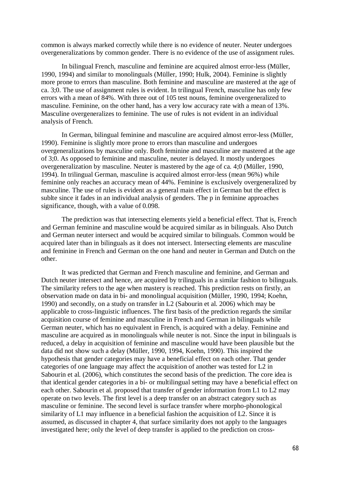common is always marked correctly while there is no evidence of neuter. Neuter undergoes overgeneralizations by common gender. There is no evidence of the use of assignment rules.

In bilingual French, masculine and feminine are acquired almost error-less (Müller, 1990, 1994) and similar to monolinguals (Müller, 1990; Hulk, 2004). Feminine is slightly more prone to errors than masculine. Both feminine and masculine are mastered at the age of ca. 3;0. The use of assignment rules is evident. In trilingual French, masculine has only few errors with a mean of 84%. With three out of 105 test nouns, feminine overgeneralized to masculine. Feminine, on the other hand, has a very low accuracy rate with a mean of 13%. Masculine overgeneralizes to feminine. The use of rules is not evident in an individual analysis of French.

In German, bilingual feminine and masculine are acquired almost error-less (Müller, 1990). Feminine is slightly more prone to errors than masculine and undergoes overgeneralizations by masculine only. Both feminine and masculine are mastered at the age of 3;0. As opposed to feminine and masculine, neuter is delayed. It mostly undergoes overgeneralization by masculine. Neuter is mastered by the age of ca. 4;0 (Müller, 1990, 1994). In trilingual German, masculine is acquired almost error-less (mean 96%) while feminine only reaches an accuracy mean of 44%. Feminine is exclusively overgeneralized by masculine. The use of rules is evident as a general main effect in German but the effect is sublte since it fades in an individual analysis of genders. The p in feminine approaches significance, though, with a value of 0.098.

The prediction was that intersecting elements yield a beneficial effect. That is, French and German feminine and masculine would be acquired similar as in bilinguals. Also Dutch and German neuter intersect and would be acquired similar to bilinguals. Common would be acquired later than in bilinguals as it does not intersect. Intersecting elements are masculine and feminine in French and German on the one hand and neuter in German and Dutch on the other.

It was predicted that German and French masculine and feminine, and German and Dutch neuter intersect and hence, are acquired by trilinguals in a similar fashion to bilinguals. The similarity refers to the age when mastery is reached. This prediction rests on firstly, an observation made on data in bi- and monolingual acquisition (Müller, 1990, 1994; Koehn, 1990) and secondly, on a study on transfer in L2 (Sabourin et al. 2006) which may be applicable to cross-linguistic influences. The first basis of the prediction regards the similar acquisition course of feminine and masculine in French and German in bilinguals while German neuter, which has no equivalent in French, is acquired with a delay. Feminine and masculine are acquired as in monolinguals while neuter is not. Since the input in bilinguals is reduced, a delay in acquisition of feminine and masculine would have been plausible but the data did not show such a delay (Müller, 1990, 1994, Koehn, 1990). This inspired the hypothesis that gender categories may have a beneficial effect on each other. That gender categories of one language may affect the acquisition of another was tested for L2 in Sabourin et al. (2006), which constitutes the second basis of the prediction. The core idea is that identical gender categories in a bi- or multilingual setting may have a beneficial effect on each other. Sabourin et al. proposed that transfer of gender information from L1 to L2 may operate on two levels. The first level is a deep transfer on an abstract category such as masculine or feminine. The second level is surface transfer where morpho-phonological similarity of L1 may influence in a beneficial fashion the acquisition of L2. Since it is assumed, as discussed in chapter 4, that surface similarity does not apply to the languages investigated here; only the level of deep transfer is applied to the prediction on cross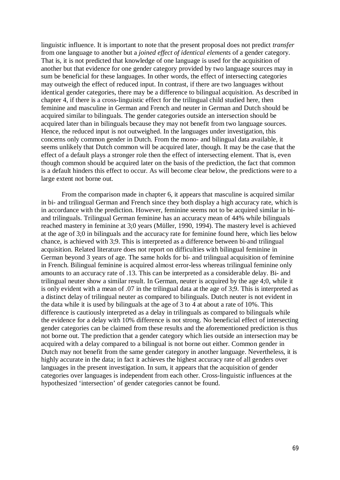linguistic influence. It is important to note that the present proposal does not predict *transfer* from one language to another but a *joined effect of identical elements* of a gender category. That is, it is not predicted that knowledge of one language is used for the acquisition of another but that evidence for one gender category provided by two language sources may in sum be beneficial for these languages. In other words, the effect of intersecting categories may outweigh the effect of reduced input. In contrast, if there are two languages without identical gender categories, there may be a difference to bilingual acquisition. As described in chapter 4, if there is a cross-linguistic effect for the trilingual child studied here, then feminine and masculine in German and French and neuter in German and Dutch should be acquired similar to bilinguals. The gender categories outside an intersection should be acquired later than in bilinguals because they may not benefit from two language sources. Hence, the reduced input is not outweighed. In the languages under investigation, this concerns only common gender in Dutch. From the mono- and bilingual data available, it seems unlikely that Dutch common will be acquired later, though. It may be the case that the effect of a default plays a stronger role then the effect of intersecting element. That is, even though common should be acquired later on the basis of the prediction, the fact that common is a default hinders this effect to occur. As will become clear below, the predictions were to a large extent not borne out.

From the comparison made in chapter 6, it appears that masculine is acquired similar in bi- and trilingual German and French since they both display a high accuracy rate, which is in accordance with the prediction. However, feminine seems not to be acquired similar in biand trilinguals. Trilingual German feminine has an accuracy mean of 44% while bilinguals reached mastery in feminine at 3;0 years (Müller, 1990, 1994). The mastery level is achieved at the age of 3;0 in bilinguals and the accuracy rate for feminine found here, which lies below chance, is achieved with 3;9. This is interpreted as a difference between bi-and trilingual acquisition. Related literature does not report on difficulties with bilingual feminine in German beyond 3 years of age. The same holds for bi- and trilingual acquisition of feminine in French. Bilingual feminine is acquired almost error-less whereas trilingual feminine only amounts to an accuracy rate of .13. This can be interpreted as a considerable delay. Bi- and trilingual neuter show a similar result. In German, neuter is acquired by the age 4;0, while it is only evident with a mean of .07 in the trilingual data at the age of 3;9. This is interpreted as a distinct delay of trilingual neuter as compared to bilinguals. Dutch neuter is not evident in the data while it is used by bilinguals at the age of 3 to 4 at about a rate of 10%. This difference is cautiously interpreted as a delay in trilinguals as compared to bilinguals while the evidence for a delay with 10% difference is not strong. No beneficial effect of intersecting gender categories can be claimed from these results and the aforementioned prediction is thus not borne out. The prediction that a gender category which lies outside an intersection may be acquired with a delay compared to a bilingual is not borne out either. Common gender in Dutch may not benefit from the same gender category in another language. Nevertheless, it is highly accurate in the data; in fact it achieves the highest accuracy rate of all genders over languages in the present investigation. In sum, it appears that the acquisition of gender categories over languages is independent from each other. Cross-linguistic influences at the hypothesized 'intersection' of gender categories cannot be found.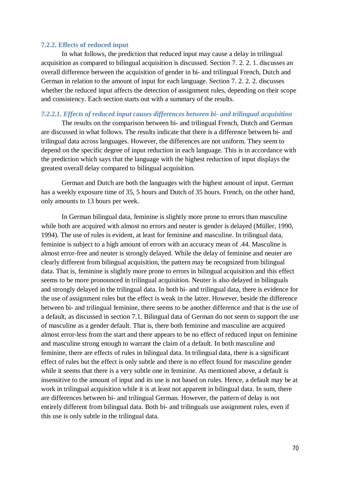#### **7.2.2. Effects of reduced input**

In what follows, the prediction that reduced input may cause a delay in trilingual acquisition as compared to bilingual acquisition is discussed. Section 7. 2. 2. 1. discusses an overall difference between the acquisition of gender in bi- and trilingual French, Dutch and German in relation to the amount of input for each language. Section 7. 2. 2. 2. discusses whether the reduced input affects the detection of assignment rules, depending on their scope and consistency. Each section starts out with a summary of the results.

#### *7.2.2.1. Effects of reduced input causes differences between bi- and trilingual acquisition*

The results on the comparison between bi- and trilingual French, Dutch and German are discussed in what follows. The results indicate that there is a difference between bi- and trilingual data across languages. However, the differences are not uniform. They seem to depend on the specific degree of input reduction in each language. This is in accordance with the prediction which says that the language with the highest reduction of input displays the greatest overall delay compared to bilingual acquisition.

German and Dutch are both the languages with the highest amount of input. German has a weekly exposure time of 35, 5 hours and Dutch of 35 hours. French, on the other hand, only amounts to 13 hours per week.

In German bilingual data, feminine is slightly more prone to errors than masculine while both are acquired with almost no errors and neuter is gender is delayed (Müller, 1990, 1994). The use of rules is evident, at least for feminine and masculine. In trilingual data, feminine is subject to a high amount of errors with an accuracy mean of .44. Masculine is almost error-free and neuter is strongly delayed. While the delay of feminine and neuter are clearly different from bilingual acquisition, the pattern may be recognized from bilingual data. That is, feminine is slightly more prone to errors in bilingual acquisition and this effect seems to be more pronounced in trilingual acquisition. Neuter is also delayed in bilinguals and strongly delayed in the trilingual data. In both bi- and trilingual data, there is evidence for the use of assignment rules but the effect is weak in the latter. However, beside the difference between bi- and trilingual feminine, there seems to be another difference and that is the use of a default, as discussed in section 7.1. Bilingual data of German do not seem to support the use of masculine as a gender default. That is, there both feminine and masculine are acquired almost error-less from the start and there appears to be no effect of reduced input on feminine and masculine strong enough to warrant the claim of a default. In both masculine and feminine, there are effects of rules in bilingual data. In trilingual data, there is a significant effect of rules but the effect is only subtle and there is no effect found for masculine gender while it seems that there is a very subtle one in feminine. As mentioned above, a default is insensitive to the amount of input and its use is not based on rules. Hence, a default may be at work in trilingual acquisition while it is at least not apparent in bilingual data. In sum, there are differences between bi- and trilingual German. However, the pattern of delay is not entirely different from bilingual data. Both bi- and trilinguals use assignment rules, even if this use is only subtle in the trilingual data.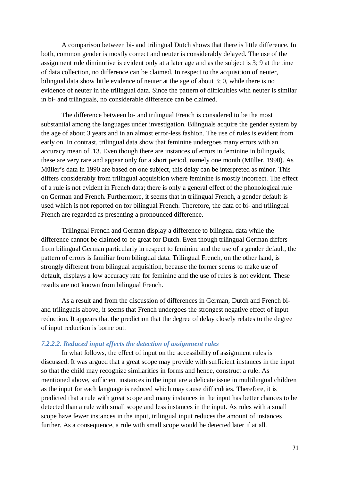A comparison between bi- and trilingual Dutch shows that there is little difference. In both, common gender is mostly correct and neuter is considerably delayed. The use of the assignment rule diminutive is evident only at a later age and as the subject is 3; 9 at the time of data collection, no difference can be claimed. In respect to the acquisition of neuter, bilingual data show little evidence of neuter at the age of about 3; 0, while there is no evidence of neuter in the trilingual data. Since the pattern of difficulties with neuter is similar in bi- and trilinguals, no considerable difference can be claimed.

The difference between bi- and trilingual French is considered to be the most substantial among the languages under investigation. Bilinguals acquire the gender system by the age of about 3 years and in an almost error-less fashion. The use of rules is evident from early on. In contrast, trilingual data show that feminine undergoes many errors with an accuracy mean of .13. Even though there are instances of errors in feminine in bilinguals, these are very rare and appear only for a short period, namely one month (Müller, 1990). As Müller's data in 1990 are based on one subject, this delay can be interpreted as minor. This differs considerably from trilingual acquisition where feminine is mostly incorrect. The effect of a rule is not evident in French data; there is only a general effect of the phonological rule on German and French. Furthermore, it seems that in trilingual French, a gender default is used which is not reported on for bilingual French. Therefore, the data of bi- and trilingual French are regarded as presenting a pronounced difference.

Trilingual French and German display a difference to bilingual data while the difference cannot be claimed to be great for Dutch. Even though trilingual German differs from bilingual German particularly in respect to feminine and the use of a gender default, the pattern of errors is familiar from bilingual data. Trilingual French, on the other hand, is strongly different from bilingual acquisition, because the former seems to make use of default, displays a low accuracy rate for feminine and the use of rules is not evident. These results are not known from bilingual French.

As a result and from the discussion of differences in German, Dutch and French biand trilinguals above, it seems that French undergoes the strongest negative effect of input reduction. It appears that the prediction that the degree of delay closely relates to the degree of input reduction is borne out.

### *7.2.2.2. Reduced input effects the detection of assignment rules*

In what follows, the effect of input on the accessibility of assignment rules is discussed. It was argued that a great scope may provide with sufficient instances in the input so that the child may recognize similarities in forms and hence, construct a rule. As mentioned above, sufficient instances in the input are a delicate issue in multilingual children as the input for each language is reduced which may cause difficulties. Therefore, it is predicted that a rule with great scope and many instances in the input has better chances to be detected than a rule with small scope and less instances in the input. As rules with a small scope have fewer instances in the input, trilingual input reduces the amount of instances further. As a consequence, a rule with small scope would be detected later if at all.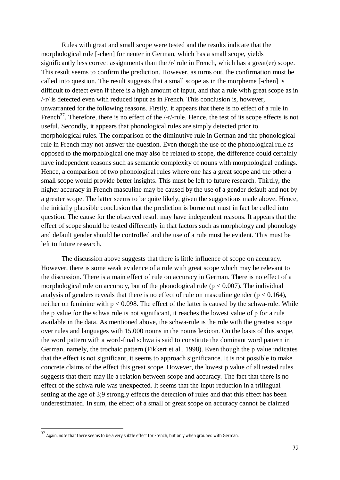Rules with great and small scope were tested and the results indicate that the morphological rule [-chen] for neuter in German, which has a small scope, yields significantly less correct assignments than the /r/ rule in French, which has a great(er) scope. This result seems to confirm the prediction. However, as turns out, the confirmation must be called into question. The result suggests that a small scope as in the morpheme [-chen] is difficult to detect even if there is a high amount of input, and that a rule with great scope as in /-r/ is detected even with reduced input as in French. This conclusion is, however, unwarranted for the following reasons. Firstly, it appears that there is no effect of a rule in French<sup>37</sup>. Therefore, there is no effect of the  $\frac{-r}{-r}$ -rule. Hence, the test of its scope effects is not useful. Secondly, it appears that phonological rules are simply detected prior to morphological rules. The comparison of the diminutive rule in German and the phonological rule in French may not answer the question. Even though the use of the phonological rule as opposed to the morphological one may also be related to scope, the difference could certainly have independent reasons such as semantic complexity of nouns with morphological endings. Hence, a comparison of two phonological rules where one has a great scope and the other a small scope would provide better insights. This must be left to future research. Thirdly, the higher accuracy in French masculine may be caused by the use of a gender default and not by a greater scope. The latter seems to be quite likely, given the suggestions made above. Hence, the initially plausible conclusion that the prediction is borne out must in fact be called into question. The cause for the observed result may have independent reasons. It appears that the effect of scope should be tested differently in that factors such as morphology and phonology and default gender should be controlled and the use of a rule must be evident. This must be left to future research.

The discussion above suggests that there is little influence of scope on accuracy. However, there is some weak evidence of a rule with great scope which may be relevant to the discussion. There is a main effect of rule on accuracy in German. There is no effect of a morphological rule on accuracy, but of the phonological rule ( $p < 0.007$ ). The individual analysis of genders reveals that there is no effect of rule on masculine gender ( $p < 0.164$ ), neither on feminine with  $p < 0.098$ . The effect of the latter is caused by the schwa-rule. While the p value for the schwa rule is not significant, it reaches the lowest value of p for a rule available in the data. As mentioned above, the schwa-rule is the rule with the greatest scope over rules and languages with 15.000 nouns in the nouns lexicon. On the basis of this scope, the word pattern with a word-final schwa is said to constitute the dominant word pattern in German, namely, the trochaic pattern (Fikkert et al., 1998). Even though the p value indicates that the effect is not significant, it seems to approach significance. It is not possible to make concrete claims of the effect this great scope. However, the lowest p value of all tested rules suggests that there may lie a relation between scope and accuracy. The fact that there is no effect of the schwa rule was unexpected. It seems that the input reduction in a trilingual setting at the age of 3;9 strongly effects the detection of rules and that this effect has been underestimated. In sum, the effect of a small or great scope on accuracy cannot be claimed

 $37$  Again, note that there seems to be a very subtle effect for French, but only when grouped with German.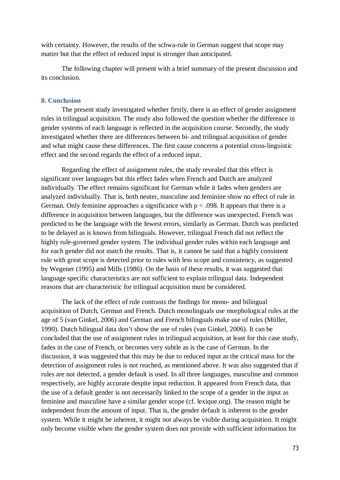with certainty. However, the results of the schwa-rule in German suggest that scope may matter but that the effect of reduced input is stronger than anticipated.

The following chapter will present with a brief summary of the present discussion and its conclusion.

#### **8. Conclusion**

The present study investigated whether firstly, there is an effect of gender assignment rules in trilingual acquisition. The study also followed the question whether the difference in gender systems of each language is reflected in the acquisition course. Secondly, the study investigated whether there are differences between bi- and trilingual acquisition of gender and what might cause these differences. The first cause concerns a potential cross-linguistic effect and the second regards the effect of a reduced input.

Regarding the effect of assignment rules, the study revealed that this effect is significant over languages but this effect fades when French and Dutch are analyzed individually. The effect remains significant for German while it fades when genders are analyzed individually. That is, both neuter, masculine and feminine show no effect of rule in German. Only feminine approaches a significance with  $p < .098$ . It appears that there is a difference in acquisition between languages, but the difference was unexpected. French was predicted to be the language with the fewest errors, similarly as German. Dutch was predicted to be delayed as is known from bilinguals. However, trilingual French did not reflect the highly rule-governed gender system. The individual gender rules within each language and for each gender did not match the results. That is, it cannot be said that a highly consistent rule with great scope is detected prior to rules with less scope and consistency, as suggested by Wegener (1995) and Mills (1986). On the basis of these results, it was suggested that language specific characteristics are not sufficient to explain trilingual data. Independent reasons that are characteristic for trilingual acquisition must be considered.

The lack of the effect of rule contrasts the findings for mono- and bilingual acquisition of Dutch, German and French. Dutch monolinguals use morphological rules at the age of 5 (van Ginkel, 2006) and German and French bilinguals make use of rules (Müller, 1990). Dutch bilingual data don't show the use of rules (van Ginkel, 2006). It can be concluded that the use of assignment rules in trilingual acquisition, at least for this case study, fades in the case of French, or becomes very subtle as is the case of German. In the discussion, it was suggested that this may be due to reduced input as the critical mass for the detection of assignment rules is not reached, as mentioned above. It was also suggested that if rules are not detected, a gender default is used. In all three languages, masculine and common respectively, are highly accurate despite input reduction. It appeared from French data, that the use of a default gender is not necessarily linked to the scope of a gender in the input as feminine and masculine have a similar gender scope (cf. lexique.org). The reason might be independent from the amount of input. That is, the gender default is inherent to the gender system. While it might be inherent, it might not always be visible during acquisition. It might only become visible when the gender system does not provide with sufficient information for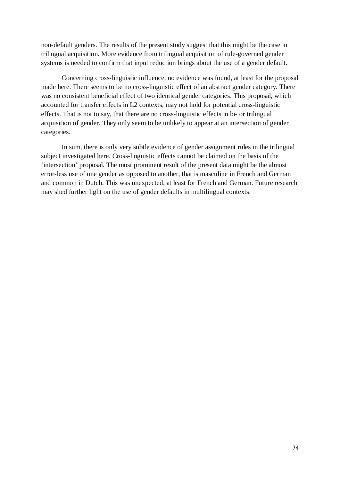non-default genders. The results of the present study suggest that this might be the case in trilingual acquisition. More evidence from trilingual acquisition of rule-governed gender systems is needed to confirm that input reduction brings about the use of a gender default.

Concerning cross-linguistic influence, no evidence was found, at least for the proposal made here. There seems to be no cross-linguistic effect of an abstract gender category. There was no consistent beneficial effect of two identical gender categories. This proposal, which accounted for transfer effects in L2 contexts, may not hold for potential cross-linguistic effects. That is not to say, that there are no cross-linguistic effects in bi- or trilingual acquisition of gender. They only seem to be unlikely to appear at an intersection of gender categories.

In sum, there is only very subtle evidence of gender assignment rules in the trilingual subject investigated here. Cross-linguistic effects cannot be claimed on the basis of the 'intersection' proposal. The most prominent result of the present data might be the almost error-less use of one gender as opposed to another, that is masculine in French and German and common in Dutch. This was unexpected, at least for French and German. Future research may shed further light on the use of gender defaults in multilingual contexts.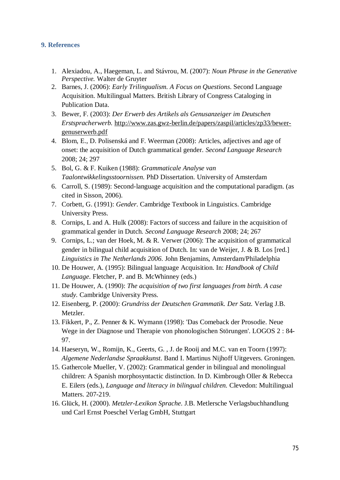#### **9. References**

- 1. Alexiadou, A., Haegeman, L. and Stávrou, M. (2007): *Noun Phrase in the Generative Perspective.* Walter de Gruyter
- 2. Barnes, J. (2006): *Early Trilingualism. A Focus on Questions*. Second Language Acquisition. Multilingual Matters. British Library of Congress Cataloging in Publication Data.
- 3. Bewer, F. (2003): *Der Erwerb des Artikels als Genusanzeiger im Deutschen Erstspracherwerb.* http://www.zas.gwz-berlin.de/papers/zaspil/articles/zp33/bewergenuserwerb.pdf
- 4. Blom, E., D. Polisenská and F. Weerman (2008): Articles, adjectives and age of onset: the acquisition of Dutch grammatical gender. *Second Language Research* 2008; 24; 297
- 5. Bol, G. & F. Kuiken (1988): *Grammaticale Analyse van Taalontwikkelingsstoornissen*. PhD Dissertation. University of Amsterdam
- 6. Carroll, S. (1989): Second-language acquisition and the computational paradigm. (as cited in Sisson, 2006).
- 7. Corbett, G. (1991): *Gender*. Cambridge Textbook in Linguistics. Cambridge University Press.
- 8. Cornips, L and A. Hulk (2008): Factors of success and failure in the acquisition of grammatical gender in Dutch. *Second Language Research* 2008; 24; 267
- 9. Cornips, L.; van der Hoek, M. & R. Verwer (2006): The acquisition of grammatical gender in bilingual child acquisition of Dutch. In: van de Weijer, J. & B. Los [red.] *Linguistics in The Netherlands 2006*. John Benjamins, Amsterdam/Philadelphia
- 10. De Houwer, A. (1995): Bilingual language Acquisition. In: *Handbook of Child Language*. Fletcher, P. and B. McWhinney (eds.)
- 11. De Houwer, A. (1990): *The acquisition of two first languages from birth. A case study.* Cambridge University Press.
- 12. Eisenberg, P. (2000): *Grundriss der Deutschen Grammatik. Der Satz.* Verlag J.B. Metzler.
- 13. Fikkert, P., Z. Penner & K. Wymann (1998): 'Das Comeback der Prosodie. Neue Wege in der Diagnose und Therapie von phonologischen Störungen'. LOGOS 2 : 84- 97.
- 14. Haeseryn, W., Romijn, K., Geerts, G. , J. de Rooij and M.C. van en Toorn (1997): *Algemene Nederlandse Spraakkunst*. Band I. Martinus Nijhoff Uitgevers. Groningen.
- 15. Gathercole Mueller, V. (2002): Grammatical gender in bilingual and monolingual children: A Spanish morphosyntactic distinction. In D. Kimbrough Oller & Rebecca E. Eilers (eds.), *Language and literacy in bilingual children.* Clevedon: Multilingual Matters. 207-219.
- 16. Glück, H. (2000). *Metzler-Lexikon Sprache*. J.B. Metlersche Verlagsbuchhandlung und Carl Ernst Poeschel Verlag GmbH, Stuttgart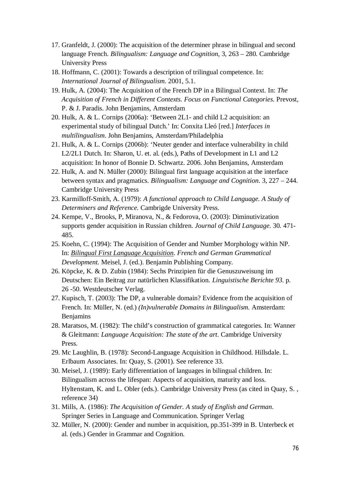- 17. Granfeldt, J. (2000): The acquisition of the determiner phrase in bilingual and second language French. *Bilingualism: Language and Cognition*, 3, 263 – 280. Cambridge University Press
- 18. Hoffmann, C. (2001): Towards a description of trilingual competence. In: *International Journal of Bilingualism*. 2001, 5.1.
- 19. Hulk, A. (2004): The Acquisition of the French DP in a Bilingual Context. In: *The Acquisition of French in Different Contexts. Focus on Functional Categories*. Prevost, P. & J. Paradis. John Benjamins, Amsterdam
- 20. Hulk, A. & L. Cornips (2006a): 'Between 2L1- and child L2 acquisition: an experimental study of bilingual Dutch.' In: Conxita Lleó [red.] *Interfaces in multilingualism*. John Benjamins, Amsterdam/Philadelphia
- 21. Hulk, A. & L. Cornips (2006b): 'Neuter gender and interface vulnerability in child L2/2L1 Dutch. In: Sharon, U. et. al. (eds.), Paths of Development in L1 and L2 acquisition: In honor of Bonnie D. Schwartz. 2006. John Benjamins, Amsterdam
- 22. Hulk, A. and N. Müller (2000): Bilingual first language acquisition at the interface between syntax and pragmatics. *Bilingualism: Language and Cognition*. 3, 227 – 244. Cambridge University Press
- 23. Karmilloff-Smith, A. (1979): *A functional approach to Child Language. A Study of Determiners and Reference.* Cambrigde University Press.
- 24. Kempe, V., Brooks, P, Miranova, N., & Fedorova, O. (2003): Diminutivization supports gender acquisition in Russian children. *Journal of Child Language*. 30. 471- 485.
- 25. Koehn, C. (1994): The Acquisition of Gender and Number Morphology within NP. In: *Bilingual First Language Acquisition*. *French and German Grammatical Development.* Meisel, J. (ed.). Benjamin Publishing Company.
- 26. Köpcke, K. & D. Zubin (1984): Sechs Prinzipien für die Genuszuweisung im Deutschen: Ein Beitrag zur natürlichen Klassifikation. *Linguistische Berichte 93*. p. 26 -50. Westdeutscher Verlag.
- 27. Kupisch, T. (2003): The DP, a vulnerable domain? Evidence from the acquisition of French. In: Müller, N. (ed.) *(In)vulnerable Domains in Bilingualism.* Amsterdam: **Benjamins**
- 28. Maratsos, M. (1982): The child's construction of grammatical categories. In: Wanner & Gleitmann: *Language Acquisition: The state of the art*. Cambridge University Press.
- 29. Mc Laughlin, B. (1978): Second-Language Acquisition in Childhood. Hillsdale. L. Erlbaum Associates. In: Quay, S. (2001). See reference 33.
- 30. Meisel, J. (1989): Early differentiation of languages in bilingual children. In: Bilingualism across the lifespan: Aspects of acquisition, maturity and loss. Hyltenstam, K. and L. Obler (eds.). Cambridge University Press (as cited in Quay, S. , reference 34)
- 31. Mills, A. (1986): *The Acquisition of Gender. A study of English and German*. Springer Series in Language and Communication. Springer Verlag
- 32. Müller, N. (2000): Gender and number in acquisition, pp.351-399 in B. Unterbeck et al. (eds.) Gender in Grammar and Cognition.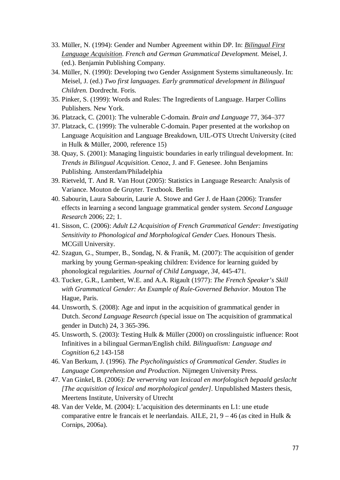- 33. Müller, N. (1994): Gender and Number Agreement within DP. In: *Bilingual First Language Acquisition*. *French and German Grammatical Development.* Meisel, J. (ed.). Benjamin Publishing Company.
- 34. Müller, N. (1990): Developing two Gender Assignment Systems simultaneously. In: Meisel, J. (ed.) *Two first languages. Early grammatical development in Bilingual Children.* Dordrecht. Foris.
- 35. Pinker, S. (1999): Words and Rules: The Ingredients of Language. Harper Collins Publishers. New York.
- 36. Platzack, C. (2001): The vulnerable C-domain. *Brain and Language* 77, 364–377
- 37. Platzack, C. (1999): The vulnerable C-domain. Paper presented at the workshop on Language Acquisition and Language Breakdown, UIL-OTS Utrecht University (cited in Hulk & Müller, 2000, reference 15)
- 38. Quay, S. (2001): Managing linguistic boundaries in early trilingual development. In: *Trends in Bilingual Acquisition*. Cenoz, J. and F. Genesee. John Benjamins Publishing. Amsterdam/Philadelphia
- 39. Rietveld, T. And R. Van Hout (2005): Statistics in Language Research: Analysis of Variance. Mouton de Gruyter. Textbook. Berlin
- 40. Sabourin, Laura Sabourin, Laurie A. Stowe and Ger J. de Haan (2006): Transfer effects in learning a second language grammatical gender system. *Second Language Research* 2006; 22; 1.
- 41. Sisson, C. (2006): *Adult L2 Acquisition of French Grammatical Gender: Investigating Sensitivity to Phonological and Morphological Gender Cues*. Honours Thesis. MCGill University.
- 42. Szagun, G., Stumper, B., Sondag, N. & Franik, M. (2007): The acquisition of gender marking by young German-speaking children: Evidence for learning guided by phonological regularities. *Journal of Child Language, 34*, 445-471.
- 43. Tucker, G.R., Lambert, W.E. and A.A. Rigault (1977): *The French Speaker's Skill with Grammatical Gender: An Example of Rule-Governed Behavior*. Mouton The Hague, Paris.
- 44. Unsworth, S. (2008): Age and input in the acquisition of grammatical gender in Dutch. *Second Language Research (*special issue on The acquisition of grammatical gender in Dutch) 24, 3 365-396.
- 45. Unsworth, S. (2003): Testing Hulk & Müller (2000) on crosslinguistic influence: Root Infinitives in a bilingual German/English child. *Bilingualism: Language and Cognition* 6,2 143-158
- 46. Van Berkum, J. (1996). *The Psycholinguistics of Grammatical Gender. Studies in Language Comprehension and Production*. Nijmegen University Press.
- 47. Van Ginkel, B. (2006): *De verwerving van lexicaal en morfologisch bepaald geslacht [The acquisition of lexical and morphological gender]*. Unpublished Masters thesis, Meertens Institute, University of Utrecht
- 48. Van der Velde, M. (2004): L'acquisition des determinants en L1: une etude comparative entre le francais et le neerlandais. AILE, 21, 9 – 46 (as cited in Hulk & Cornips, 2006a).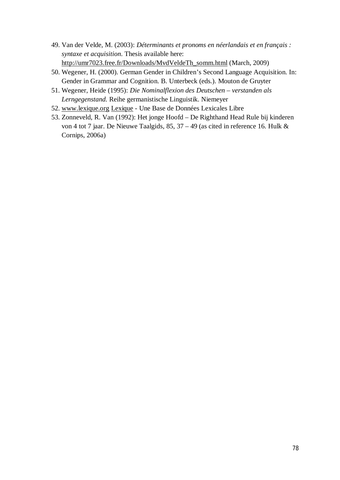- 49. Van der Velde, M. (2003): *Déterminants et pronoms en néerlandais et en français : syntaxe et acquisition*. Thesis available here: http://umr7023.free.fr/Downloads/MvdVeldeTh\_somm.html (March, 2009)
- 50. Wegener, H. (2000). German Gender in Children's Second Language Acquisition. In: Gender in Grammar and Cognition. B. Unterbeck (eds.). Mouton de Gruyter
- 51. Wegener, Heide (1995): *Die Nominalflexion des Deutschen verstanden als Lerngegenstand.* Reihe germanistische Linguistik. Niemeyer
- 52. www.lexique.org Lexique Une Base de Données Lexicales Libre
- 53. Zonneveld, R. Van (1992): Het jonge Hoofd De Righthand Head Rule bij kinderen von 4 tot 7 jaar. De Nieuwe Taalgids, 85, 37 – 49 (as cited in reference 16. Hulk & Cornips, 2006a)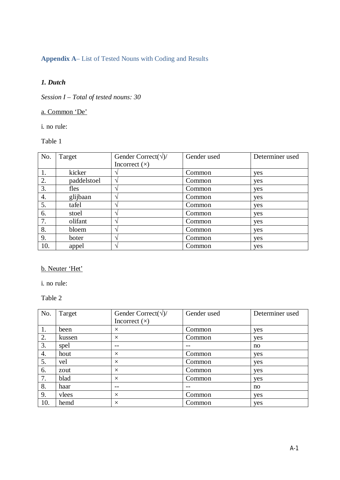#### **Appendix A**– List of Tested Nouns with Coding and Results

#### *1. Dutch*

*Session I – Total of tested nouns: 30*

### a. Common 'De'

i. no rule:

#### Table 1

| No. | Target      | Gender Correct( $\sqrt{2}$ ) | Gender used | Determiner used |
|-----|-------------|------------------------------|-------------|-----------------|
|     |             | Incorrect $(x)$              |             |                 |
| 1.  | kicker      |                              | Common      | yes             |
| 2.  | paddelstoel | ٦                            | Common      | yes             |
| 3.  | fles        |                              | Common      | yes             |
| 4.  | glijbaan    |                              | Common      | yes             |
| 5.  | tafel       |                              | Common      | yes             |
| 6.  | stoel       |                              | Common      | yes             |
| 7.  | olifant     |                              | Common      | yes             |
| 8.  | bloem       |                              | Common      | yes             |
| 9.  | boter       |                              | Common      | yes             |
| 10. | appel       |                              | Common      | yes             |

b. Neuter 'Het'

i. no rule:

| No. | Target | Gender Correct( $\sqrt{2}$ ) | Gender used | Determiner used |
|-----|--------|------------------------------|-------------|-----------------|
|     |        | Incorrect $(x)$              |             |                 |
| 1.  | been   | $\times$                     | Common      | yes             |
| 2.  | kussen | $\times$                     | Common      | yes             |
| 3.  | spel   |                              |             | no              |
| 4.  | hout   | $\times$                     | Common      | yes             |
| 5.  | vel    | $\times$                     | Common      | yes             |
| 6.  | zout   | $\times$                     | Common      | yes             |
| 7.  | blad   | $\times$                     | Common      | yes             |
| 8.  | haar   | $- -$                        | $- -$       | no              |
| 9.  | vlees  | $\times$                     | Common      | yes             |
| 10. | hemd   | $\times$                     | Common      | yes             |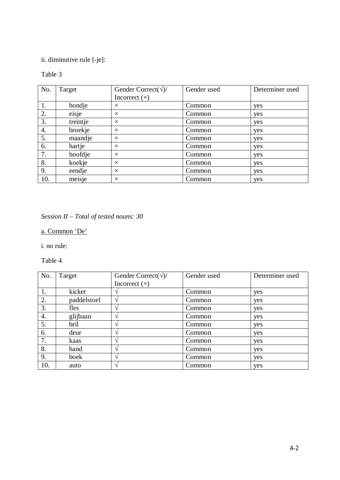ii. diminutive rule [-je]:

### Table 3

| No. | Target   | Gender Correct( $\sqrt{2}$ ) | Gender used | Determiner used |
|-----|----------|------------------------------|-------------|-----------------|
|     |          | Incorrect $(x)$              |             |                 |
| 1.  | hondje   | $\times$                     | Common      | yes             |
| 2.  | eisje    | $\times$                     | Common      | yes             |
| 3.  | treintje | $\times$                     | Common      | yes             |
| 4.  | broekje  | $\times$                     | Common      | yes             |
| 5.  | maandje  | $\times$                     | Common      | yes             |
| 6.  | hartje   | $\times$                     | Common      | yes             |
| 7.  | hoofdje  | $\times$                     | Common      | yes             |
| 8.  | koekje   | $\times$                     | Common      | yes             |
| 9.  | eendje   | $\times$                     | Common      | yes             |
| 10. | meisje   | $\times$                     | Common      | yes             |

## *Session II – Total of tested nouns: 30*

a. Common 'De'

i. no rule:

| No. | Target      | Gender Correct( $\sqrt{2}$ ) | Gender used | Determiner used |
|-----|-------------|------------------------------|-------------|-----------------|
|     |             | Incorrect $(x)$              |             |                 |
| 1.  | kicker      |                              | Common      | yes             |
| 2.  | paddelstoel | $\mathcal{L}$                | Common      | yes             |
| 3.  | fles        |                              | Common      | yes             |
| 4.  | glijbaan    |                              | Common      | yes             |
| 5.  | bril        |                              | Common      | yes             |
| 6.  | deur        |                              | Common      | yes             |
| 7.  | kaas        |                              | Common      | yes             |
| 8.  | hand        |                              | Common      | yes             |
| 9.  | boek        | $\mathbf \Lambda$            | Common      | yes             |
| 10. | auto        |                              | Common      | yes             |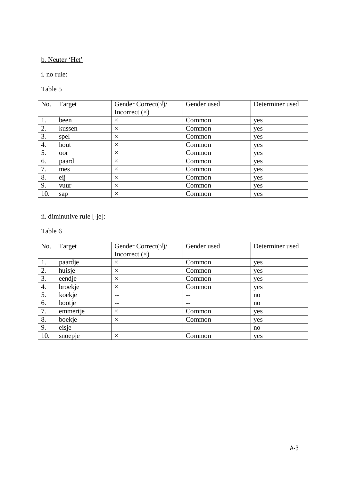#### b. Neuter 'Het'

i. no rule:

Table 5

| No. | Target           | Gender Correct( $\sqrt{2}$ ) | Gender used | Determiner used |
|-----|------------------|------------------------------|-------------|-----------------|
|     |                  | Incorrect $(x)$              |             |                 |
| 1.  | been             | $\times$                     | Common      | yes             |
| 2.  | kussen           | $\times$                     | Common      | yes             |
| 3.  | spel             | $\times$                     | Common      | yes             |
| 4.  | hout             | $\times$                     | Common      | yes             |
| 5.  | oor              | $\times$                     | Common      | yes             |
| 6.  | paard            | $\times$                     | Common      | yes             |
| 7.  | mes              | $\times$                     | Common      | yes             |
| 8.  | $\ddotsc$<br>eij | $\times$                     | Common      | yes             |
| 9.  | vuur             | $\times$                     | Common      | yes             |
| 10. | sap              | $\times$                     | Common      | yes             |

## ii. diminutive rule [-je]:

| No. | Target   | Gender Correct( $\sqrt{2}$ ) | Gender used | Determiner used |
|-----|----------|------------------------------|-------------|-----------------|
|     |          | Incorrect $(x)$              |             |                 |
| 1.  | paardje  | $\times$                     | Common      | yes             |
| 2.  | huisje   | $\times$                     | Common      | yes             |
| 3.  | eendje   | $\times$                     | Common      | yes             |
| 4.  | broekje  | $\times$                     | Common      | yes             |
| 5.  | koekje   | $ -$                         | $- -$       | no              |
| 6.  | bootje   | --                           |             | no              |
| 7.  | emmertje | $\times$                     | Common      | yes             |
| 8.  | boekje   | $\times$                     | Common      | yes             |
| 9.  | eisje    | $ -$                         | $ -$        | no              |
| 10. | snoepje  | $\times$                     | Common      | yes             |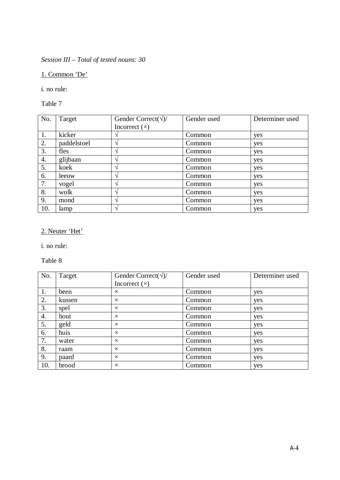*Session III – Total of tested nouns: 30*

1. Common 'De'

i. no rule:

Table 7

| No. | Target      | Gender Correct( $\sqrt{2}$ ) | Gender used | Determiner used |
|-----|-------------|------------------------------|-------------|-----------------|
|     |             | Incorrect $(x)$              |             |                 |
| 1.  | kicker      |                              | Common      | yes             |
| 2.  | paddelstoel | $\overline{\phantom{a}}$     | Common      | yes             |
| 3.  | fles        | $\overline{\phantom{a}}$     | Common      | yes             |
| 4.  | glijbaan    | $\overline{\phantom{a}}$     | Common      | yes             |
| 5.  | koek        |                              | Common      | yes             |
| 6.  | leeuw       | $\overline{\phantom{a}}$     | Common      | yes             |
| 7.  | vogel       |                              | Common      | yes             |
| 8.  | wolk        | $\overline{\phantom{a}}$     | Common      | yes             |
| 9.  | mond        |                              | Common      | yes             |
| 10. | lamp        |                              | Common      | yes             |

## 2. Neuter 'Het'

i. no rule:

| No. | Target | Gender Correct( $\sqrt{2}$ ) | Gender used | Determiner used |
|-----|--------|------------------------------|-------------|-----------------|
|     |        | Incorrect $(x)$              |             |                 |
| 1.  | been   | $\times$                     | Common      | yes             |
| 2.  | kussen | $\times$                     | Common      | yes             |
| 3.  | spel   | $\times$                     | Common      | yes             |
| 4.  | hout   | $\times$                     | Common      | yes             |
| 5.  | geld   | $\times$                     | Common      | yes             |
| 6.  | huis   | $\times$                     | Common      | yes             |
| 7.  | water  | $\times$                     | Common      | yes             |
| 8.  | raam   | $\times$                     | Common      | yes             |
| 9.  | paard  | $\times$                     | Common      | yes             |
| 10. | brood  | $\times$                     | Common      | yes             |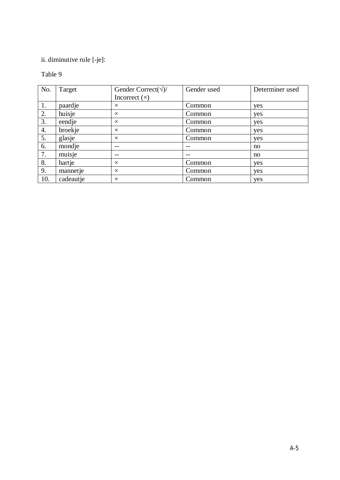### ii. diminutive rule [-je]:

| No. | Target    | Gender Correct( $\sqrt{2}$ ) | Gender used | Determiner used |
|-----|-----------|------------------------------|-------------|-----------------|
|     |           | Incorrect $(x)$              |             |                 |
| 1.  | paardje   | $\times$                     | Common      | yes             |
| 2.  | huisje    | $\times$                     | Common      | yes             |
| 3.  | eendje    | $\times$                     | Common      | yes             |
| 4.  | broekje   | $\times$                     | Common      | yes             |
| 5.  | glasje    | $\times$                     | Common      | yes             |
| 6.  | mondje    | $- -$                        | $- -$       | no              |
| 7.  | muisje    | $- -$                        | $- -$       | no              |
| 8.  | hartje    | $\times$                     | Common      | yes             |
| 9.  | mannetje  | $\times$                     | Common      | yes             |
| 10. | cadeautje | $\times$                     | Common      | yes             |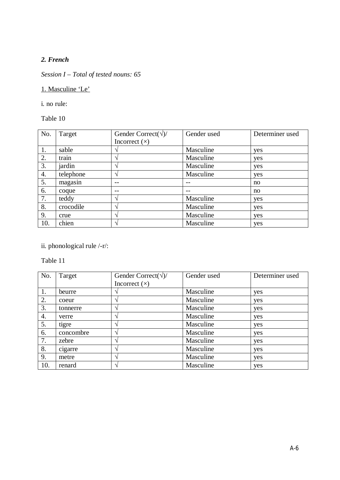#### *2. French*

### *Session I – Total of tested nouns: 65*

1. Masculine 'Le'

i. no rule:

Table 10

| No. | Target    | Gender Correct( $\sqrt{2}$ ) | Gender used | Determiner used |
|-----|-----------|------------------------------|-------------|-----------------|
|     |           | Incorrect $(x)$              |             |                 |
| 1.  | sable     |                              | Masculine   | yes             |
| 2.  | train     |                              | Masculine   | yes             |
| 3.  | jardin    | $\mathcal{L}$                | Masculine   | yes             |
| 4.  | telephone | $\Delta$                     | Masculine   | yes             |
| 5.  | magasin   | $ -$                         | --          | no              |
| 6.  | coque     |                              | --          | no              |
| 7.  | teddy     | $\mathcal{L}$                | Masculine   | yes             |
| 8.  | crocodile | $\mathcal{L}$                | Masculine   | yes             |
| 9.  | crue      | $\triangleleft$              | Masculine   | yes             |
| 10. | chien     | $\mathbf \Lambda$            | Masculine   | yes             |

ii. phonological rule /-r/:

| No. | Target    | Gender Correct( $\sqrt{2}$ ) | Gender used | Determiner used |
|-----|-----------|------------------------------|-------------|-----------------|
|     |           | Incorrect $(x)$              |             |                 |
| 1.  | beurre    |                              | Masculine   | yes             |
| 2.  | coeur     |                              | Masculine   | yes             |
| 3.  | tonnerre  | $\mathbf \Lambda$            | Masculine   | yes             |
| 4.  | verre     |                              | Masculine   | yes             |
| 5.  | tigre     |                              | Masculine   | yes             |
| 6.  | concombre |                              | Masculine   | yes             |
| 7.  | zebre     |                              | Masculine   | yes             |
| 8.  | cigarre   |                              | Masculine   | yes             |
| 9.  | metre     | $\mathcal{L}$                | Masculine   | yes             |
| 10. | renard    |                              | Masculine   | yes             |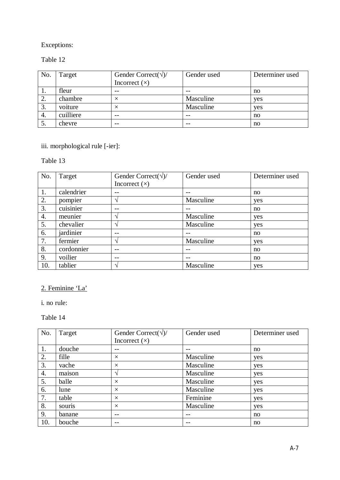### Table 12

| No. | Target    | Gender Correct( $\sqrt{2}$ )<br>Incorrect $(x)$ | Gender used | Determiner used |
|-----|-----------|-------------------------------------------------|-------------|-----------------|
|     | fleur     | $- -$                                           | $- -$       | no              |
|     | chambre   |                                                 | Masculine   | yes             |
| 3.  | voiture   |                                                 | Masculine   | yes             |
| 4.  | cuilliere | $- -$                                           |             | no              |
|     | chevre    | $- -$                                           | $- -$       | no              |

### iii. morphological rule [-ier]:

## Table 13

| No. | Target     | Gender Correct( $\sqrt{2}$ ) | Gender used | Determiner used |
|-----|------------|------------------------------|-------------|-----------------|
|     |            | Incorrect $(x)$              |             |                 |
| 1.  | calendrier | $ -$                         | $- -$       | no              |
| 2.  | pompier    | ٦                            | Masculine   | yes             |
| 3.  | cuisinier  |                              | --          | no              |
| 4.  | meunier    | $\mathbf \Lambda$            | Masculine   | yes             |
| 5.  | chevalier  | $\mathbf \Lambda$            | Masculine   | yes             |
| 6.  | jardinier  | $- -$                        | $ -$        | no              |
| 7.  | fermier    | $\mathcal{L}$                | Masculine   | yes             |
| 8.  | cordonnier | $ -$                         | --          | no              |
| 9.  | voilier    |                              | $- -$       | no              |
| 10. | tablier    | $\mathcal{L}$                | Masculine   | yes             |

## 2. Feminine 'La'

i. no rule:

| No. | Target | Gender Correct( $\sqrt{2}$ ) | Gender used | Determiner used |
|-----|--------|------------------------------|-------------|-----------------|
|     |        | Incorrect $(x)$              |             |                 |
| 1.  | douche |                              | --          | no              |
| 2.  | fille  | $\times$                     | Masculine   | yes             |
| 3.  | vache  | $\times$                     | Masculine   | yes             |
| 4.  | maison | اد                           | Masculine   | yes             |
| 5.  | balle  | $\times$                     | Masculine   | yes             |
| 6.  | lune   | $\times$                     | Masculine   | yes             |
| 7.  | table  | $\times$                     | Feminine    | yes             |
| 8.  | souris | $\times$                     | Masculine   | yes             |
| 9.  | banane | $- -$                        | $- -$       | no              |
| 10. | bouche | $- -$                        | $- -$       | no              |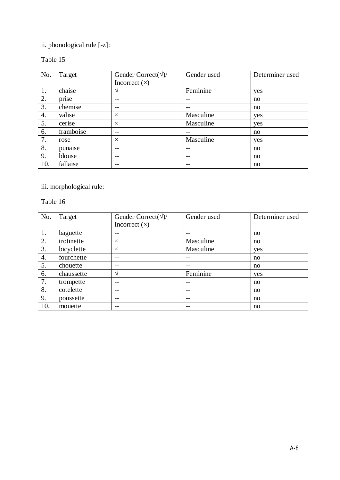## ii. phonological rule [-z]:

### Table 15

| No. | Target    | Gender Correct( $\sqrt{2}$ ) | Gender used | Determiner used |
|-----|-----------|------------------------------|-------------|-----------------|
|     |           | Incorrect $(x)$              |             |                 |
| 1.  | chaise    |                              | Feminine    | yes             |
| 2.  | prise     |                              | --          | no              |
| 3.  | chemise   |                              |             | no              |
| 4.  | valise    | $\times$                     | Masculine   | yes             |
| 5.  | cerise    | $\times$                     | Masculine   | yes             |
| 6.  | framboise |                              |             | no              |
| 7.  | rose      | $\times$                     | Masculine   | yes             |
| 8.  | punaise   | $ -$                         | $- -$       | no              |
| 9.  | blouse    | $ -$                         | $- -$       | no              |
| 10. | fallaise  | $- -$                        | --          | no              |

iii. morphological rule:

| No. | Target     | Gender Correct( $\sqrt{2}$ ) | Gender used | Determiner used |
|-----|------------|------------------------------|-------------|-----------------|
|     |            | Incorrect $(x)$              |             |                 |
| 1.  | baguette   | --                           | $ -$        | no              |
| 2.  | trotinette | $\times$                     | Masculine   | no              |
| 3.  | bicyclette | $\times$                     | Masculine   | yes             |
| 4.  | fourchette |                              |             | no              |
| 5.  | chouette   |                              |             | no              |
| 6.  | chaussette | $\mathbf{\hat{}}$            | Feminine    | yes             |
| 7.  | trompette  |                              |             | no              |
| 8.  | cotelette  | $ -$                         | $ -$        | no              |
| 9.  | poussette  | $ -$                         | $- -$       | no              |
| 10. | mouette    | $- -$                        | $- -$       | no              |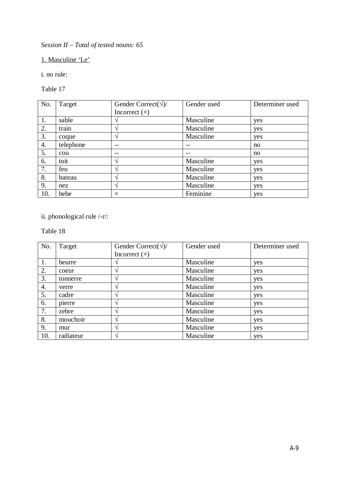*Session II – Total of tested nouns: 65*

1. Masculine 'Le'

i. no rule:

Table 17

| No. | Target    | Gender Correct( $\sqrt{2}$ ) | Gender used | Determiner used |
|-----|-----------|------------------------------|-------------|-----------------|
|     |           | Incorrect $(x)$              |             |                 |
| 1.  | sable     |                              | Masculine   | yes             |
| 2.  | train     | $\gamma$                     | Masculine   | yes             |
| 3.  | coque     | $\mathcal{L}$                | Masculine   | yes             |
| 4.  | telephone |                              |             | no              |
| 5.  | cou       |                              |             | no              |
| 6.  | toit      | $\mathcal{L}$                | Masculine   | yes             |
| 7.  | feu       | $\mathbf \Lambda$            | Masculine   | yes             |
| 8.  | bateau    | $\mathbf \Lambda$            | Masculine   | yes             |
| 9.  | nez       |                              | Masculine   | yes             |
| 10. | bebe      | $\times$                     | Feminine    | yes             |

ii. phonological rule /-r/:

| No. | Target    | Gender Correct( $\sqrt{2}$ ) | Gender used | Determiner used |
|-----|-----------|------------------------------|-------------|-----------------|
|     |           | Incorrect $(x)$              |             |                 |
| 1.  | beurre    |                              | Masculine   | yes             |
| 2.  | coeur     | $\mathbf \Lambda$            | Masculine   | yes             |
| 3.  | tonnerre  | $\Delta$                     | Masculine   | yes             |
| 4.  | verre     | $\overline{\phantom{a}}$     | Masculine   | yes             |
| 5.  | cadre     |                              | Masculine   | yes             |
| 6.  | pierre    | $\overline{\phantom{a}}$     | Masculine   | yes             |
| 7.  | zebre     |                              | Masculine   | yes             |
| 8.  | mouchoir  | $\mathbf{\hat{}}$            | Masculine   | yes             |
| 9.  | mur       | $\mathbf \Lambda$            | Masculine   | yes             |
| 10. | radiateur |                              | Masculine   | yes             |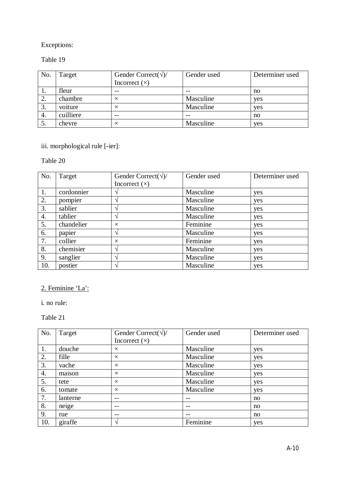### Table 19

| No. | Target    | Gender Correct( $\sqrt{2}$ )<br>Incorrect $(x)$ | Gender used | Determiner used |
|-----|-----------|-------------------------------------------------|-------------|-----------------|
| . . | fleur     | $ -$                                            | $ -$        | no              |
|     | chambre   | $\times$                                        | Masculine   | yes             |
| 3.  | voiture   |                                                 | Masculine   | yes             |
| 4.  | cuilliere | $- -$                                           | $- -$       | no              |
| ິ.  | chevre    | $\times$                                        | Masculine   | yes             |

### iii. morphological rule [-ier]:

### Table 20

| No. | Target     | Gender Correct( $\sqrt{2}$ ) | Gender used | Determiner used |
|-----|------------|------------------------------|-------------|-----------------|
|     |            | Incorrect $(x)$              |             |                 |
| 1.  | cordonnier |                              | Masculine   | yes             |
| 2.  | pompier    |                              | Masculine   | yes             |
| 3.  | sablier    | $\mathbf \Lambda$            | Masculine   | yes             |
| 4.  | tablier    |                              | Masculine   | yes             |
| 5.  | chandelier | $\times$                     | Feminine    | yes             |
| 6.  | papier     |                              | Masculine   | yes             |
| 7.  | collier    | $\times$                     | Feminine    | yes             |
| 8.  | chemisier  | $\mathcal{L}$                | Masculine   | yes             |
| 9.  | sanglier   | $\mathcal{L}$                | Masculine   | yes             |
| 10. | postier    |                              | Masculine   | yes             |

## 2. Feminine 'La':

i. no rule:

| No. | Target   | Gender Correct( $\sqrt{2}$ ) | Gender used | Determiner used |
|-----|----------|------------------------------|-------------|-----------------|
|     |          | Incorrect $(x)$              |             |                 |
| 1.  | douche   | $\times$                     | Masculine   | yes             |
| 2.  | fille    | $\times$                     | Masculine   | yes             |
| 3.  | vache    | $\times$                     | Masculine   | yes             |
| 4.  | maison   | $\times$                     | Masculine   | yes             |
| 5.  | tete     | $\times$                     | Masculine   | yes             |
| 6.  | tomate   | $\times$                     | Masculine   | yes             |
| 7.  | lanterne | $- -$                        | $- -$       | no              |
| 8.  | neige    | $- -$                        | $ -$        | no              |
| 9.  | rue      | $ -$                         | $ -$        | no              |
| 10. | giraffe  | $\mathcal{N}$                | Feminine    | yes             |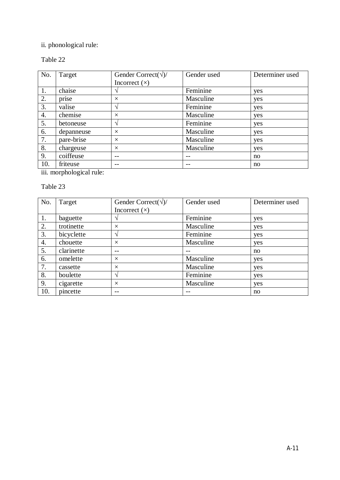## ii. phonological rule:

### Table 22

| No. | Target     | Gender Correct( $\sqrt{2}$ ) | Gender used | Determiner used |
|-----|------------|------------------------------|-------------|-----------------|
|     |            | Incorrect $(x)$              |             |                 |
| 1.  | chaise     |                              | Feminine    | yes             |
| 2.  | prise      | $\times$                     | Masculine   | yes             |
| 3.  | valise     | $\mathcal{N}$                | Feminine    | yes             |
| 4.  | chemise    | $\times$                     | Masculine   | yes             |
| 5.  | betoneuse  | $\mathcal{N}$                | Feminine    | yes             |
| 6.  | depanneuse | $\times$                     | Masculine   | yes             |
| 7.  | pare-brise | $\times$                     | Masculine   | yes             |
| 8.  | chargeuse  | $\times$                     | Masculine   | yes             |
| 9.  | coiffeuse  |                              |             | no              |
| 10. | friteuse   |                              |             | no              |

iii. morphological rule:

| No. | Target     | Gender Correct( $\sqrt{2}$ ) | Gender used | Determiner used |
|-----|------------|------------------------------|-------------|-----------------|
|     |            | Incorrect $(x)$              |             |                 |
| 1.  | baguette   |                              | Feminine    | yes             |
| 2.  | trotinette | $\times$                     | Masculine   | yes             |
| 3.  | bicyclette | $\Delta$                     | Feminine    | yes             |
| 4.  | chouette   | $\times$                     | Masculine   | yes             |
| 5.  | clarinette | $ -$                         | $ -$        | no              |
| 6.  | omelette   | $\times$                     | Masculine   | yes             |
| 7.  | cassette   | $\times$                     | Masculine   | yes             |
| 8.  | boulette   | $\mathbf{\hat{}}$            | Feminine    | yes             |
| 9.  | cigarette  | $\times$                     | Masculine   | yes             |
| 10. | pincette   |                              |             | no              |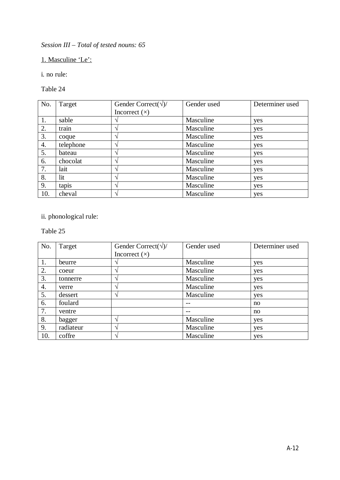*Session III – Total of tested nouns: 65*

1. Masculine 'Le':

i. no rule:

Table 24

| No. | Target    | Gender Correct( $\sqrt{2}$ ) | Gender used | Determiner used |
|-----|-----------|------------------------------|-------------|-----------------|
|     |           | Incorrect $(x)$              |             |                 |
| 1.  | sable     |                              | Masculine   | yes             |
| 2.  | train     |                              | Masculine   | yes             |
| 3.  | coque     |                              | Masculine   | yes             |
| 4.  | telephone |                              | Masculine   | yes             |
| 5.  | bateau    |                              | Masculine   | yes             |
| 6.  | chocolat  |                              | Masculine   | yes             |
| 7.  | lait      |                              | Masculine   | yes             |
| 8.  | lit       |                              | Masculine   | yes             |
| 9.  | tapis     |                              | Masculine   | yes             |
| 10. | cheval    |                              | Masculine   | yes             |

## ii. phonological rule:

| No. | Target    | Gender Correct( $\sqrt{2}$ ) | Gender used | Determiner used |
|-----|-----------|------------------------------|-------------|-----------------|
|     |           | Incorrect $(x)$              |             |                 |
| 1.  | beurre    |                              | Masculine   | yes             |
| 2.  | coeur     | $\mathcal{L}$                | Masculine   | yes             |
| 3.  | tonnerre  | $\mathbf \Lambda$            | Masculine   | yes             |
| 4.  | verre     |                              | Masculine   | yes             |
| 5.  | dessert   |                              | Masculine   | yes             |
| 6.  | foulard   |                              | $ -$        | no              |
| 7.  | ventre    |                              | $- -$       | no              |
| 8.  | bagger    | $\mathcal{L}$                | Masculine   | yes             |
| 9.  | radiateur | $\mathcal{L}$                | Masculine   | yes             |
| 10. | coffre    |                              | Masculine   | yes             |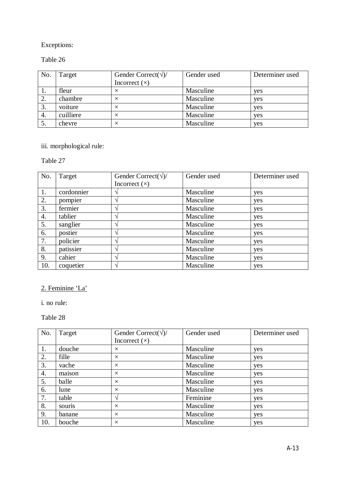### Table 26

| No. | Target    | Gender Correct( $\sqrt{2}$ ) | Gender used | Determiner used |
|-----|-----------|------------------------------|-------------|-----------------|
|     |           | Incorrect $(x)$              |             |                 |
|     | fleur     |                              | Masculine   | yes             |
|     | chambre   |                              | Masculine   | yes             |
| 3.  | voiture   |                              | Masculine   | yes             |
| 4.  | cuilliere |                              | Masculine   | yes             |
| ິ.  | chevre    | $\times$                     | Masculine   | yes             |

# iii. morphological rule:

### Table 27

| No. | Target     | Gender Correct( $\sqrt{2}$ ) | Gender used | Determiner used |
|-----|------------|------------------------------|-------------|-----------------|
|     |            | Incorrect $(x)$              |             |                 |
| 1.  | cordonnier |                              | Masculine   | yes             |
| 2.  | pompier    |                              | Masculine   | yes             |
| 3.  | fermier    |                              | Masculine   | yes             |
| 4.  | tablier    |                              | Masculine   | yes             |
| 5.  | sanglier   |                              | Masculine   | yes             |
| 6.  | postier    |                              | Masculine   | yes             |
| 7.  | policier   |                              | Masculine   | yes             |
| 8.  | patissier  |                              | Masculine   | yes             |
| 9.  | cahier     |                              | Masculine   | yes             |
| 10. | coquetier  |                              | Masculine   | yes             |

## 2. Feminine 'La'

i. no rule:

| No. | Target | Gender Correct( $\sqrt{2}$ ) | Gender used | Determiner used |
|-----|--------|------------------------------|-------------|-----------------|
|     |        | Incorrect $(x)$              |             |                 |
| 1.  | douche | $\times$                     | Masculine   | yes             |
| 2.  | fille  | $\times$                     | Masculine   | yes             |
| 3.  | vache  | $\times$                     | Masculine   | yes             |
| 4.  | maison | $\times$                     | Masculine   | yes             |
| 5.  | balle  | $\times$                     | Masculine   | yes             |
| 6.  | lune   | $\times$                     | Masculine   | yes             |
| 7.  | table  |                              | Feminine    | yes             |
| 8.  | souris | $\times$                     | Masculine   | yes             |
| 9.  | banane | $\times$                     | Masculine   | yes             |
| 10. | bouche | $\times$                     | Masculine   | yes             |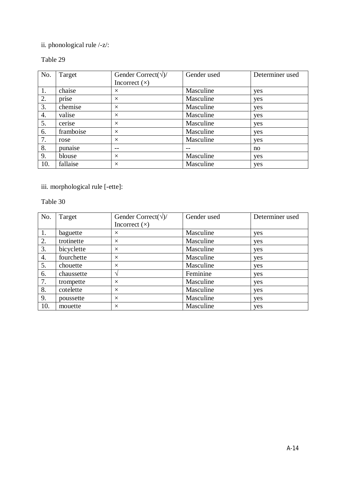## ii. phonological rule /-z/:

### Table 29

| No. | Target    | Gender Correct( $\sqrt{2}$ ) | Gender used | Determiner used |
|-----|-----------|------------------------------|-------------|-----------------|
|     |           | Incorrect $(x)$              |             |                 |
| 1.  | chaise    | $\times$                     | Masculine   | yes             |
| 2.  | prise     | $\times$                     | Masculine   | yes             |
| 3.  | chemise   | $\times$                     | Masculine   | yes             |
| 4.  | valise    | $\times$                     | Masculine   | yes             |
| 5.  | cerise    | $\times$                     | Masculine   | yes             |
| 6.  | framboise | $\times$                     | Masculine   | yes             |
| 7.  | rose      | $\times$                     | Masculine   | yes             |
| 8.  | punaise   |                              |             | no              |
| 9.  | blouse    | $\times$                     | Masculine   | yes             |
| 10. | fallaise  | $\times$                     | Masculine   | yes             |

iii. morphological rule [-ette]:

| No. | Target     | Gender Correct( $\sqrt{2}$ ) | Gender used | Determiner used |
|-----|------------|------------------------------|-------------|-----------------|
|     |            | Incorrect $(x)$              |             |                 |
| 1.  | baguette   | $\times$                     | Masculine   | yes             |
| 2.  | trotinette | $\times$                     | Masculine   | yes             |
| 3.  | bicyclette | $\times$                     | Masculine   | yes             |
| 4.  | fourchette | $\times$                     | Masculine   | yes             |
| 5.  | chouette   | $\times$                     | Masculine   | yes             |
| 6.  | chaussette |                              | Feminine    | yes             |
| 7.  | trompette  | $\times$                     | Masculine   | yes             |
| 8.  | cotelette  | $\times$                     | Masculine   | yes             |
| 9.  | poussette  | $\times$                     | Masculine   | yes             |
| 10. | mouette    | $\times$                     | Masculine   | yes             |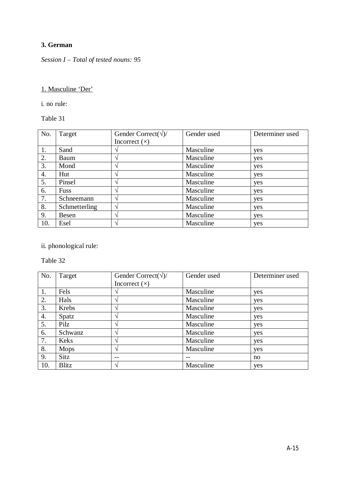### **3. German**

*Session I – Total of tested nouns: 95*

### 1. Masculine 'Der'

i. no rule:

Table 31

| No. | Target        | Gender Correct( $\sqrt{2}$ ) | Gender used | Determiner used |
|-----|---------------|------------------------------|-------------|-----------------|
|     |               | Incorrect $(x)$              |             |                 |
| 1.  | Sand          |                              | Masculine   | yes             |
| 2.  | Baum          |                              | Masculine   | yes             |
| 3.  | Mond          |                              | Masculine   | yes             |
| 4.  | Hut           |                              | Masculine   | yes             |
| 5.  | Pinsel        |                              | Masculine   | yes             |
| 6.  | <b>Fuss</b>   |                              | Masculine   | yes             |
| 7.  | Schneemann    | $\mathbf \Lambda$            | Masculine   | yes             |
| 8.  | Schmetterling | $\mathbf{\hat{}}$            | Masculine   | yes             |
| 9.  | Besen         |                              | Masculine   | yes             |
| 10. | Esel          |                              | Masculine   | yes             |

ii. phonological rule:

| No. | Target       | Gender Correct( $\sqrt{2}$ ) | Gender used | Determiner used |
|-----|--------------|------------------------------|-------------|-----------------|
|     |              | Incorrect $(x)$              |             |                 |
| 1.  | Fels         |                              | Masculine   | yes             |
| 2.  | Hals         |                              | Masculine   | yes             |
| 3.  | Krebs        | $\mathbf \Lambda$            | Masculine   | yes             |
| 4.  | Spatz        |                              | Masculine   | yes             |
| 5.  | Pilz         |                              | Masculine   | yes             |
| 6.  | Schwanz      |                              | Masculine   | yes             |
| 7.  | Keks         |                              | Masculine   | yes             |
| 8.  | Mops         |                              | Masculine   | yes             |
| 9.  | Sitz         |                              |             | no              |
| 10. | <b>Blitz</b> |                              | Masculine   | yes             |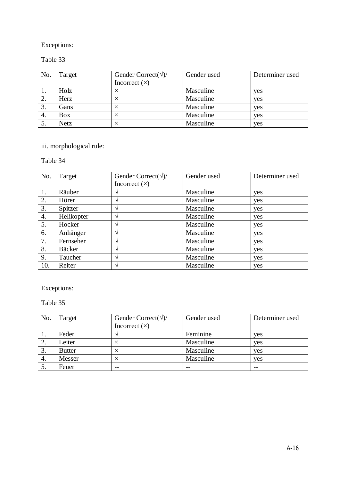#### Table 33

| No. | Target     | Gender Correct( $\sqrt{2}$ )<br>Incorrect $(x)$ | Gender used | Determiner used |
|-----|------------|-------------------------------------------------|-------------|-----------------|
| 1.  | Holz       |                                                 | Masculine   | yes             |
| 2.  | Herz       |                                                 | Masculine   | yes             |
| 3.  | Gans       |                                                 | Masculine   | yes             |
| 4.  | <b>Box</b> | ×                                               | Masculine   | yes             |
| 5.  | Netz       |                                                 | Masculine   | yes             |

# iii. morphological rule:

### Table 34

| No. | Target        | Gender Correct( $\sqrt{2}$ ) | Gender used | Determiner used |
|-----|---------------|------------------------------|-------------|-----------------|
|     |               | Incorrect $(x)$              |             |                 |
| 1.  | Räuber        |                              | Masculine   | yes             |
| 2.  | Hörer         | $\mathcal{L}$                | Masculine   | yes             |
| 3.  | Spitzer       |                              | Masculine   | yes             |
| 4.  | Helikopter    |                              | Masculine   | yes             |
| 5.  | Hocker        |                              | Masculine   | yes             |
| 6.  | Anhänger      |                              | Masculine   | yes             |
| 7.  | Fernseher     |                              | Masculine   | yes             |
| 8.  | <b>Bäcker</b> | $\mathbf \Lambda$            | Masculine   | yes             |
| 9.  | Taucher       | $\mathcal{L}$                | Masculine   | yes             |
| 10. | Reiter        |                              | Masculine   | yes             |

Exceptions:

| No. | Target        | Gender Correct( $\sqrt{2}$ ) | Gender used | Determiner used |
|-----|---------------|------------------------------|-------------|-----------------|
|     |               | Incorrect $(x)$              |             |                 |
| 1.  | Feder         |                              | Feminine    | yes             |
| 2.  | Leiter        |                              | Masculine   | yes             |
| 3.  | <b>Butter</b> |                              | Masculine   | yes             |
| 4.  | Messer        | $\times$                     | Masculine   | yes             |
| 5.  | Feuer         | $- -$                        | $- -$       | $- -$           |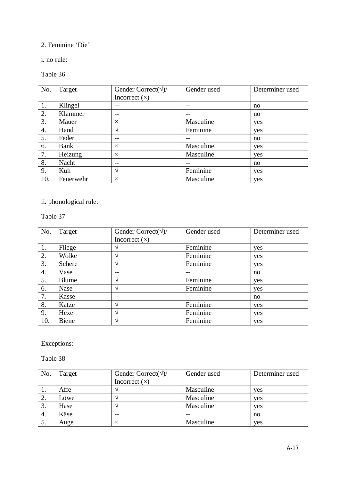## 2. Feminine 'Die'

i. no rule:

### Table 36

| No. | Target    | Gender Correct( $\sqrt{2}$ ) | Gender used | Determiner used |
|-----|-----------|------------------------------|-------------|-----------------|
|     |           | Incorrect $(x)$              |             |                 |
| 1.  | Klingel   | $- -$                        | --          | no              |
| 2.  | Klammer   | $- -$                        | --          | no              |
| 3.  | Mauer     | $\times$                     | Masculine   | yes             |
| 4.  | Hand      | ٦                            | Feminine    | yes             |
| 5.  | Feder     |                              |             | no              |
| 6.  | Bank      | $\times$                     | Masculine   | yes             |
| 7.  | Heizung   | $\times$                     | Masculine   | yes             |
| 8.  | Nacht     |                              |             | no              |
| 9.  | Kuh       | ٦                            | Feminine    | yes             |
| 10. | Feuerwehr | $\times$                     | Masculine   | yes             |

ii. phonological rule:

Table 37

| No. | Target       | Gender Correct( $\sqrt{2}$ ) | Gender used | Determiner used |
|-----|--------------|------------------------------|-------------|-----------------|
|     |              | Incorrect $(x)$              |             |                 |
| 1.  | Fliege       |                              | Feminine    | yes             |
| 2.  | Wolke        |                              | Feminine    | yes             |
| 3.  | Schere       | $\mathcal{D}_l$              | Feminine    | yes             |
| 4.  | Vase         |                              |             | no              |
| 5.  | <b>Blume</b> |                              | Feminine    | yes             |
| 6.  | <b>Nase</b>  |                              | Feminine    | yes             |
| 7.  | Kasse        | $ -$                         | --          | no              |
| 8.  | Katze        |                              | Feminine    | yes             |
| 9.  | Hexe         |                              | Feminine    | yes             |
| 10. | <b>Biene</b> |                              | Feminine    | yes             |

Exceptions:

| No.     | Target | Gender Correct( $\sqrt{2}$ ) | Gender used | Determiner used |
|---------|--------|------------------------------|-------------|-----------------|
|         |        | Incorrect $(x)$              |             |                 |
| 1.      | Affe   |                              | Masculine   | yes             |
| ി<br>۷. | Löwe   |                              | Masculine   | yes             |
| 3.      | Hase   |                              | Masculine   | yes             |
| 4.      | Käse   | $- -$                        |             | no              |
| 5.      | Auge   | $\times$                     | Masculine   | yes             |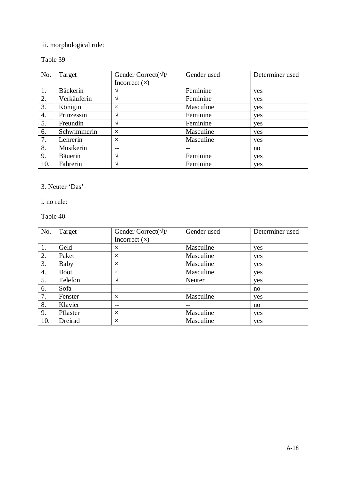## iii. morphological rule:

## Table 39

| No. | Target          | Gender Correct( $\sqrt{2}$ ) | Gender used | Determiner used |
|-----|-----------------|------------------------------|-------------|-----------------|
|     |                 | Incorrect $(x)$              |             |                 |
| 1.  | <b>Bäckerin</b> |                              | Feminine    | yes             |
| 2.  | Verkäuferin     |                              | Feminine    | yes             |
| 3.  | Königin         | $\times$                     | Masculine   | yes             |
| 4.  | Prinzessin      | اد                           | Feminine    | yes             |
| 5.  | Freundin        | $\mathcal{N}$                | Feminine    | yes             |
| 6.  | Schwimmerin     | $\times$                     | Masculine   | yes             |
| 7.  | Lehrerin        | $\times$                     | Masculine   | yes             |
| 8.  | Musikerin       |                              |             | no              |
| 9.  | <b>Bäuerin</b>  | ٦                            | Feminine    | yes             |
| 10. | Fahrerin        |                              | Feminine    | yes             |

## 3. Neuter 'Das'

i. no rule:

| No. | Target      | Gender Correct( $\sqrt{2}$ ) | Gender used | Determiner used |
|-----|-------------|------------------------------|-------------|-----------------|
|     |             | Incorrect $(x)$              |             |                 |
| 1.  | Geld        | $\times$                     | Masculine   | yes             |
| 2.  | Paket       | $\times$                     | Masculine   | yes             |
| 3.  | Baby        | $\times$                     | Masculine   | yes             |
| 4.  | <b>Boot</b> | $\times$                     | Masculine   | yes             |
| 5.  | Telefon     | $\mathcal{L}$                | Neuter      | yes             |
| 6.  | Sofa        |                              |             | no              |
| 7.  | Fenster     | $\times$                     | Masculine   | yes             |
| 8.  | Klavier     |                              |             | no              |
| 9.  | Pflaster    | $\times$                     | Masculine   | yes             |
| 10. | Dreirad     | $\times$                     | Masculine   | yes             |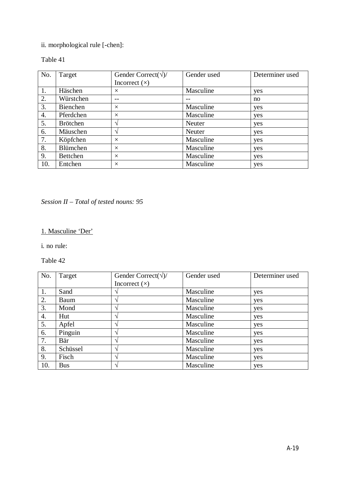## ii. morphological rule [-chen]:

#### Table 41

| No. | Target          | Gender Correct( $\sqrt{2}$ ) | Gender used | Determiner used |
|-----|-----------------|------------------------------|-------------|-----------------|
|     |                 | Incorrect $(x)$              |             |                 |
| 1.  | Häschen         | $\times$                     | Masculine   | yes             |
| 2.  | Würstchen       |                              |             | no              |
| 3.  | Bienchen        | $\times$                     | Masculine   | yes             |
| 4.  | Pferdchen       | $\times$                     | Masculine   | yes             |
| 5.  | <b>Brötchen</b> | $\boldsymbol{\Lambda}$       | Neuter      | yes             |
| 6.  | Mäuschen        | $\boldsymbol{\Lambda}$       | Neuter      | yes             |
| 7.  | Köpfchen        | $\times$                     | Masculine   | yes             |
| 8.  | Blümchen        | $\times$                     | Masculine   | yes             |
| 9.  | Bettchen        | $\times$                     | Masculine   | yes             |
| 10. | Entchen         | $\times$                     | Masculine   | yes             |

*Session II – Total of tested nouns: 95*

### 1. Masculine 'Der'

i. no rule:

| No. | Target     | Gender Correct( $\sqrt{2}$ ) | Gender used | Determiner used |
|-----|------------|------------------------------|-------------|-----------------|
|     |            | Incorrect $(x)$              |             |                 |
| 1.  | Sand       |                              | Masculine   | yes             |
| 2.  | Baum       | ٦                            | Masculine   | yes             |
| 3.  | Mond       | $\mathbf \Lambda$            | Masculine   | yes             |
| 4.  | Hut        |                              | Masculine   | yes             |
| 5.  | Apfel      |                              | Masculine   | yes             |
| 6.  | Pinguin    |                              | Masculine   | yes             |
| 7.  | Bär        |                              | Masculine   | yes             |
| 8.  | Schüssel   |                              | Masculine   | yes             |
| 9.  | Fisch      | $\mathcal{L}$                | Masculine   | yes             |
| 10. | <b>Bus</b> |                              | Masculine   | yes             |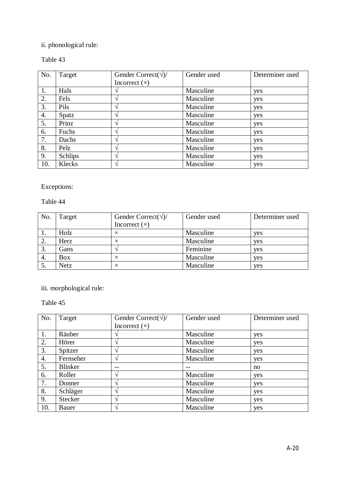## ii. phonological rule:

#### Table 43

| No. | Target         | Gender Correct( $\sqrt{2}$ ) | Gender used | Determiner used |
|-----|----------------|------------------------------|-------------|-----------------|
|     |                | Incorrect $(x)$              |             |                 |
| 1.  | Hals           |                              | Masculine   | yes             |
| 2.  | Fels           | ٦                            | Masculine   | yes             |
| 3.  | Pils           | $\mathbf \Lambda$            | Masculine   | yes             |
| 4.  | Spatz          | $\Delta$                     | Masculine   | yes             |
| 5.  | Prinz          |                              | Masculine   | yes             |
| 6.  | Fuchs          | $\triangleleft$              | Masculine   | yes             |
| 7.  | Dachs          |                              | Masculine   | yes             |
| 8.  | Pelz           |                              | Masculine   | yes             |
| 9.  | <b>Schlips</b> |                              | Masculine   | yes             |
| 10. | Klecks         |                              | Masculine   | yes             |

Exceptions:

Table 44

| No. | Target     | Gender Correct( $\sqrt{2}$ ) | Gender used | Determiner used |
|-----|------------|------------------------------|-------------|-----------------|
|     |            | Incorrect $(x)$              |             |                 |
|     | Holz       |                              | Masculine   | yes             |
| 2.  | Herz       |                              | Masculine   | yes             |
| 3.  | Gans       |                              | Feminine    | yes             |
| 4.  | <b>Box</b> |                              | Masculine   | yes             |
| J.  | Netz       |                              | Masculine   | yes             |

iii. morphological rule:

| No. | Target         | Gender Correct( $\sqrt{2}$ ) | Gender used | Determiner used |
|-----|----------------|------------------------------|-------------|-----------------|
|     |                | Incorrect $(x)$              |             |                 |
| 1.  | Räuber         |                              | Masculine   | yes             |
| 2.  | Hörer          | $\overline{\phantom{a}}$     | Masculine   | yes             |
| 3.  | Spitzer        | $\lambda$                    | Masculine   | yes             |
| 4.  | Fernseher      | $\mathbf{\hat{}}$            | Masculine   | yes             |
| 5.  | <b>Blinker</b> |                              |             | no              |
| 6.  | Roller         | $\overline{\phantom{a}}$     | Masculine   | yes             |
| 7.  | Donner         | $\overline{\phantom{a}}$     | Masculine   | yes             |
| 8.  | Schläger       | $\overline{\phantom{a}}$     | Masculine   | yes             |
| 9.  | Stecker        | $\overline{\phantom{a}}$     | Masculine   | yes             |
| 10. | Bauer          |                              | Masculine   | yes             |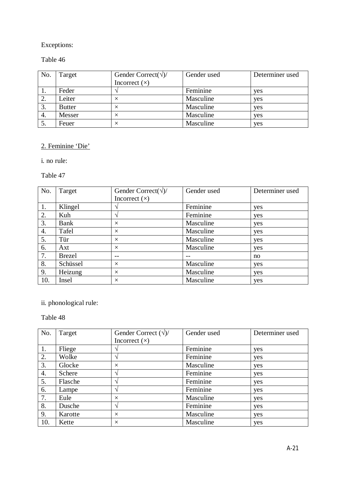### Table 46

| No. | Target        | Gender Correct( $\sqrt{2}$ )<br>Incorrect $(x)$ | Gender used | Determiner used |
|-----|---------------|-------------------------------------------------|-------------|-----------------|
|     | Feder         |                                                 | Feminine    | yes             |
| 2.  | Leiter        |                                                 | Masculine   | yes             |
| 3.  | <b>Butter</b> | ×                                               | Masculine   | yes             |
| 4.  | Messer        |                                                 | Masculine   | yes             |
| 5.  | Feuer         |                                                 | Masculine   | yes             |

#### 2. Feminine 'Die'

i. no rule:

Table 47

| No. | Target        | Gender Correct( $\sqrt{2}$ ) | Gender used | Determiner used |
|-----|---------------|------------------------------|-------------|-----------------|
|     |               | Incorrect $(x)$              |             |                 |
| 1.  | Klingel       |                              | Feminine    | yes             |
| 2.  | Kuh           |                              | Feminine    | yes             |
| 3.  | Bank          | $\times$                     | Masculine   | yes             |
| 4.  | Tafel         | $\times$                     | Masculine   | yes             |
| 5.  | Tür           | $\times$                     | Masculine   | yes             |
| 6.  | Axt           | $\times$                     | Masculine   | yes             |
| 7.  | <b>Brezel</b> | $ -$                         | --          | no              |
| 8.  | Schüssel      | $\times$                     | Masculine   | yes             |
| 9.  | Heizung       | $\times$                     | Masculine   | yes             |
| 10. | Insel         | $\times$                     | Masculine   | yes             |

## ii. phonological rule:

| No. | Target  | Gender Correct $(\sqrt{})/$ | Gender used | Determiner used |
|-----|---------|-----------------------------|-------------|-----------------|
|     |         | Incorrect $(x)$             |             |                 |
| 1.  | Fliege  |                             | Feminine    | yes             |
| 2.  | Wolke   | $\lambda$                   | Feminine    | yes             |
| 3.  | Glocke  | $\times$                    | Masculine   | yes             |
| 4.  | Schere  | $\mathcal{L}$               | Feminine    | yes             |
| 5.  | Flasche | $\mathbf{\hat{}}$           | Feminine    | yes             |
| 6.  | Lampe   | $\mathbf \Lambda$           | Feminine    | yes             |
| 7.  | Eule    | $\times$                    | Masculine   | yes             |
| 8.  | Dusche  | $\lambda$                   | Feminine    | yes             |
| 9.  | Karotte | $\times$                    | Masculine   | yes             |
| 10. | Kette   | $\times$                    | Masculine   | yes             |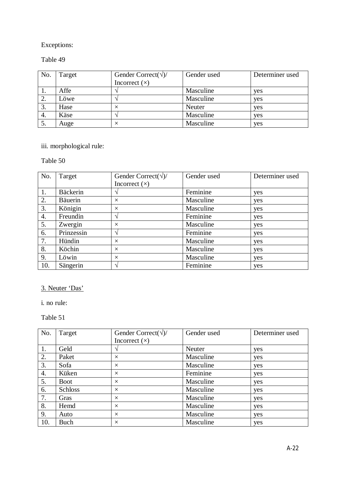#### Table 49

| No. | Target | Gender Correct( $\sqrt{2}$ )<br>Incorrect $(x)$ | Gender used | Determiner used |
|-----|--------|-------------------------------------------------|-------------|-----------------|
| 1.  | Affe   |                                                 | Masculine   | yes             |
| 2.  | Löwe   |                                                 | Masculine   | yes             |
| 3.  | Hase   |                                                 | Neuter      | yes             |
| 4.  | Käse   |                                                 | Masculine   | yes             |
| 5.  | Auge   |                                                 | Masculine   | yes             |

# iii. morphological rule:

## Table 50

| No. | Target          | Gender Correct( $\sqrt{2}$ ) | Gender used | Determiner used |
|-----|-----------------|------------------------------|-------------|-----------------|
|     |                 | Incorrect $(x)$              |             |                 |
| 1.  | <b>Bäckerin</b> |                              | Feminine    | yes             |
| 2.  | <b>Bäuerin</b>  | $\times$                     | Masculine   | yes             |
| 3.  | Königin         | $\times$                     | Masculine   | yes             |
| 4.  | Freundin        | $\mathcal{L}$                | Feminine    | yes             |
| 5.  | Zwergin         | $\times$                     | Masculine   | yes             |
| 6.  | Prinzessin      |                              | Feminine    | yes             |
| 7.  | Hündin          | $\times$                     | Masculine   | yes             |
| 8.  | Köchin          | $\times$                     | Masculine   | yes             |
| 9.  | Löwin           | $\times$                     | Masculine   | yes             |
| 10. | Sängerin        | ان                           | Feminine    | yes             |

### 3. Neuter 'Das'

i. no rule:

| No. | Target      | Gender Correct( $\sqrt{2}$ ) | Gender used | Determiner used |
|-----|-------------|------------------------------|-------------|-----------------|
|     |             | Incorrect $(x)$              |             |                 |
| 1.  | Geld        |                              | Neuter      | yes             |
| 2.  | Paket       | $\times$                     | Masculine   | yes             |
| 3.  | Sofa        | $\times$                     | Masculine   | yes             |
| 4.  | Küken       | $\times$                     | Feminine    | yes             |
| 5.  | <b>Boot</b> | $\times$                     | Masculine   | yes             |
| 6.  | Schloss     | $\times$                     | Masculine   | yes             |
| 7.  | Gras        | $\times$                     | Masculine   | yes             |
| 8.  | Hemd        | $\times$                     | Masculine   | yes             |
| 9.  | Auto        | $\times$                     | Masculine   | yes             |
| 10. | Buch        | $\times$                     | Masculine   | yes             |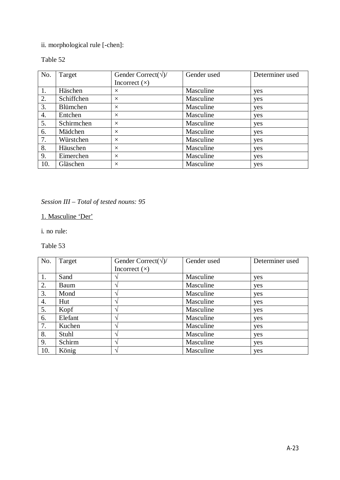## ii. morphological rule [-chen]:

#### Table 52

| No. | Target          | Gender Correct( $\sqrt{2}$ ) | Gender used | Determiner used |
|-----|-----------------|------------------------------|-------------|-----------------|
|     |                 | Incorrect $(x)$              |             |                 |
| 1.  | Häschen         | $\times$                     | Masculine   | yes             |
| 2.  | Schiffchen      | $\times$                     | Masculine   | yes             |
| 3.  | <b>Blümchen</b> | $\times$                     | Masculine   | yes             |
| 4.  | Entchen         | $\times$                     | Masculine   | yes             |
| 5.  | Schirmchen      | $\times$                     | Masculine   | yes             |
| 6.  | Mädchen         | $\times$                     | Masculine   | yes             |
| 7.  | Würstchen       | $\times$                     | Masculine   | yes             |
| 8.  | Häuschen        | $\times$                     | Masculine   | yes             |
| 9.  | Eimerchen       | $\times$                     | Masculine   | yes             |
| 10. | Gläschen        | $\times$                     | Masculine   | yes             |

### *Session III – Total of tested nouns: 95*

## 1. Masculine 'Der'

i. no rule:

| No. | Target  | Gender Correct( $\sqrt{2}$ ) | Gender used | Determiner used |
|-----|---------|------------------------------|-------------|-----------------|
|     |         | Incorrect $(x)$              |             |                 |
| 1.  | Sand    |                              | Masculine   | yes             |
| 2.  | Baum    |                              | Masculine   | yes             |
| 3.  | Mond    |                              | Masculine   | yes             |
| 4.  | Hut     |                              | Masculine   | yes             |
| 5.  | Kopf    |                              | Masculine   | yes             |
| 6.  | Elefant |                              | Masculine   | yes             |
| 7.  | Kuchen  |                              | Masculine   | yes             |
| 8.  | Stuhl   |                              | Masculine   | yes             |
| 9.  | Schirm  | $\mathbf \Lambda$            | Masculine   | yes             |
| 10. | König   |                              | Masculine   | yes             |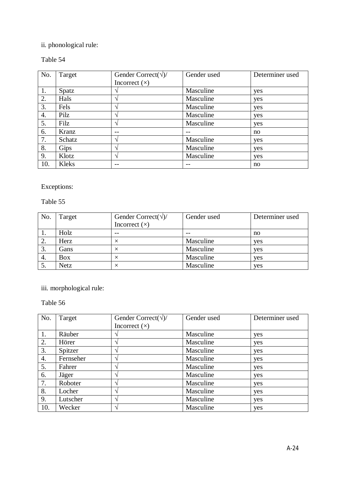## ii. phonological rule:

### Table 54

| No. | Target | Gender Correct( $\sqrt{2}$ ) | Gender used | Determiner used |
|-----|--------|------------------------------|-------------|-----------------|
|     |        | Incorrect $(x)$              |             |                 |
| 1.  | Spatz  |                              | Masculine   | yes             |
| 2.  | Hals   |                              | Masculine   | yes             |
| 3.  | Fels   |                              | Masculine   | yes             |
| 4.  | Pilz   |                              | Masculine   | yes             |
| 5.  | Filz   |                              | Masculine   | yes             |
| 6.  | Kranz  |                              |             | no              |
| 7.  | Schatz | $\mathbf \Lambda$            | Masculine   | yes             |
| 8.  | Gips   |                              | Masculine   | yes             |
| 9.  | Klotz  |                              | Masculine   | yes             |
| 10. | Kleks  | $ -$                         | $- -$       | no              |

Exceptions:

Table 55

| No. | Target      | Gender Correct( $\sqrt{2}$ ) | Gender used | Determiner used |
|-----|-------------|------------------------------|-------------|-----------------|
|     |             | Incorrect $(x)$              |             |                 |
|     | Holz        | $- -$                        |             | no              |
| 2.  | Herz        |                              | Masculine   | yes             |
| 3.  | Gans        |                              | Masculine   | yes             |
| 4.  | <b>Box</b>  |                              | Masculine   | yes             |
| J.  | <b>Netz</b> |                              | Masculine   | yes             |

iii. morphological rule:

| No. | Target    | Gender Correct( $\sqrt{2}$ ) | Gender used | Determiner used |
|-----|-----------|------------------------------|-------------|-----------------|
|     |           | Incorrect $(x)$              |             |                 |
| 1.  | Räuber    |                              | Masculine   | yes             |
| 2.  | Hörer     | $\overline{\phantom{a}}$     | Masculine   | yes             |
| 3.  | Spitzer   | $\lambda$                    | Masculine   | yes             |
| 4.  | Fernseher | $\triangleleft$              | Masculine   | yes             |
| 5.  | Fahrer    | $\mathbf{\hat{}}$            | Masculine   | yes             |
| 6.  | Jäger     |                              | Masculine   | yes             |
| 7.  | Roboter   | $\overline{\phantom{a}}$     | Masculine   | yes             |
| 8.  | Locher    | $\overline{\phantom{a}}$     | Masculine   | yes             |
| 9.  | Lutscher  | $\overline{\phantom{a}}$     | Masculine   | yes             |
| 10. | Wecker    |                              | Masculine   | yes             |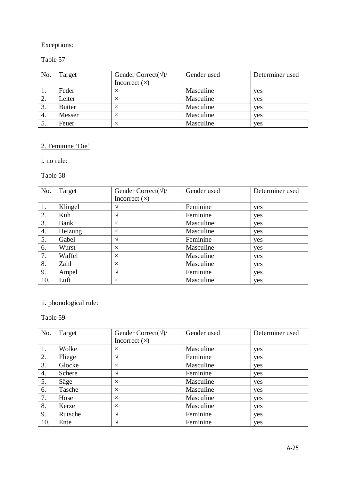### Table 57

| No. | Target        | Gender Correct( $\sqrt{2}$ )<br>Incorrect $(x)$ | Gender used | Determiner used |
|-----|---------------|-------------------------------------------------|-------------|-----------------|
|     | Feder         |                                                 | Masculine   | yes             |
| 2.  | Leiter        |                                                 | Masculine   | yes             |
| 3.  | <b>Butter</b> | ×                                               | Masculine   | yes             |
| 4.  | Messer        |                                                 | Masculine   | yes             |
| 5.  | Feuer         |                                                 | Masculine   | yes             |

## 2. Feminine 'Die'

i. no rule:

Table 58

| No. | Target  | Gender Correct( $\sqrt{2}$ ) | Gender used | Determiner used |
|-----|---------|------------------------------|-------------|-----------------|
|     |         | Incorrect $(x)$              |             |                 |
| 1.  | Klingel |                              | Feminine    | yes             |
| 2.  | Kuh     |                              | Feminine    | yes             |
| 3.  | Bank    | $\times$                     | Masculine   | yes             |
| 4.  | Heizung | $\times$                     | Masculine   | yes             |
| 5.  | Gabel   |                              | Feminine    | yes             |
| 6.  | Wurst   | $\times$                     | Masculine   | yes             |
| 7.  | Waffel  | $\times$                     | Masculine   | yes             |
| 8.  | Zahl    | $\times$                     | Masculine   | yes             |
| 9.  | Ampel   | $\mathcal{L}$                | Feminine    | yes             |
| 10. | Luft    | $\times$                     | Masculine   | yes             |

## ii. phonological rule:

| No. | Target  | Gender Correct( $\sqrt{2}$ ) | Gender used | Determiner used |
|-----|---------|------------------------------|-------------|-----------------|
|     |         | Incorrect $(x)$              |             |                 |
| 1.  | Wolke   | $\times$                     | Masculine   | yes             |
| 2.  | Fliege  | $\mathbf \Lambda$            | Feminine    | yes             |
| 3.  | Glocke  | $\times$                     | Masculine   | yes             |
| 4.  | Schere  | $\mathbf \Lambda$            | Feminine    | yes             |
| 5.  | Säge    | $\times$                     | Masculine   | yes             |
| 6.  | Tasche  | $\times$                     | Masculine   | yes             |
| 7.  | Hose    | $\times$                     | Masculine   | yes             |
| 8.  | Kerze   | $\times$                     | Masculine   | yes             |
| 9.  | Rutsche | $\mathbf \Lambda$            | Feminine    | yes             |
| 10. | Ente    | $\Delta$                     | Feminine    | yes             |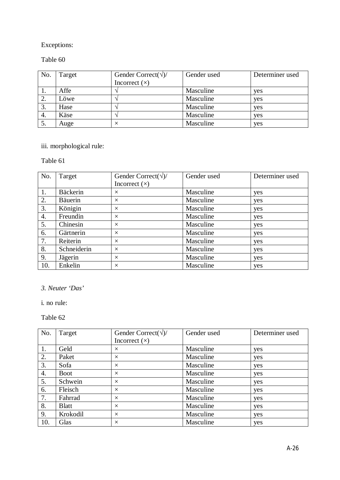#### Table 60

| No. | Target | Gender Correct( $\sqrt{2}$ )<br>Incorrect $(x)$ | Gender used | Determiner used |
|-----|--------|-------------------------------------------------|-------------|-----------------|
| 1.  | Affe   |                                                 | Masculine   | yes             |
| 2.  | Löwe   |                                                 | Masculine   | yes             |
| 3.  | Hase   |                                                 | Masculine   | yes             |
| 4.  | Käse   |                                                 | Masculine   | yes             |
| 5.  | Auge   |                                                 | Masculine   | yes             |

# iii. morphological rule:

#### Table 61

| No. | Target          | Gender Correct( $\sqrt{2}$ ) | Gender used | Determiner used |
|-----|-----------------|------------------------------|-------------|-----------------|
|     |                 | Incorrect $(x)$              |             |                 |
| 1.  | <b>Bäckerin</b> | $\times$                     | Masculine   | yes             |
| 2.  | <b>Bäuerin</b>  | $\times$                     | Masculine   | yes             |
| 3.  | Königin         | $\times$                     | Masculine   | yes             |
| 4.  | Freundin        | $\times$                     | Masculine   | yes             |
| 5.  | Chinesin        | $\times$                     | Masculine   | yes             |
| 6.  | Gärtnerin       | $\times$                     | Masculine   | yes             |
| 7.  | Reiterin        | $\times$                     | Masculine   | yes             |
| 8.  | Schneiderin     | $\times$                     | Masculine   | yes             |
| 9.  | Jägerin         | $\times$                     | Masculine   | yes             |
| 10. | Enkelin         | $\times$                     | Masculine   | yes             |

### *3. Neuter 'Das'*

i. no rule:

| No. | Target       | Gender Correct( $\sqrt{2}$ ) | Gender used | Determiner used |
|-----|--------------|------------------------------|-------------|-----------------|
|     |              | Incorrect $(x)$              |             |                 |
| 1.  | Geld         | $\times$                     | Masculine   | yes             |
| 2.  | Paket        | $\times$                     | Masculine   | yes             |
| 3.  | Sofa         | $\times$                     | Masculine   | yes             |
| 4.  | <b>Boot</b>  | $\times$                     | Masculine   | yes             |
| 5.  | Schwein      | $\times$                     | Masculine   | yes             |
| 6.  | Fleisch      | $\times$                     | Masculine   | yes             |
| 7.  | Fahrrad      | $\times$                     | Masculine   | yes             |
| 8.  | <b>Blatt</b> | $\times$                     | Masculine   | yes             |
| 9.  | Krokodil     | $\times$                     | Masculine   | yes             |
| 10. | Glas         | $\times$                     | Masculine   | yes             |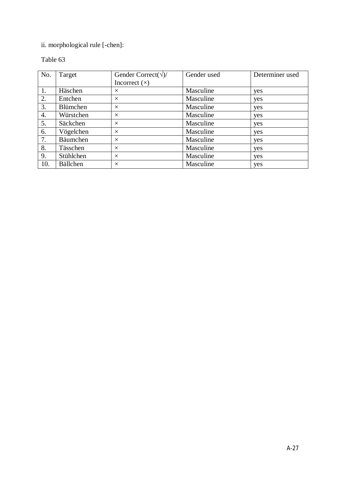## ii. morphological rule [-chen]:

| No. | Target          | Gender Correct( $\sqrt{2}$ ) | Gender used | Determiner used |
|-----|-----------------|------------------------------|-------------|-----------------|
|     |                 | Incorrect $(x)$              |             |                 |
| 1.  | Häschen         | $\times$                     | Masculine   | yes             |
| 2.  | Entchen         | $\times$                     | Masculine   | yes             |
| 3.  | Blümchen        | $\times$                     | Masculine   | yes             |
| 4.  | Würstchen       | $\times$                     | Masculine   | yes             |
| 5.  | Säckchen        | $\times$                     | Masculine   | yes             |
| 6.  | Vögelchen       | $\times$                     | Masculine   | yes             |
| 7.  | Bäumchen        | $\times$                     | Masculine   | yes             |
| 8.  | Tässchen        | $\times$                     | Masculine   | yes             |
| 9.  | Stühlchen       | $\times$                     | Masculine   | yes             |
| 10. | <b>Bällchen</b> | $\times$                     | Masculine   | yes             |